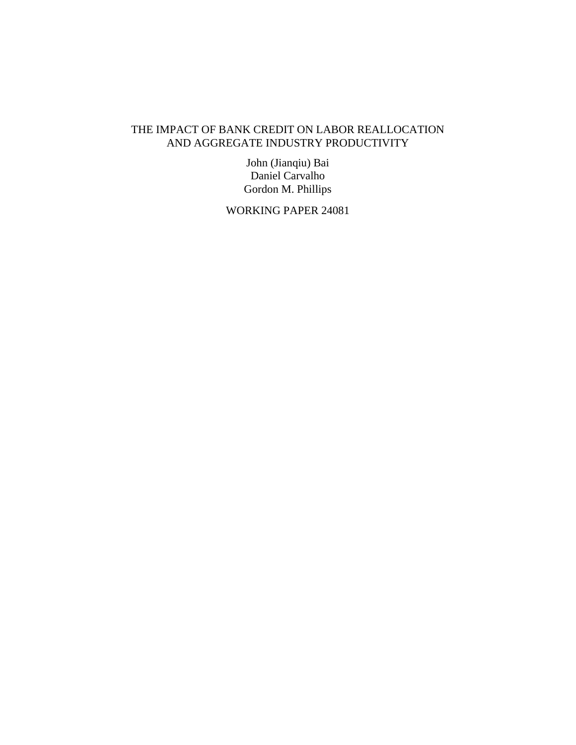# THE IMPACT OF BANK CREDIT ON LABOR REALLOCATION AND AGGREGATE INDUSTRY PRODUCTIVITY

John (Jianqiu) Bai Daniel Carvalho Gordon M. Phillips

WORKING PAPER 24081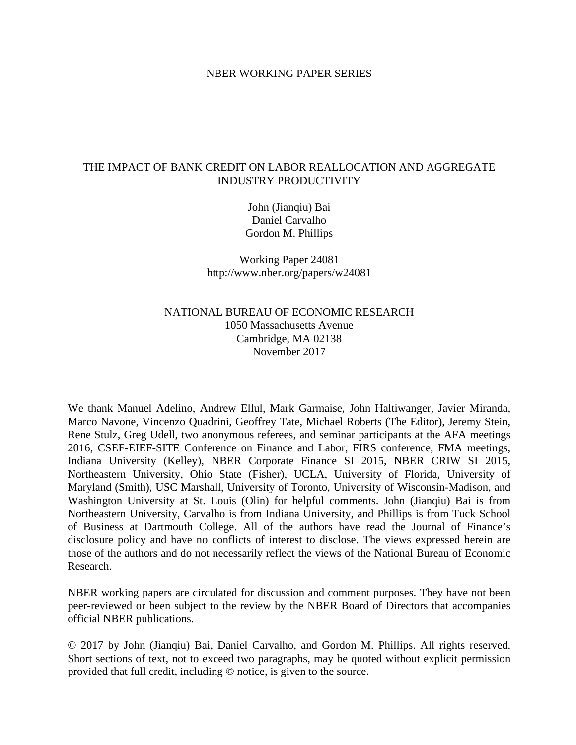#### NBER WORKING PAPER SERIES

## THE IMPACT OF BANK CREDIT ON LABOR REALLOCATION AND AGGREGATE INDUSTRY PRODUCTIVITY

John (Jianqiu) Bai Daniel Carvalho Gordon M. Phillips

Working Paper 24081 http://www.nber.org/papers/w24081

## NATIONAL BUREAU OF ECONOMIC RESEARCH 1050 Massachusetts Avenue Cambridge, MA 02138 November 2017

We thank Manuel Adelino, Andrew Ellul, Mark Garmaise, John Haltiwanger, Javier Miranda, Marco Navone, Vincenzo Quadrini, Geoffrey Tate, Michael Roberts (The Editor), Jeremy Stein, Rene Stulz, Greg Udell, two anonymous referees, and seminar participants at the AFA meetings 2016, CSEF-EIEF-SITE Conference on Finance and Labor, FIRS conference, FMA meetings, Indiana University (Kelley), NBER Corporate Finance SI 2015, NBER CRIW SI 2015, Northeastern University, Ohio State (Fisher), UCLA, University of Florida, University of Maryland (Smith), USC Marshall, University of Toronto, University of Wisconsin-Madison, and Washington University at St. Louis (Olin) for helpful comments. John (Jianqiu) Bai is from Northeastern University, Carvalho is from Indiana University, and Phillips is from Tuck School of Business at Dartmouth College. All of the authors have read the Journal of Finance's disclosure policy and have no conflicts of interest to disclose. The views expressed herein are those of the authors and do not necessarily reflect the views of the National Bureau of Economic Research.

NBER working papers are circulated for discussion and comment purposes. They have not been peer-reviewed or been subject to the review by the NBER Board of Directors that accompanies official NBER publications.

© 2017 by John (Jianqiu) Bai, Daniel Carvalho, and Gordon M. Phillips. All rights reserved. Short sections of text, not to exceed two paragraphs, may be quoted without explicit permission provided that full credit, including © notice, is given to the source.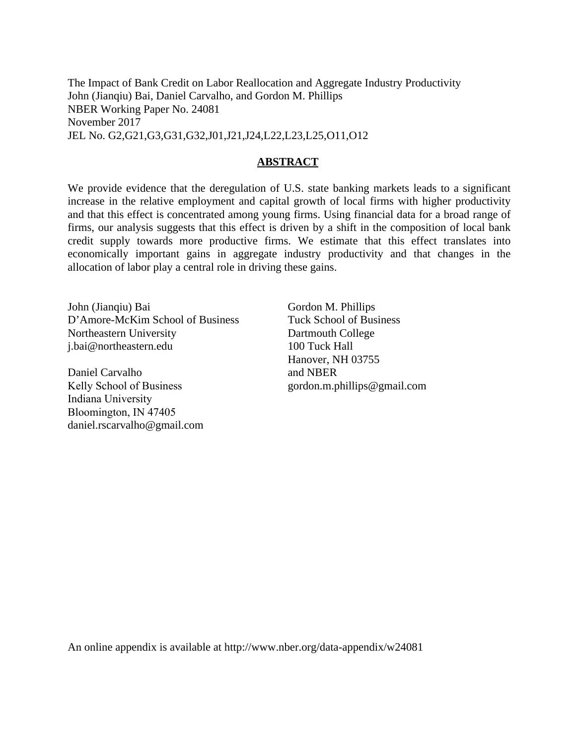The Impact of Bank Credit on Labor Reallocation and Aggregate Industry Productivity John (Jianqiu) Bai, Daniel Carvalho, and Gordon M. Phillips NBER Working Paper No. 24081 November 2017 JEL No. G2,G21,G3,G31,G32,J01,J21,J24,L22,L23,L25,O11,O12

## **ABSTRACT**

We provide evidence that the deregulation of U.S. state banking markets leads to a significant increase in the relative employment and capital growth of local firms with higher productivity and that this effect is concentrated among young firms. Using financial data for a broad range of firms, our analysis suggests that this effect is driven by a shift in the composition of local bank credit supply towards more productive firms. We estimate that this effect translates into economically important gains in aggregate industry productivity and that changes in the allocation of labor play a central role in driving these gains.

John (Jianqiu) Bai D'Amore-McKim School of Business Northeastern University j.bai@northeastern.edu

Daniel Carvalho Kelly School of Business Indiana University Bloomington, IN 47405 daniel.rscarvalho@gmail.com

Gordon M. Phillips Tuck School of Business Dartmouth College 100 Tuck Hall Hanover, NH 03755 and NBER gordon.m.phillips@gmail.com

An online appendix is available at http://www.nber.org/data-appendix/w24081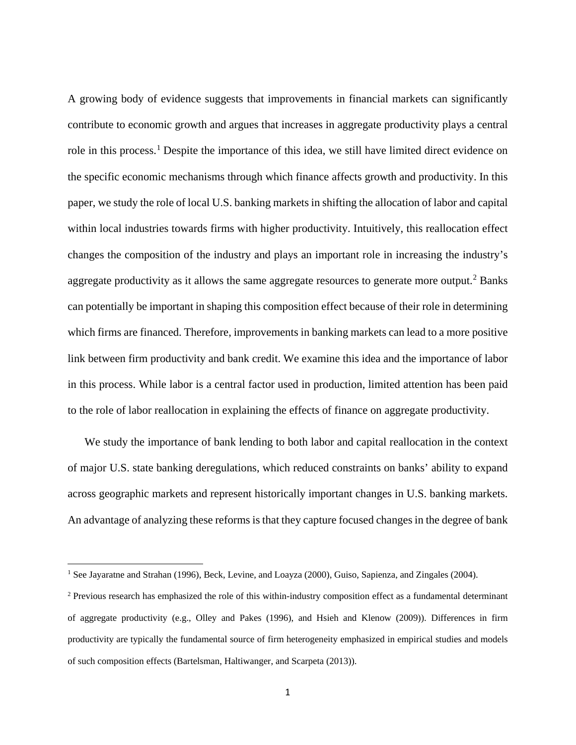A growing body of evidence suggests that improvements in financial markets can significantly contribute to economic growth and argues that increases in aggregate productivity plays a central role in this process.<sup>[1](#page-3-0)</sup> Despite the importance of this idea, we still have limited direct evidence on the specific economic mechanisms through which finance affects growth and productivity. In this paper, we study the role of local U.S. banking markets in shifting the allocation of labor and capital within local industries towards firms with higher productivity. Intuitively, this reallocation effect changes the composition of the industry and plays an important role in increasing the industry's aggregate productivity as it allows the same aggregate resources to generate more output.<sup>[2](#page-3-1)</sup> Banks can potentially be important in shaping this composition effect because of their role in determining which firms are financed. Therefore, improvements in banking markets can lead to a more positive link between firm productivity and bank credit. We examine this idea and the importance of labor in this process. While labor is a central factor used in production, limited attention has been paid to the role of labor reallocation in explaining the effects of finance on aggregate productivity.

We study the importance of bank lending to both labor and capital reallocation in the context of major U.S. state banking deregulations, which reduced constraints on banks' ability to expand across geographic markets and represent historically important changes in U.S. banking markets. An advantage of analyzing these reforms is that they capture focused changes in the degree of bank

<span id="page-3-0"></span><sup>&</sup>lt;sup>1</sup> See Jayaratne and Strahan (1996), Beck, Levine, and Loayza (2000), Guiso, Sapienza, and Zingales (2004).

<span id="page-3-1"></span><sup>2</sup> Previous research has emphasized the role of this within-industry composition effect as a fundamental determinant of aggregate productivity (e.g., Olley and Pakes (1996), and Hsieh and Klenow (2009)). Differences in firm productivity are typically the fundamental source of firm heterogeneity emphasized in empirical studies and models of such composition effects (Bartelsman, Haltiwanger, and Scarpeta (2013)).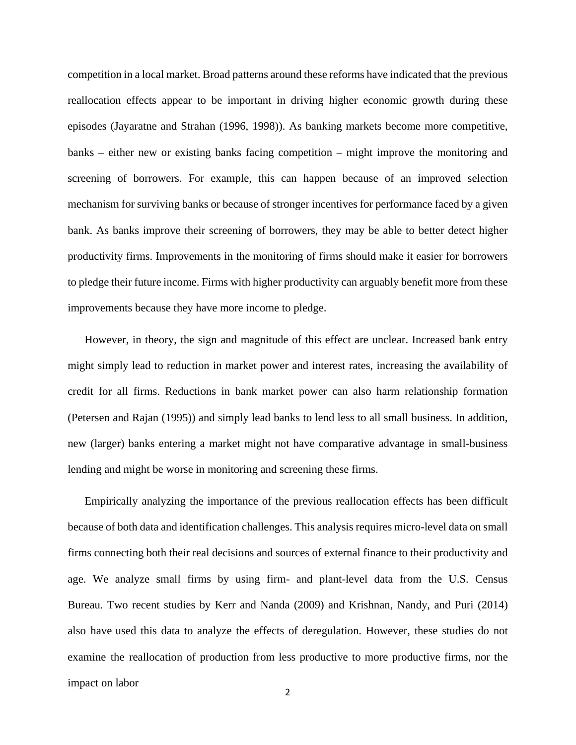competition in a local market. Broad patterns around these reforms have indicated that the previous reallocation effects appear to be important in driving higher economic growth during these episodes (Jayaratne and Strahan (1996, 1998)). As banking markets become more competitive, banks – either new or existing banks facing competition – might improve the monitoring and screening of borrowers. For example, this can happen because of an improved selection mechanism for surviving banks or because of stronger incentives for performance faced by a given bank. As banks improve their screening of borrowers, they may be able to better detect higher productivity firms. Improvements in the monitoring of firms should make it easier for borrowers to pledge their future income. Firms with higher productivity can arguably benefit more from these improvements because they have more income to pledge.

However, in theory, the sign and magnitude of this effect are unclear. Increased bank entry might simply lead to reduction in market power and interest rates, increasing the availability of credit for all firms. Reductions in bank market power can also harm relationship formation (Petersen and Rajan (1995)) and simply lead banks to lend less to all small business. In addition, new (larger) banks entering a market might not have comparative advantage in small-business lending and might be worse in monitoring and screening these firms.

Empirically analyzing the importance of the previous reallocation effects has been difficult because of both data and identification challenges. This analysis requires micro-level data on small firms connecting both their real decisions and sources of external finance to their productivity and age. We analyze small firms by using firm- and plant-level data from the U.S. Census Bureau. Two recent studies by Kerr and Nanda (2009) and Krishnan, Nandy, and Puri (2014) also have used this data to analyze the effects of deregulation. However, these studies do not examine the reallocation of production from less productive to more productive firms, nor the impact on labor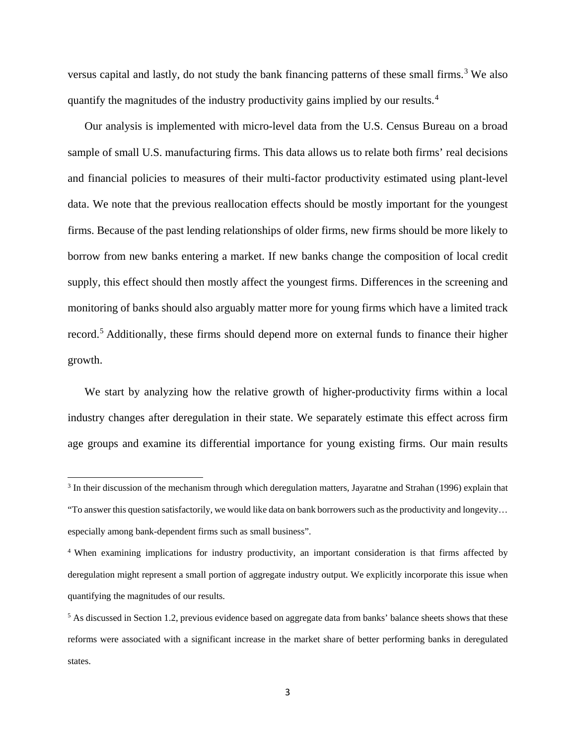versus capital and lastly, do not study the bank financing patterns of these small firms.<sup>[3](#page-5-0)</sup> We also quantify the magnitudes of the industry productivity gains implied by our results.[4](#page-5-1)

Our analysis is implemented with micro-level data from the U.S. Census Bureau on a broad sample of small U.S. manufacturing firms. This data allows us to relate both firms' real decisions and financial policies to measures of their multi-factor productivity estimated using plant-level data. We note that the previous reallocation effects should be mostly important for the youngest firms. Because of the past lending relationships of older firms, new firms should be more likely to borrow from new banks entering a market. If new banks change the composition of local credit supply, this effect should then mostly affect the youngest firms. Differences in the screening and monitoring of banks should also arguably matter more for young firms which have a limited track record.<sup>[5](#page-5-2)</sup> Additionally, these firms should depend more on external funds to finance their higher growth.

We start by analyzing how the relative growth of higher-productivity firms within a local industry changes after deregulation in their state. We separately estimate this effect across firm age groups and examine its differential importance for young existing firms. Our main results

 $\overline{a}$ 

<span id="page-5-0"></span><sup>3</sup> In their discussion of the mechanism through which deregulation matters, Jayaratne and Strahan (1996) explain that "To answer this question satisfactorily, we would like data on bank borrowers such as the productivity and longevity… especially among bank-dependent firms such as small business".

<span id="page-5-1"></span><sup>4</sup> When examining implications for industry productivity, an important consideration is that firms affected by deregulation might represent a small portion of aggregate industry output. We explicitly incorporate this issue when quantifying the magnitudes of our results.

<span id="page-5-2"></span><sup>&</sup>lt;sup>5</sup> As discussed in Section 1.2, previous evidence based on aggregate data from banks' balance sheets shows that these reforms were associated with a significant increase in the market share of better performing banks in deregulated states.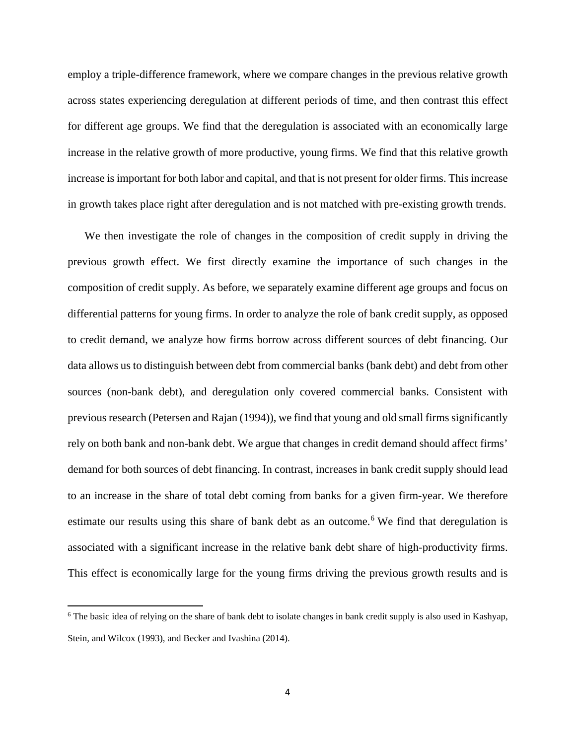employ a triple-difference framework, where we compare changes in the previous relative growth across states experiencing deregulation at different periods of time, and then contrast this effect for different age groups. We find that the deregulation is associated with an economically large increase in the relative growth of more productive, young firms. We find that this relative growth increase is important for both labor and capital, and that is not present for older firms. This increase in growth takes place right after deregulation and is not matched with pre-existing growth trends.

We then investigate the role of changes in the composition of credit supply in driving the previous growth effect. We first directly examine the importance of such changes in the composition of credit supply. As before, we separately examine different age groups and focus on differential patterns for young firms. In order to analyze the role of bank credit supply, as opposed to credit demand, we analyze how firms borrow across different sources of debt financing. Our data allows us to distinguish between debt from commercial banks (bank debt) and debt from other sources (non-bank debt), and deregulation only covered commercial banks. Consistent with previous research (Petersen and Rajan (1994)), we find that young and old small firms significantly rely on both bank and non-bank debt. We argue that changes in credit demand should affect firms' demand for both sources of debt financing. In contrast, increases in bank credit supply should lead to an increase in the share of total debt coming from banks for a given firm-year. We therefore estimate our results using this share of bank debt as an outcome.<sup>[6](#page-6-0)</sup> We find that deregulation is associated with a significant increase in the relative bank debt share of high-productivity firms. This effect is economically large for the young firms driving the previous growth results and is

l

<span id="page-6-0"></span><sup>&</sup>lt;sup>6</sup> The basic idea of relying on the share of bank debt to isolate changes in bank credit supply is also used in Kashyap, Stein, and Wilcox (1993), and Becker and Ivashina (2014).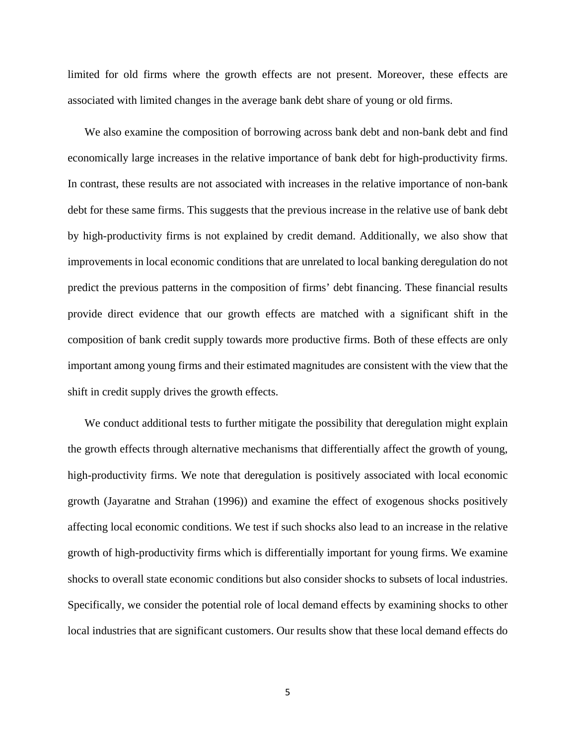limited for old firms where the growth effects are not present. Moreover, these effects are associated with limited changes in the average bank debt share of young or old firms.

We also examine the composition of borrowing across bank debt and non-bank debt and find economically large increases in the relative importance of bank debt for high-productivity firms. In contrast, these results are not associated with increases in the relative importance of non-bank debt for these same firms. This suggests that the previous increase in the relative use of bank debt by high-productivity firms is not explained by credit demand. Additionally, we also show that improvements in local economic conditions that are unrelated to local banking deregulation do not predict the previous patterns in the composition of firms' debt financing. These financial results provide direct evidence that our growth effects are matched with a significant shift in the composition of bank credit supply towards more productive firms. Both of these effects are only important among young firms and their estimated magnitudes are consistent with the view that the shift in credit supply drives the growth effects.

We conduct additional tests to further mitigate the possibility that deregulation might explain the growth effects through alternative mechanisms that differentially affect the growth of young, high-productivity firms. We note that deregulation is positively associated with local economic growth (Jayaratne and Strahan (1996)) and examine the effect of exogenous shocks positively affecting local economic conditions. We test if such shocks also lead to an increase in the relative growth of high-productivity firms which is differentially important for young firms. We examine shocks to overall state economic conditions but also consider shocks to subsets of local industries. Specifically, we consider the potential role of local demand effects by examining shocks to other local industries that are significant customers. Our results show that these local demand effects do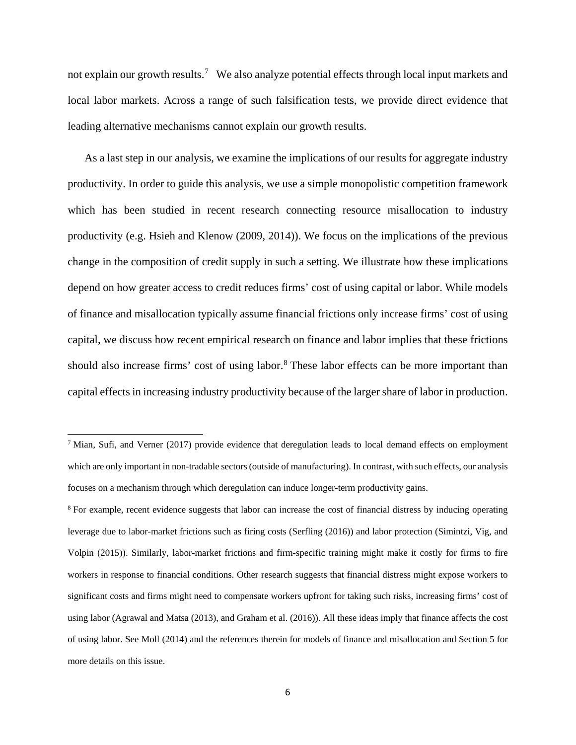not explain our growth results.<sup>[7](#page-8-0)</sup> We also analyze potential effects through local input markets and local labor markets. Across a range of such falsification tests, we provide direct evidence that leading alternative mechanisms cannot explain our growth results.

As a last step in our analysis, we examine the implications of our results for aggregate industry productivity. In order to guide this analysis, we use a simple monopolistic competition framework which has been studied in recent research connecting resource misallocation to industry productivity (e.g. Hsieh and Klenow (2009, 2014)). We focus on the implications of the previous change in the composition of credit supply in such a setting. We illustrate how these implications depend on how greater access to credit reduces firms' cost of using capital or labor. While models of finance and misallocation typically assume financial frictions only increase firms' cost of using capital, we discuss how recent empirical research on finance and labor implies that these frictions should also increase firms' cost of using labor.<sup>[8](#page-8-1)</sup> These labor effects can be more important than capital effects in increasing industry productivity because of the larger share of labor in production.

 $\overline{\phantom{a}}$ 

<span id="page-8-0"></span><sup>7</sup> Mian, Sufi, and Verner (2017) provide evidence that deregulation leads to local demand effects on employment which are only important in non-tradable sectors (outside of manufacturing). In contrast, with such effects, our analysis focuses on a mechanism through which deregulation can induce longer-term productivity gains.

<span id="page-8-1"></span><sup>8</sup> For example, recent evidence suggests that labor can increase the cost of financial distress by inducing operating leverage due to labor-market frictions such as firing costs (Serfling (2016)) and labor protection (Simintzi, Vig, and Volpin (2015)). Similarly, labor-market frictions and firm-specific training might make it costly for firms to fire workers in response to financial conditions. Other research suggests that financial distress might expose workers to significant costs and firms might need to compensate workers upfront for taking such risks, increasing firms' cost of using labor (Agrawal and Matsa (2013), and Graham et al. (2016)). All these ideas imply that finance affects the cost of using labor. See Moll (2014) and the references therein for models of finance and misallocation and Section 5 for more details on this issue.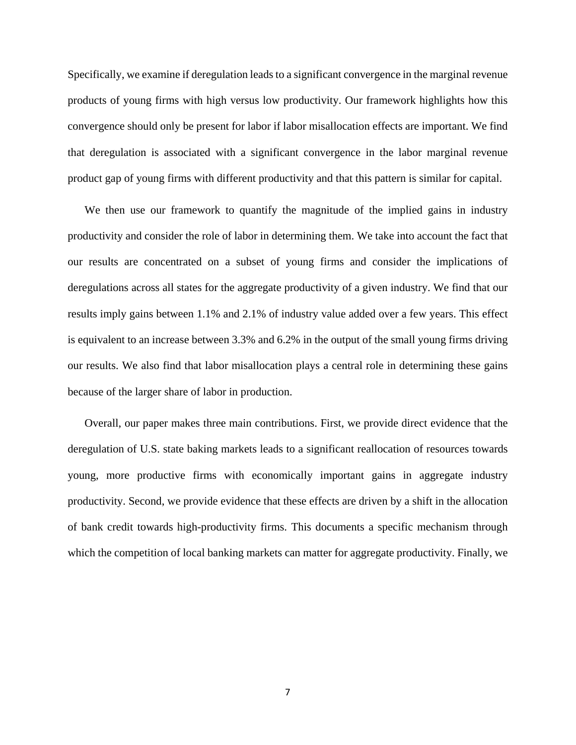Specifically, we examine if deregulation leads to a significant convergence in the marginal revenue products of young firms with high versus low productivity. Our framework highlights how this convergence should only be present for labor if labor misallocation effects are important. We find that deregulation is associated with a significant convergence in the labor marginal revenue product gap of young firms with different productivity and that this pattern is similar for capital.

We then use our framework to quantify the magnitude of the implied gains in industry productivity and consider the role of labor in determining them. We take into account the fact that our results are concentrated on a subset of young firms and consider the implications of deregulations across all states for the aggregate productivity of a given industry. We find that our results imply gains between 1.1% and 2.1% of industry value added over a few years. This effect is equivalent to an increase between 3.3% and 6.2% in the output of the small young firms driving our results. We also find that labor misallocation plays a central role in determining these gains because of the larger share of labor in production.

Overall, our paper makes three main contributions. First, we provide direct evidence that the deregulation of U.S. state baking markets leads to a significant reallocation of resources towards young, more productive firms with economically important gains in aggregate industry productivity. Second, we provide evidence that these effects are driven by a shift in the allocation of bank credit towards high-productivity firms. This documents a specific mechanism through which the competition of local banking markets can matter for aggregate productivity. Finally, we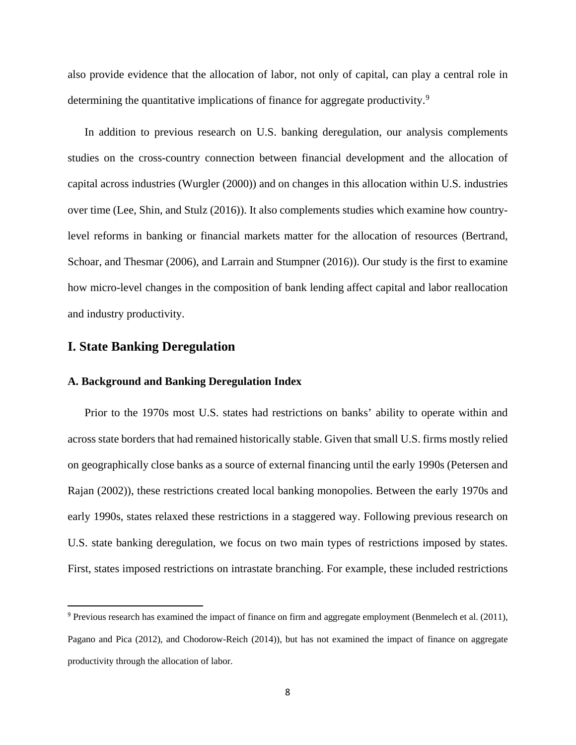also provide evidence that the allocation of labor, not only of capital, can play a central role in determining the quantitative implications of finance for aggregate productivity.<sup>[9](#page-10-0)</sup>

In addition to previous research on U.S. banking deregulation, our analysis complements studies on the cross-country connection between financial development and the allocation of capital across industries (Wurgler (2000)) and on changes in this allocation within U.S. industries over time (Lee, Shin, and Stulz (2016)). It also complements studies which examine how countrylevel reforms in banking or financial markets matter for the allocation of resources (Bertrand, Schoar, and Thesmar (2006), and Larrain and Stumpner (2016)). Our study is the first to examine how micro-level changes in the composition of bank lending affect capital and labor reallocation and industry productivity.

# **I. State Banking Deregulation**

#### **A. Background and Banking Deregulation Index**

Prior to the 1970s most U.S. states had restrictions on banks' ability to operate within and across state borders that had remained historically stable. Given that small U.S. firms mostly relied on geographically close banks as a source of external financing until the early 1990s (Petersen and Rajan (2002)), these restrictions created local banking monopolies. Between the early 1970s and early 1990s, states relaxed these restrictions in a staggered way. Following previous research on U.S. state banking deregulation, we focus on two main types of restrictions imposed by states. First, states imposed restrictions on intrastate branching. For example, these included restrictions

<span id="page-10-0"></span><sup>9</sup> Previous research has examined the impact of finance on firm and aggregate employment (Benmelech et al. (2011), Pagano and Pica (2012), and Chodorow-Reich (2014)), but has not examined the impact of finance on aggregate productivity through the allocation of labor.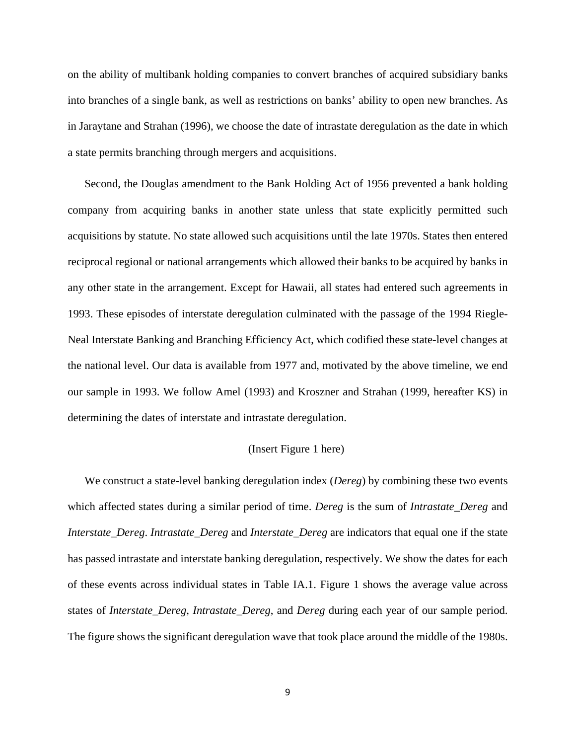on the ability of multibank holding companies to convert branches of acquired subsidiary banks into branches of a single bank, as well as restrictions on banks' ability to open new branches. As in Jaraytane and Strahan (1996), we choose the date of intrastate deregulation as the date in which a state permits branching through mergers and acquisitions.

Second, the Douglas amendment to the Bank Holding Act of 1956 prevented a bank holding company from acquiring banks in another state unless that state explicitly permitted such acquisitions by statute. No state allowed such acquisitions until the late 1970s. States then entered reciprocal regional or national arrangements which allowed their banks to be acquired by banks in any other state in the arrangement. Except for Hawaii, all states had entered such agreements in 1993. These episodes of interstate deregulation culminated with the passage of the 1994 Riegle-Neal Interstate Banking and Branching Efficiency Act, which codified these state-level changes at the national level. Our data is available from 1977 and, motivated by the above timeline, we end our sample in 1993. We follow Amel (1993) and Kroszner and Strahan (1999, hereafter KS) in determining the dates of interstate and intrastate deregulation.

#### (Insert Figure 1 here)

We construct a state-level banking deregulation index (*Dereg*) by combining these two events which affected states during a similar period of time. *Dereg* is the sum of *Intrastate\_Dereg* and *Interstate\_Dereg*. *Intrastate\_Dereg* and *Interstate\_Dereg* are indicators that equal one if the state has passed intrastate and interstate banking deregulation, respectively. We show the dates for each of these events across individual states in Table IA.1. Figure 1 shows the average value across states of *Interstate\_Dereg*, *Intrastate\_Dereg*, and *Dereg* during each year of our sample period. The figure shows the significant deregulation wave that took place around the middle of the 1980s.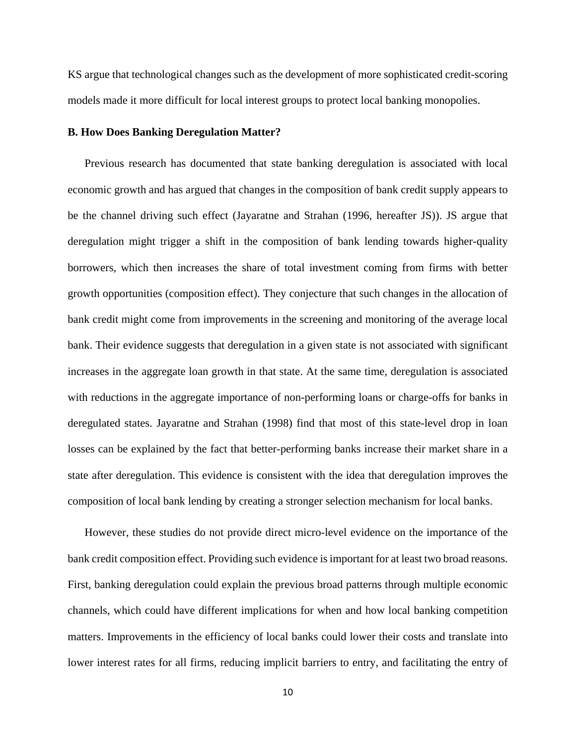KS argue that technological changes such as the development of more sophisticated credit-scoring models made it more difficult for local interest groups to protect local banking monopolies.

#### **B. How Does Banking Deregulation Matter?**

Previous research has documented that state banking deregulation is associated with local economic growth and has argued that changes in the composition of bank credit supply appears to be the channel driving such effect (Jayaratne and Strahan (1996, hereafter JS)). JS argue that deregulation might trigger a shift in the composition of bank lending towards higher-quality borrowers, which then increases the share of total investment coming from firms with better growth opportunities (composition effect). They conjecture that such changes in the allocation of bank credit might come from improvements in the screening and monitoring of the average local bank. Their evidence suggests that deregulation in a given state is not associated with significant increases in the aggregate loan growth in that state. At the same time, deregulation is associated with reductions in the aggregate importance of non-performing loans or charge-offs for banks in deregulated states. Jayaratne and Strahan (1998) find that most of this state-level drop in loan losses can be explained by the fact that better-performing banks increase their market share in a state after deregulation. This evidence is consistent with the idea that deregulation improves the composition of local bank lending by creating a stronger selection mechanism for local banks.

However, these studies do not provide direct micro-level evidence on the importance of the bank credit composition effect. Providing such evidence is important for at least two broad reasons. First, banking deregulation could explain the previous broad patterns through multiple economic channels, which could have different implications for when and how local banking competition matters. Improvements in the efficiency of local banks could lower their costs and translate into lower interest rates for all firms, reducing implicit barriers to entry, and facilitating the entry of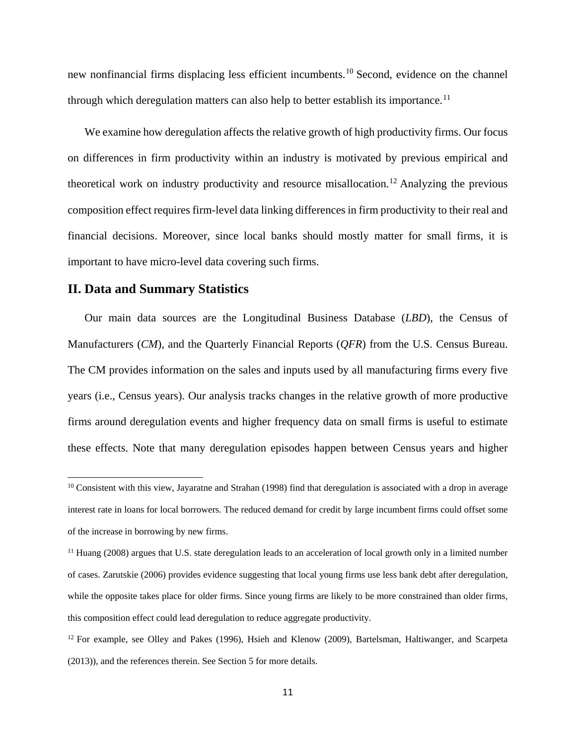new nonfinancial firms displacing less efficient incumbents.<sup>10</sup> Second, evidence on the channel through which deregulation matters can also help to better establish its importance.<sup>[11](#page-13-1)</sup>

We examine how deregulation affects the relative growth of high productivity firms. Our focus on differences in firm productivity within an industry is motivated by previous empirical and theoretical work on industry productivity and resource misallocation. [12](#page-13-2) Analyzing the previous composition effect requires firm-level data linking differences in firm productivity to their real and financial decisions. Moreover, since local banks should mostly matter for small firms, it is important to have micro-level data covering such firms.

### **II. Data and Summary Statistics**

 $\overline{a}$ 

Our main data sources are the Longitudinal Business Database (*LBD*), the Census of Manufacturers (*CM*), and the Quarterly Financial Reports (*QFR*) from the U.S. Census Bureau. The CM provides information on the sales and inputs used by all manufacturing firms every five years (i.e., Census years). Our analysis tracks changes in the relative growth of more productive firms around deregulation events and higher frequency data on small firms is useful to estimate these effects. Note that many deregulation episodes happen between Census years and higher

<span id="page-13-0"></span> $10$  Consistent with this view, Jayaratne and Strahan (1998) find that deregulation is associated with a drop in average interest rate in loans for local borrowers. The reduced demand for credit by large incumbent firms could offset some of the increase in borrowing by new firms.

<span id="page-13-1"></span><sup>&</sup>lt;sup>11</sup> Huang (2008) argues that U.S. state deregulation leads to an acceleration of local growth only in a limited number of cases. Zarutskie (2006) provides evidence suggesting that local young firms use less bank debt after deregulation, while the opposite takes place for older firms. Since young firms are likely to be more constrained than older firms, this composition effect could lead deregulation to reduce aggregate productivity.

<span id="page-13-2"></span><sup>&</sup>lt;sup>12</sup> For example, see Olley and Pakes (1996), Hsieh and Klenow (2009), Bartelsman, Haltiwanger, and Scarpeta (2013)), and the references therein. See Section 5 for more details.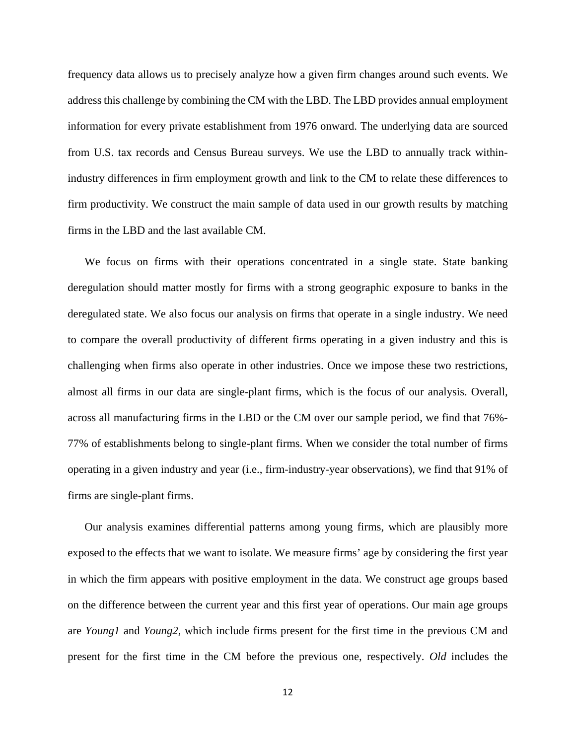frequency data allows us to precisely analyze how a given firm changes around such events. We address this challenge by combining the CM with the LBD. The LBD provides annual employment information for every private establishment from 1976 onward. The underlying data are sourced from U.S. tax records and Census Bureau surveys. We use the LBD to annually track withinindustry differences in firm employment growth and link to the CM to relate these differences to firm productivity. We construct the main sample of data used in our growth results by matching firms in the LBD and the last available CM.

We focus on firms with their operations concentrated in a single state. State banking deregulation should matter mostly for firms with a strong geographic exposure to banks in the deregulated state. We also focus our analysis on firms that operate in a single industry. We need to compare the overall productivity of different firms operating in a given industry and this is challenging when firms also operate in other industries. Once we impose these two restrictions, almost all firms in our data are single-plant firms, which is the focus of our analysis. Overall, across all manufacturing firms in the LBD or the CM over our sample period, we find that 76%- 77% of establishments belong to single-plant firms. When we consider the total number of firms operating in a given industry and year (i.e., firm-industry-year observations), we find that 91% of firms are single-plant firms.

Our analysis examines differential patterns among young firms, which are plausibly more exposed to the effects that we want to isolate. We measure firms' age by considering the first year in which the firm appears with positive employment in the data. We construct age groups based on the difference between the current year and this first year of operations. Our main age groups are *Young1* and *Young2*, which include firms present for the first time in the previous CM and present for the first time in the CM before the previous one, respectively. *Old* includes the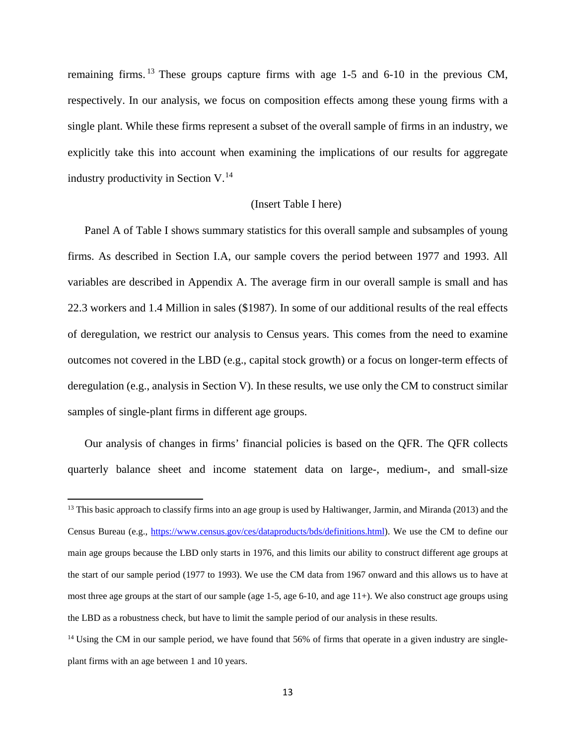remaining firms. [13](#page-15-0) These groups capture firms with age 1-5 and 6-10 in the previous CM, respectively. In our analysis, we focus on composition effects among these young firms with a single plant. While these firms represent a subset of the overall sample of firms in an industry, we explicitly take this into account when examining the implications of our results for aggregate industry productivity in Section  $V<sup>14</sup>$  $V<sup>14</sup>$  $V<sup>14</sup>$ .

#### (Insert Table I here)

Panel A of Table I shows summary statistics for this overall sample and subsamples of young firms. As described in Section I.A, our sample covers the period between 1977 and 1993. All variables are described in Appendix A. The average firm in our overall sample is small and has 22.3 workers and 1.4 Million in sales (\$1987). In some of our additional results of the real effects of deregulation, we restrict our analysis to Census years. This comes from the need to examine outcomes not covered in the LBD (e.g., capital stock growth) or a focus on longer-term effects of deregulation (e.g., analysis in Section V). In these results, we use only the CM to construct similar samples of single-plant firms in different age groups.

Our analysis of changes in firms' financial policies is based on the QFR. The QFR collects quarterly balance sheet and income statement data on large-, medium-, and small-size

 $\overline{\phantom{a}}$ 

<span id="page-15-0"></span><sup>&</sup>lt;sup>13</sup> This basic approach to classify firms into an age group is used by Haltiwanger, Jarmin, and Miranda (2013) and the Census Bureau (e.g., [https://www.census.gov/ces/dataproducts/bds/definitions.html\)](https://www.census.gov/ces/dataproducts/bds/definitions.html). We use the CM to define our main age groups because the LBD only starts in 1976, and this limits our ability to construct different age groups at the start of our sample period (1977 to 1993). We use the CM data from 1967 onward and this allows us to have at most three age groups at the start of our sample (age 1-5, age 6-10, and age 11+). We also construct age groups using the LBD as a robustness check, but have to limit the sample period of our analysis in these results.

<span id="page-15-1"></span> $14$  Using the CM in our sample period, we have found that 56% of firms that operate in a given industry are singleplant firms with an age between 1 and 10 years.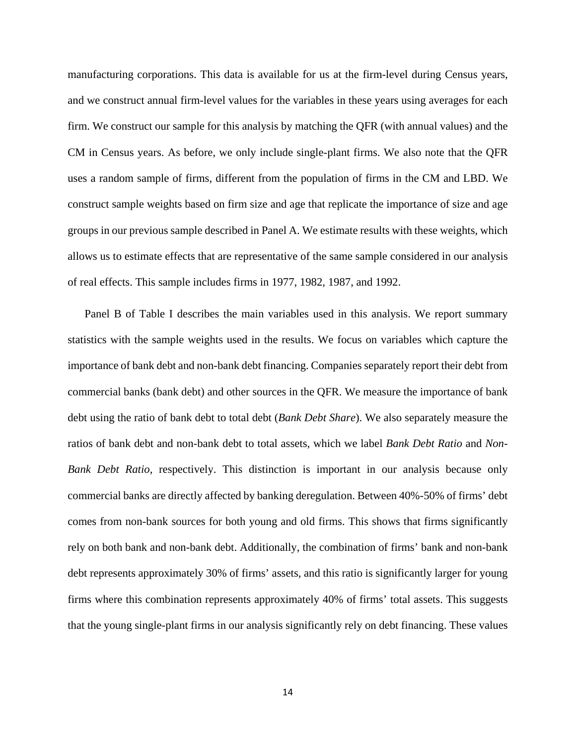manufacturing corporations. This data is available for us at the firm-level during Census years, and we construct annual firm-level values for the variables in these years using averages for each firm. We construct our sample for this analysis by matching the QFR (with annual values) and the CM in Census years. As before, we only include single-plant firms. We also note that the QFR uses a random sample of firms, different from the population of firms in the CM and LBD. We construct sample weights based on firm size and age that replicate the importance of size and age groups in our previous sample described in Panel A. We estimate results with these weights, which allows us to estimate effects that are representative of the same sample considered in our analysis of real effects. This sample includes firms in 1977, 1982, 1987, and 1992.

Panel B of Table I describes the main variables used in this analysis. We report summary statistics with the sample weights used in the results. We focus on variables which capture the importance of bank debt and non-bank debt financing. Companies separately report their debt from commercial banks (bank debt) and other sources in the QFR. We measure the importance of bank debt using the ratio of bank debt to total debt (*Bank Debt Share*). We also separately measure the ratios of bank debt and non-bank debt to total assets, which we label *Bank Debt Ratio* and *Non-Bank Debt Ratio*, respectively. This distinction is important in our analysis because only commercial banks are directly affected by banking deregulation. Between 40%-50% of firms' debt comes from non-bank sources for both young and old firms. This shows that firms significantly rely on both bank and non-bank debt. Additionally, the combination of firms' bank and non-bank debt represents approximately 30% of firms' assets, and this ratio is significantly larger for young firms where this combination represents approximately 40% of firms' total assets. This suggests that the young single-plant firms in our analysis significantly rely on debt financing. These values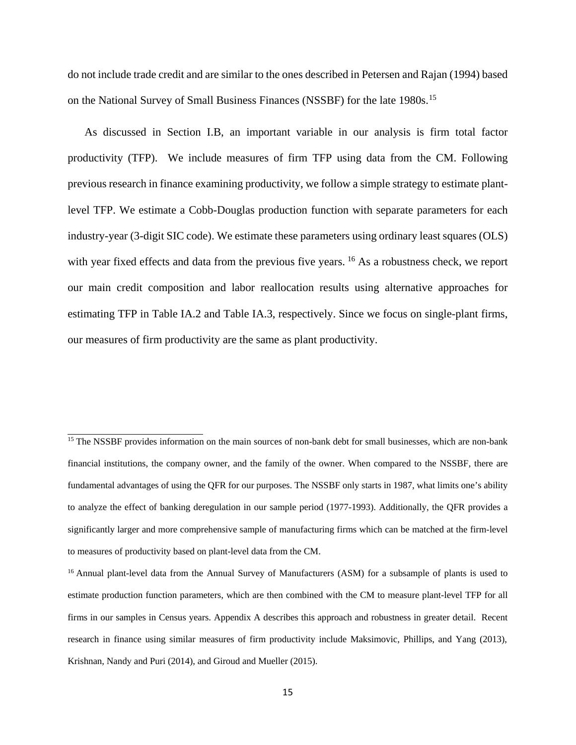do not include trade credit and are similar to the ones described in Petersen and Rajan (1994) based on the National Survey of Small Business Finances (NSSBF) for the late 1980s.<sup>[15](#page-17-0)</sup>

As discussed in Section I.B, an important variable in our analysis is firm total factor productivity (TFP). We include measures of firm TFP using data from the CM. Following previous research in finance examining productivity, we follow a simple strategy to estimate plantlevel TFP. We estimate a Cobb-Douglas production function with separate parameters for each industry-year (3-digit SIC code). We estimate these parameters using ordinary least squares (OLS) with year fixed effects and data from the previous five years. <sup>[16](#page-17-1)</sup> As a robustness check, we report our main credit composition and labor reallocation results using alternative approaches for estimating TFP in Table IA.2 and Table IA.3, respectively. Since we focus on single-plant firms, our measures of firm productivity are the same as plant productivity.

<span id="page-17-0"></span><sup>&</sup>lt;sup>15</sup> The NSSBF provides information on the main sources of non-bank debt for small businesses, which are non-bank financial institutions, the company owner, and the family of the owner. When compared to the NSSBF, there are fundamental advantages of using the QFR for our purposes. The NSSBF only starts in 1987, what limits one's ability to analyze the effect of banking deregulation in our sample period (1977-1993). Additionally, the QFR provides a significantly larger and more comprehensive sample of manufacturing firms which can be matched at the firm-level to measures of productivity based on plant-level data from the CM.

<span id="page-17-1"></span><sup>&</sup>lt;sup>16</sup> Annual plant-level data from the Annual Survey of Manufacturers (ASM) for a subsample of plants is used to estimate production function parameters, which are then combined with the CM to measure plant-level TFP for all firms in our samples in Census years. Appendix A describes this approach and robustness in greater detail. Recent research in finance using similar measures of firm productivity include Maksimovic, Phillips, and Yang (2013), Krishnan, Nandy and Puri (2014), and Giroud and Mueller (2015).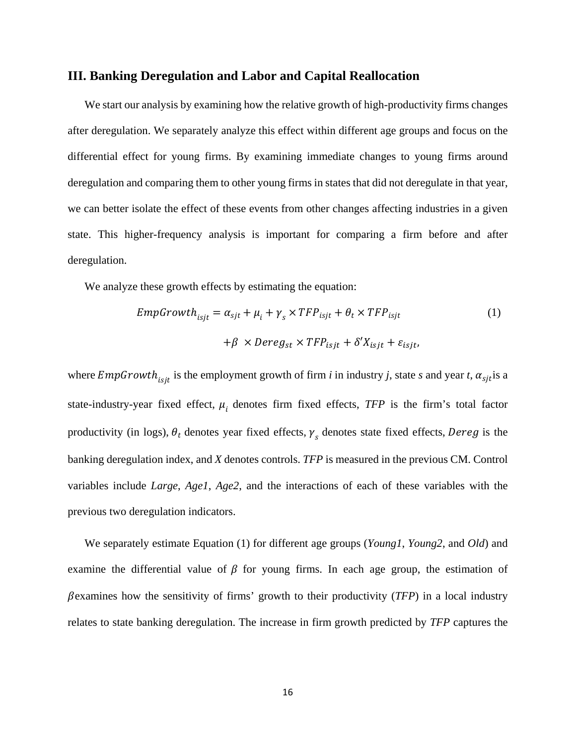## **III. Banking Deregulation and Labor and Capital Reallocation**

We start our analysis by examining how the relative growth of high-productivity firms changes after deregulation. We separately analyze this effect within different age groups and focus on the differential effect for young firms. By examining immediate changes to young firms around deregulation and comparing them to other young firms in states that did not deregulate in that year, we can better isolate the effect of these events from other changes affecting industries in a given state. This higher-frequency analysis is important for comparing a firm before and after deregulation.

We analyze these growth effects by estimating the equation:

$$
EmpGrowth_{isjt} = \alpha_{sjt} + \mu_i + \gamma_s \times TFP_{isjt} + \theta_t \times TFP_{isjt}
$$
\n
$$
+ \beta \times Dereg_{st} \times TFP_{isjt} + \delta'X_{isjt} + \varepsilon_{isjt},
$$
\n
$$
(1)
$$

where  $EmpGrowth_{isit}$  is the employment growth of firm *i* in industry *j*, state *s* and year *t*,  $\alpha_{sjt}$  is a state-industry-year fixed effect,  $\mu_i$  denotes firm fixed effects, *TFP* is the firm's total factor productivity (in logs),  $\theta_t$  denotes year fixed effects,  $\gamma_s$  denotes state fixed effects, *Dereg* is the banking deregulation index, and *X* denotes controls. *TFP* is measured in the previous CM. Control variables include *Large*, *Age1*, *Age2*, and the interactions of each of these variables with the previous two deregulation indicators.

We separately estimate Equation (1) for different age groups (*Young1*, *Young2*, and *Old*) and examine the differential value of  $\beta$  for young firms. In each age group, the estimation of  $\beta$  examines how the sensitivity of firms' growth to their productivity (*TFP*) in a local industry relates to state banking deregulation. The increase in firm growth predicted by *TFP* captures the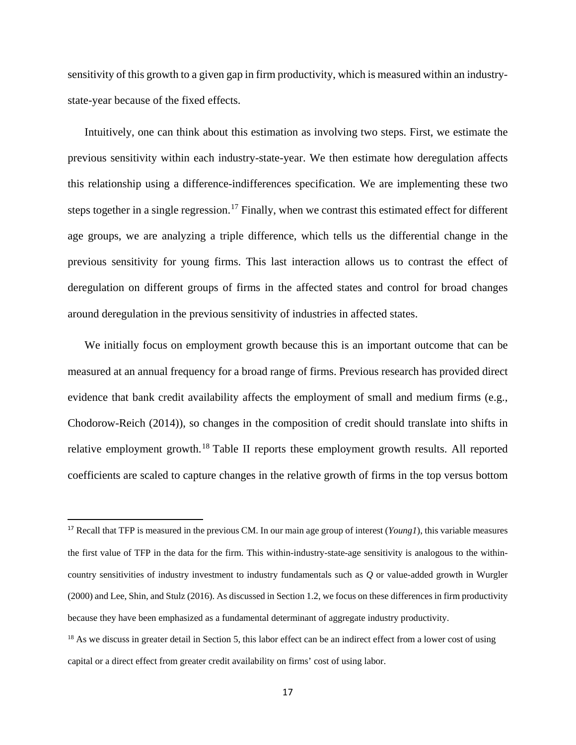sensitivity of this growth to a given gap in firm productivity, which is measured within an industrystate-year because of the fixed effects.

Intuitively, one can think about this estimation as involving two steps. First, we estimate the previous sensitivity within each industry-state-year. We then estimate how deregulation affects this relationship using a difference-indifferences specification. We are implementing these two steps together in a single regression.<sup>[17](#page-19-0)</sup> Finally, when we contrast this estimated effect for different age groups, we are analyzing a triple difference, which tells us the differential change in the previous sensitivity for young firms. This last interaction allows us to contrast the effect of deregulation on different groups of firms in the affected states and control for broad changes around deregulation in the previous sensitivity of industries in affected states.

We initially focus on employment growth because this is an important outcome that can be measured at an annual frequency for a broad range of firms. Previous research has provided direct evidence that bank credit availability affects the employment of small and medium firms (e.g., Chodorow-Reich (2014)), so changes in the composition of credit should translate into shifts in relative employment growth.<sup>[18](#page-19-1)</sup> Table II reports these employment growth results. All reported coefficients are scaled to capture changes in the relative growth of firms in the top versus bottom

 $\overline{a}$ 

<span id="page-19-0"></span><sup>17</sup> Recall that TFP is measured in the previous CM. In our main age group of interest (*Young1*), this variable measures the first value of TFP in the data for the firm. This within-industry-state-age sensitivity is analogous to the withincountry sensitivities of industry investment to industry fundamentals such as *Q* or value-added growth in Wurgler (2000) and Lee, Shin, and Stulz (2016). As discussed in Section 1.2, we focus on these differences in firm productivity because they have been emphasized as a fundamental determinant of aggregate industry productivity.

<span id="page-19-1"></span><sup>&</sup>lt;sup>18</sup> As we discuss in greater detail in Section 5, this labor effect can be an indirect effect from a lower cost of using capital or a direct effect from greater credit availability on firms' cost of using labor.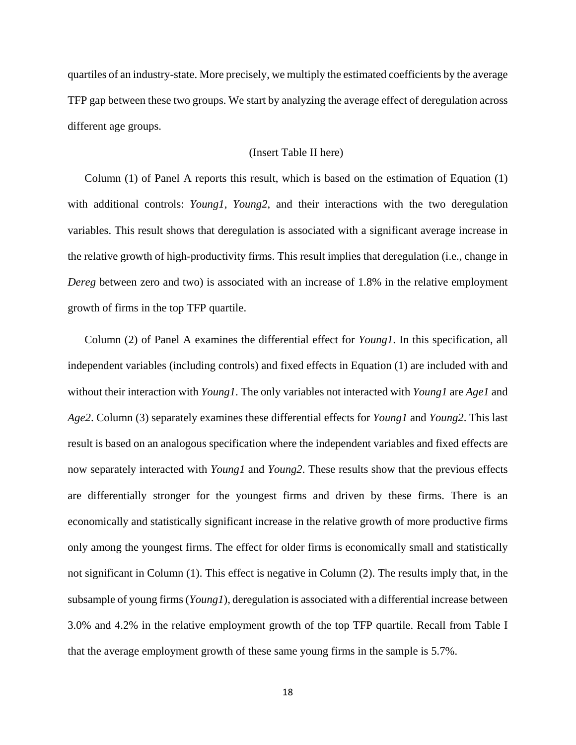quartiles of an industry-state. More precisely, we multiply the estimated coefficients by the average TFP gap between these two groups. We start by analyzing the average effect of deregulation across different age groups.

### (Insert Table II here)

Column (1) of Panel A reports this result, which is based on the estimation of Equation (1) with additional controls: *Young1*, *Young2*, and their interactions with the two deregulation variables. This result shows that deregulation is associated with a significant average increase in the relative growth of high-productivity firms. This result implies that deregulation (i.e., change in *Dereg* between zero and two) is associated with an increase of 1.8% in the relative employment growth of firms in the top TFP quartile.

Column (2) of Panel A examines the differential effect for *Young1*. In this specification, all independent variables (including controls) and fixed effects in Equation (1) are included with and without their interaction with *Young1*. The only variables not interacted with *Young1* are *Age1* and *Age2*. Column (3) separately examines these differential effects for *Young1* and *Young2*. This last result is based on an analogous specification where the independent variables and fixed effects are now separately interacted with *Young1* and *Young2*. These results show that the previous effects are differentially stronger for the youngest firms and driven by these firms. There is an economically and statistically significant increase in the relative growth of more productive firms only among the youngest firms. The effect for older firms is economically small and statistically not significant in Column (1). This effect is negative in Column (2). The results imply that, in the subsample of young firms (*Young1*), deregulation is associated with a differential increase between 3.0% and 4.2% in the relative employment growth of the top TFP quartile. Recall from Table I that the average employment growth of these same young firms in the sample is 5.7%.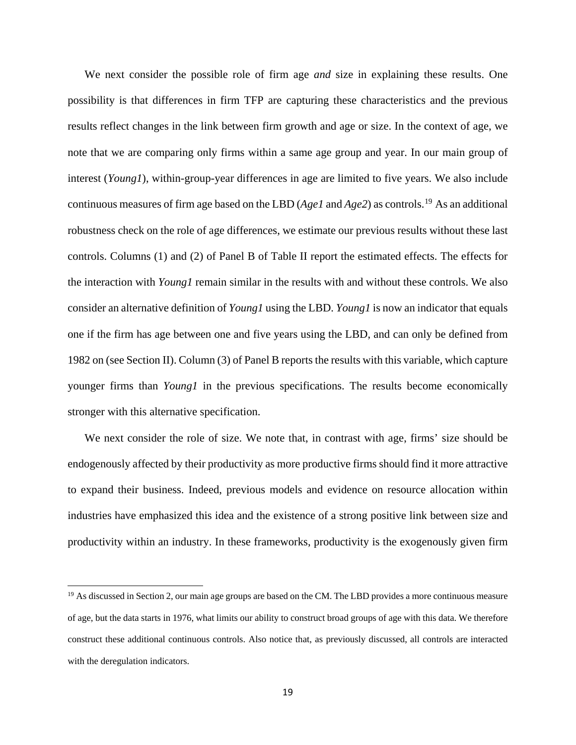We next consider the possible role of firm age *and* size in explaining these results. One possibility is that differences in firm TFP are capturing these characteristics and the previous results reflect changes in the link between firm growth and age or size. In the context of age, we note that we are comparing only firms within a same age group and year. In our main group of interest (*Young1*), within-group-year differences in age are limited to five years. We also include continuous measures of firm age based on the LBD (*Age1* and *Age2*) as controls. [19](#page-21-0) As an additional robustness check on the role of age differences, we estimate our previous results without these last controls. Columns (1) and (2) of Panel B of Table II report the estimated effects. The effects for the interaction with *Young1* remain similar in the results with and without these controls. We also consider an alternative definition of *Young1* using the LBD. *Young1* is now an indicator that equals one if the firm has age between one and five years using the LBD, and can only be defined from 1982 on (see Section II). Column (3) of Panel B reports the results with this variable, which capture younger firms than *Young1* in the previous specifications. The results become economically stronger with this alternative specification.

We next consider the role of size. We note that, in contrast with age, firms' size should be endogenously affected by their productivity as more productive firms should find it more attractive to expand their business. Indeed, previous models and evidence on resource allocation within industries have emphasized this idea and the existence of a strong positive link between size and productivity within an industry. In these frameworks, productivity is the exogenously given firm

 $\overline{\phantom{a}}$ 

<span id="page-21-0"></span><sup>&</sup>lt;sup>19</sup> As discussed in Section 2, our main age groups are based on the CM. The LBD provides a more continuous measure of age, but the data starts in 1976, what limits our ability to construct broad groups of age with this data. We therefore construct these additional continuous controls. Also notice that, as previously discussed, all controls are interacted with the deregulation indicators.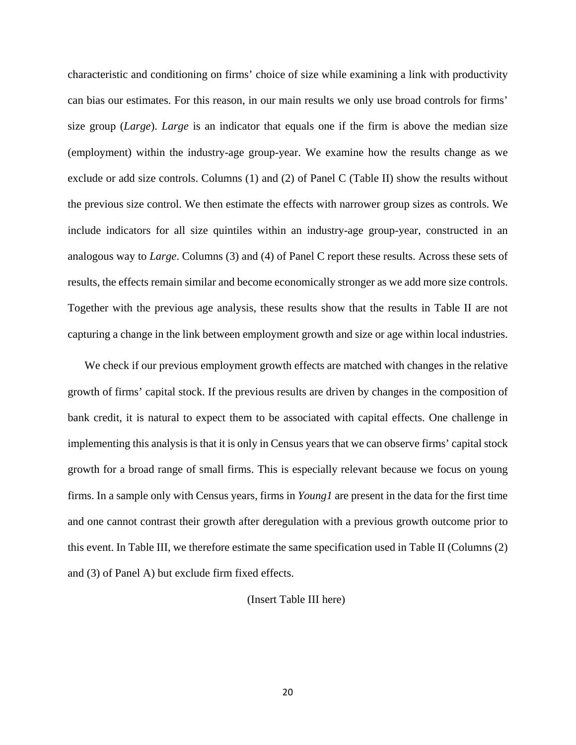characteristic and conditioning on firms' choice of size while examining a link with productivity can bias our estimates. For this reason, in our main results we only use broad controls for firms' size group (*Large*). *Large* is an indicator that equals one if the firm is above the median size (employment) within the industry-age group-year. We examine how the results change as we exclude or add size controls. Columns (1) and (2) of Panel C (Table II) show the results without the previous size control. We then estimate the effects with narrower group sizes as controls. We include indicators for all size quintiles within an industry-age group-year, constructed in an analogous way to *Large*. Columns (3) and (4) of Panel C report these results. Across these sets of results, the effects remain similar and become economically stronger as we add more size controls. Together with the previous age analysis, these results show that the results in Table II are not capturing a change in the link between employment growth and size or age within local industries.

We check if our previous employment growth effects are matched with changes in the relative growth of firms' capital stock. If the previous results are driven by changes in the composition of bank credit, it is natural to expect them to be associated with capital effects. One challenge in implementing this analysis is that it is only in Census years that we can observe firms' capital stock growth for a broad range of small firms. This is especially relevant because we focus on young firms. In a sample only with Census years, firms in *Young1* are present in the data for the first time and one cannot contrast their growth after deregulation with a previous growth outcome prior to this event. In Table III, we therefore estimate the same specification used in Table II (Columns (2) and (3) of Panel A) but exclude firm fixed effects.

#### (Insert Table III here)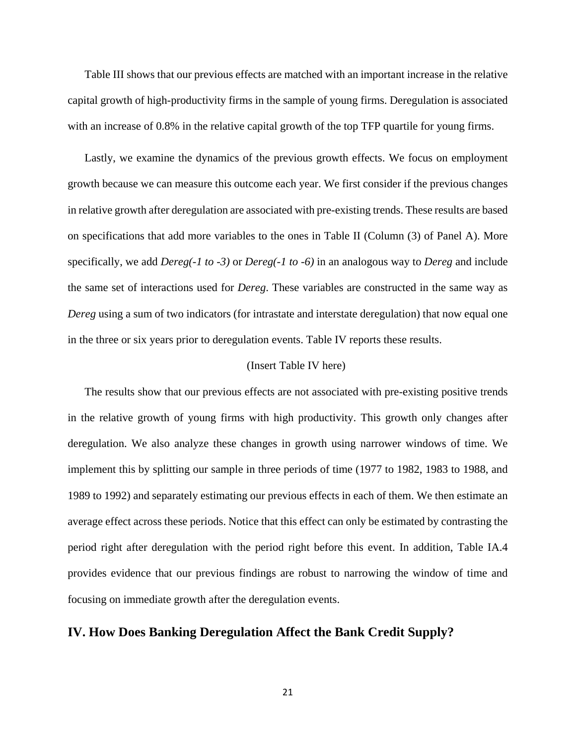Table III shows that our previous effects are matched with an important increase in the relative capital growth of high-productivity firms in the sample of young firms. Deregulation is associated with an increase of 0.8% in the relative capital growth of the top TFP quartile for young firms.

Lastly, we examine the dynamics of the previous growth effects. We focus on employment growth because we can measure this outcome each year. We first consider if the previous changes in relative growth after deregulation are associated with pre-existing trends. These results are based on specifications that add more variables to the ones in Table II (Column (3) of Panel A). More specifically, we add *Dereg(-1 to -3)* or *Dereg(-1 to -6)* in an analogous way to *Dereg* and include the same set of interactions used for *Dereg*. These variables are constructed in the same way as *Dereg* using a sum of two indicators (for intrastate and interstate deregulation) that now equal one in the three or six years prior to deregulation events. Table IV reports these results.

#### (Insert Table IV here)

The results show that our previous effects are not associated with pre-existing positive trends in the relative growth of young firms with high productivity. This growth only changes after deregulation. We also analyze these changes in growth using narrower windows of time. We implement this by splitting our sample in three periods of time (1977 to 1982, 1983 to 1988, and 1989 to 1992) and separately estimating our previous effects in each of them. We then estimate an average effect across these periods. Notice that this effect can only be estimated by contrasting the period right after deregulation with the period right before this event. In addition, Table IA.4 provides evidence that our previous findings are robust to narrowing the window of time and focusing on immediate growth after the deregulation events.

## **IV. How Does Banking Deregulation Affect the Bank Credit Supply?**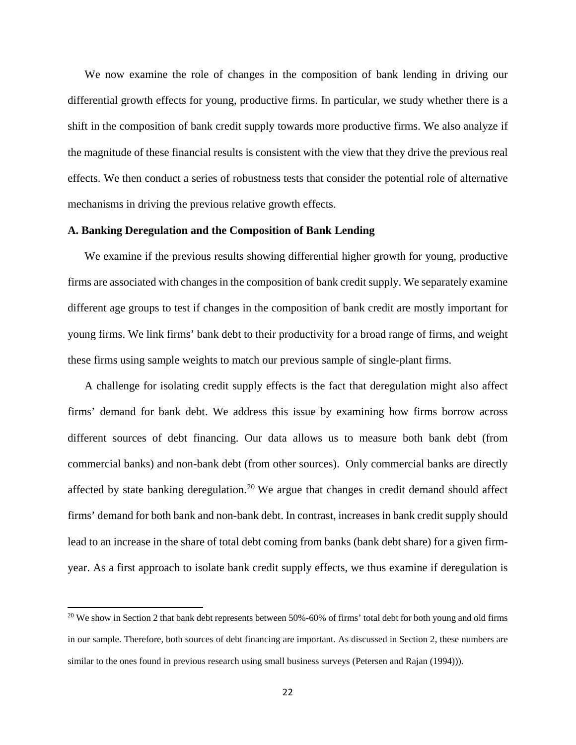We now examine the role of changes in the composition of bank lending in driving our differential growth effects for young, productive firms. In particular, we study whether there is a shift in the composition of bank credit supply towards more productive firms. We also analyze if the magnitude of these financial results is consistent with the view that they drive the previous real effects. We then conduct a series of robustness tests that consider the potential role of alternative mechanisms in driving the previous relative growth effects.

#### **A. Banking Deregulation and the Composition of Bank Lending**

We examine if the previous results showing differential higher growth for young, productive firms are associated with changes in the composition of bank credit supply. We separately examine different age groups to test if changes in the composition of bank credit are mostly important for young firms. We link firms' bank debt to their productivity for a broad range of firms, and weight these firms using sample weights to match our previous sample of single-plant firms.

A challenge for isolating credit supply effects is the fact that deregulation might also affect firms' demand for bank debt. We address this issue by examining how firms borrow across different sources of debt financing. Our data allows us to measure both bank debt (from commercial banks) and non-bank debt (from other sources). Only commercial banks are directly affected by state banking deregulation.<sup>[20](#page-24-0)</sup> We argue that changes in credit demand should affect firms' demand for both bank and non-bank debt. In contrast, increases in bank credit supply should lead to an increase in the share of total debt coming from banks (bank debt share) for a given firmyear. As a first approach to isolate bank credit supply effects, we thus examine if deregulation is

 $\overline{a}$ 

<span id="page-24-0"></span><sup>&</sup>lt;sup>20</sup> We show in Section 2 that bank debt represents between  $50\%$ -60% of firms' total debt for both young and old firms in our sample. Therefore, both sources of debt financing are important. As discussed in Section 2, these numbers are similar to the ones found in previous research using small business surveys (Petersen and Rajan (1994))).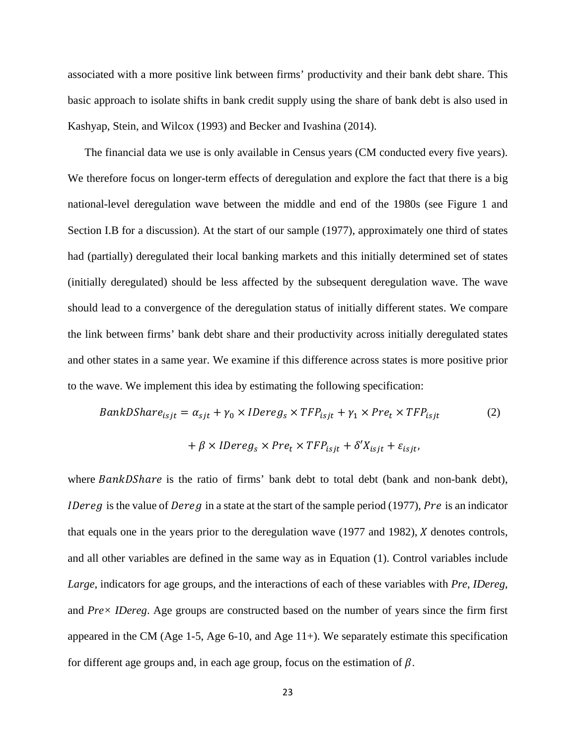associated with a more positive link between firms' productivity and their bank debt share. This basic approach to isolate shifts in bank credit supply using the share of bank debt is also used in Kashyap, Stein, and Wilcox (1993) and Becker and Ivashina (2014).

The financial data we use is only available in Census years (CM conducted every five years). We therefore focus on longer-term effects of deregulation and explore the fact that there is a big national-level deregulation wave between the middle and end of the 1980s (see Figure 1 and Section I.B for a discussion). At the start of our sample (1977), approximately one third of states had (partially) deregulated their local banking markets and this initially determined set of states (initially deregulated) should be less affected by the subsequent deregulation wave. The wave should lead to a convergence of the deregulation status of initially different states. We compare the link between firms' bank debt share and their productivity across initially deregulated states and other states in a same year. We examine if this difference across states is more positive prior to the wave. We implement this idea by estimating the following specification:

$$
BankDShare_{isjt} = \alpha_{sjt} + \gamma_0 \times IDereg_s \times TFP_{isjt} + \gamma_1 \times Pre_t \times TFP_{isjt}
$$
 (2)

$$
+\beta \times IDereg_s \times Pre_t \times TFP_{isjt} + \delta'X_{isjt} + \varepsilon_{isjt},
$$

where BankDShare is the ratio of firms' bank debt to total debt (bank and non-bank debt), IDereg is the value of Dereg in a state at the start of the sample period (1977), Pre is an indicator that equals one in the years prior to the deregulation wave  $(1977 \text{ and } 1982)$ ,  $X$  denotes controls, and all other variables are defined in the same way as in Equation (1). Control variables include *Large*, indicators for age groups, and the interactions of each of these variables with *Pre*, *IDereg*, and *Pre× IDereg*. Age groups are constructed based on the number of years since the firm first appeared in the CM (Age 1-5, Age 6-10, and Age 11+). We separately estimate this specification for different age groups and, in each age group, focus on the estimation of  $\beta$ .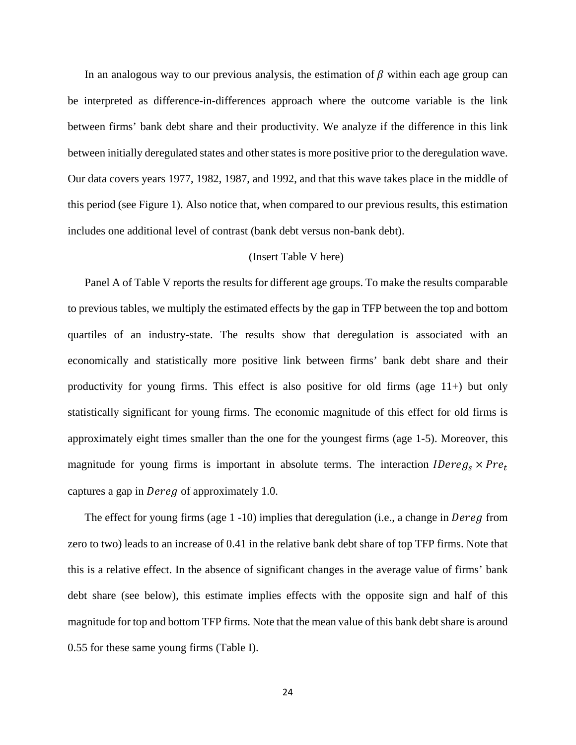In an analogous way to our previous analysis, the estimation of  $\beta$  within each age group can be interpreted as difference-in-differences approach where the outcome variable is the link between firms' bank debt share and their productivity. We analyze if the difference in this link between initially deregulated states and other states is more positive prior to the deregulation wave. Our data covers years 1977, 1982, 1987, and 1992, and that this wave takes place in the middle of this period (see Figure 1). Also notice that, when compared to our previous results, this estimation includes one additional level of contrast (bank debt versus non-bank debt).

#### (Insert Table V here)

Panel A of Table V reports the results for different age groups. To make the results comparable to previous tables, we multiply the estimated effects by the gap in TFP between the top and bottom quartiles of an industry-state. The results show that deregulation is associated with an economically and statistically more positive link between firms' bank debt share and their productivity for young firms. This effect is also positive for old firms (age 11+) but only statistically significant for young firms. The economic magnitude of this effect for old firms is approximately eight times smaller than the one for the youngest firms (age 1-5). Moreover, this magnitude for young firms is important in absolute terms. The interaction *IDereg<sub>s</sub>*  $\times$  *Pre*<sub>t</sub> captures a gap in  $Dereg$  of approximately 1.0.

The effect for young firms (age  $1 - 10$ ) implies that deregulation (i.e., a change in *Dereq* from zero to two) leads to an increase of 0.41 in the relative bank debt share of top TFP firms. Note that this is a relative effect. In the absence of significant changes in the average value of firms' bank debt share (see below), this estimate implies effects with the opposite sign and half of this magnitude for top and bottom TFP firms. Note that the mean value of this bank debt share is around 0.55 for these same young firms (Table I).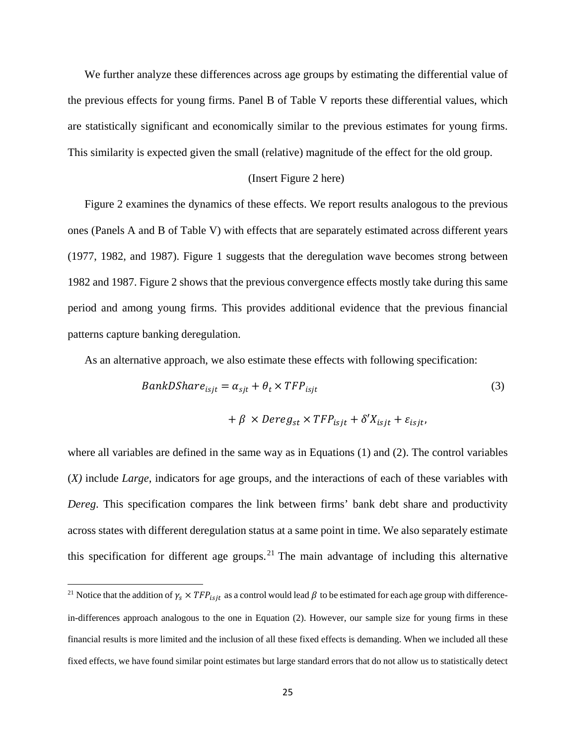We further analyze these differences across age groups by estimating the differential value of the previous effects for young firms. Panel B of Table V reports these differential values, which are statistically significant and economically similar to the previous estimates for young firms. This similarity is expected given the small (relative) magnitude of the effect for the old group.

#### (Insert Figure 2 here)

Figure 2 examines the dynamics of these effects. We report results analogous to the previous ones (Panels A and B of Table V) with effects that are separately estimated across different years (1977, 1982, and 1987). Figure 1 suggests that the deregulation wave becomes strong between 1982 and 1987. Figure 2 shows that the previous convergence effects mostly take during this same period and among young firms. This provides additional evidence that the previous financial patterns capture banking deregulation.

As an alternative approach, we also estimate these effects with following specification:

$$
BankDShare_{isjt} = \alpha_{sjt} + \theta_t \times TFP_{isjt}
$$
\n(3)

$$
+\beta \times Dereg_{st} \times TFP_{isjt} + \delta'X_{isjt} + \varepsilon_{isjt},
$$

where all variables are defined in the same way as in Equations (1) and (2). The control variables (*X)* include *Large*, indicators for age groups, and the interactions of each of these variables with *Dereg*. This specification compares the link between firms' bank debt share and productivity across states with different deregulation status at a same point in time. We also separately estimate this specification for different age groups.<sup>[21](#page-27-0)</sup> The main advantage of including this alternative

 $\overline{\phantom{a}}$ 

<span id="page-27-0"></span><sup>&</sup>lt;sup>21</sup> Notice that the addition of  $\gamma_s \times TFP_{isjt}$  as a control would lead  $\beta$  to be estimated for each age group with differencein-differences approach analogous to the one in Equation (2). However, our sample size for young firms in these financial results is more limited and the inclusion of all these fixed effects is demanding. When we included all these fixed effects, we have found similar point estimates but large standard errors that do not allow us to statistically detect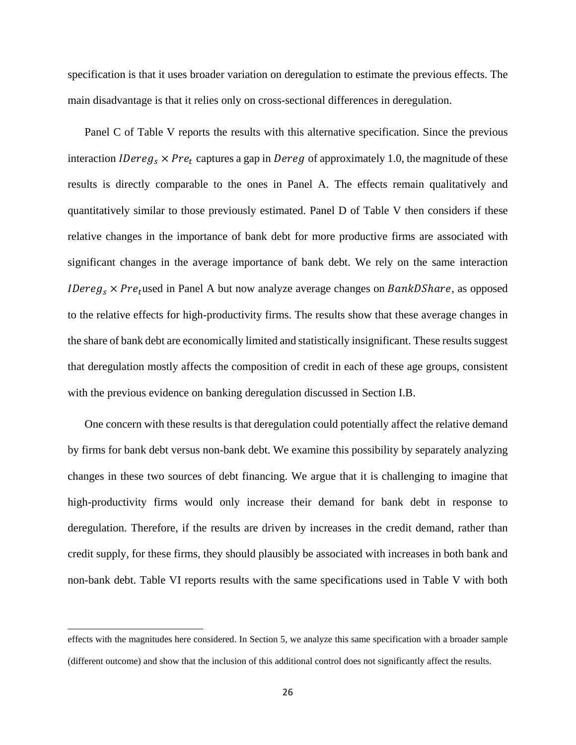specification is that it uses broader variation on deregulation to estimate the previous effects. The main disadvantage is that it relies only on cross-sectional differences in deregulation.

Panel C of Table V reports the results with this alternative specification. Since the previous interaction *IDereg<sub>s</sub>*  $\times$  *Pre<sub>t</sub>* captures a gap in *Dereg* of approximately 1.0, the magnitude of these results is directly comparable to the ones in Panel A. The effects remain qualitatively and quantitatively similar to those previously estimated. Panel D of Table V then considers if these relative changes in the importance of bank debt for more productive firms are associated with significant changes in the average importance of bank debt. We rely on the same interaction *IDereg<sub>s</sub>*  $\times$  *Pre*<sub>t</sub>used in Panel A but now analyze average changes on *BankDShare*, as opposed to the relative effects for high-productivity firms. The results show that these average changes in the share of bank debt are economically limited and statistically insignificant. These results suggest that deregulation mostly affects the composition of credit in each of these age groups, consistent with the previous evidence on banking deregulation discussed in Section I.B.

One concern with these results is that deregulation could potentially affect the relative demand by firms for bank debt versus non-bank debt. We examine this possibility by separately analyzing changes in these two sources of debt financing. We argue that it is challenging to imagine that high-productivity firms would only increase their demand for bank debt in response to deregulation. Therefore, if the results are driven by increases in the credit demand, rather than credit supply, for these firms, they should plausibly be associated with increases in both bank and non-bank debt. Table VI reports results with the same specifications used in Table V with both

l

effects with the magnitudes here considered. In Section 5, we analyze this same specification with a broader sample (different outcome) and show that the inclusion of this additional control does not significantly affect the results.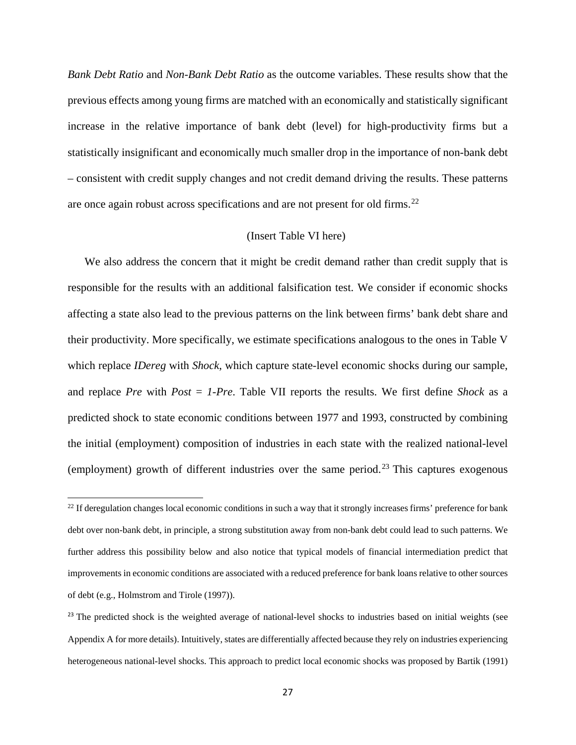*Bank Debt Ratio* and *Non-Bank Debt Ratio* as the outcome variables. These results show that the previous effects among young firms are matched with an economically and statistically significant increase in the relative importance of bank debt (level) for high-productivity firms but a statistically insignificant and economically much smaller drop in the importance of non-bank debt – consistent with credit supply changes and not credit demand driving the results. These patterns are once again robust across specifications and are not present for old firms.<sup>[22](#page-29-0)</sup>

#### (Insert Table VI here)

We also address the concern that it might be credit demand rather than credit supply that is responsible for the results with an additional falsification test. We consider if economic shocks affecting a state also lead to the previous patterns on the link between firms' bank debt share and their productivity. More specifically, we estimate specifications analogous to the ones in Table V which replace *IDereg* with *Shock*, which capture state-level economic shocks during our sample, and replace *Pre* with *Post* = *1-Pre*. Table VII reports the results. We first define *Shock* as a predicted shock to state economic conditions between 1977 and 1993, constructed by combining the initial (employment) composition of industries in each state with the realized national-level (employment) growth of different industries over the same period.<sup>[23](#page-29-1)</sup> This captures exogenous

 $\overline{\phantom{a}}$ 

<span id="page-29-0"></span> $22$  If deregulation changes local economic conditions in such a way that it strongly increases firms' preference for bank debt over non-bank debt, in principle, a strong substitution away from non-bank debt could lead to such patterns. We further address this possibility below and also notice that typical models of financial intermediation predict that improvements in economic conditions are associated with a reduced preference for bank loans relative to other sources of debt (e.g., Holmstrom and Tirole (1997)).

<span id="page-29-1"></span><sup>&</sup>lt;sup>23</sup> The predicted shock is the weighted average of national-level shocks to industries based on initial weights (see Appendix A for more details). Intuitively, states are differentially affected because they rely on industries experiencing heterogeneous national-level shocks. This approach to predict local economic shocks was proposed by Bartik (1991)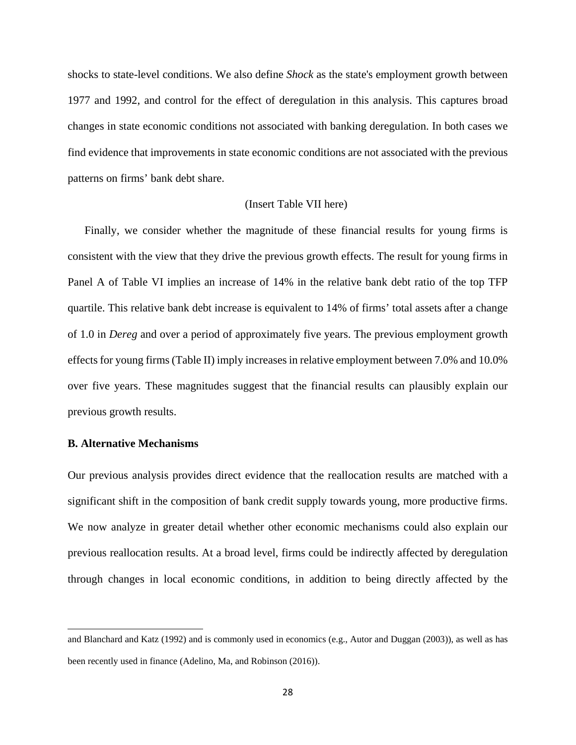shocks to state-level conditions. We also define *Shock* as the state's employment growth between 1977 and 1992, and control for the effect of deregulation in this analysis. This captures broad changes in state economic conditions not associated with banking deregulation. In both cases we find evidence that improvements in state economic conditions are not associated with the previous patterns on firms' bank debt share.

#### (Insert Table VII here)

Finally, we consider whether the magnitude of these financial results for young firms is consistent with the view that they drive the previous growth effects. The result for young firms in Panel A of Table VI implies an increase of 14% in the relative bank debt ratio of the top TFP quartile. This relative bank debt increase is equivalent to 14% of firms' total assets after a change of 1.0 in *Dereg* and over a period of approximately five years. The previous employment growth effects for young firms (Table II) imply increases in relative employment between 7.0% and 10.0% over five years. These magnitudes suggest that the financial results can plausibly explain our previous growth results.

#### **B. Alternative Mechanisms**

l

Our previous analysis provides direct evidence that the reallocation results are matched with a significant shift in the composition of bank credit supply towards young, more productive firms. We now analyze in greater detail whether other economic mechanisms could also explain our previous reallocation results. At a broad level, firms could be indirectly affected by deregulation through changes in local economic conditions, in addition to being directly affected by the

and Blanchard and Katz (1992) and is commonly used in economics (e.g., Autor and Duggan (2003)), as well as has been recently used in finance (Adelino, Ma, and Robinson (2016)).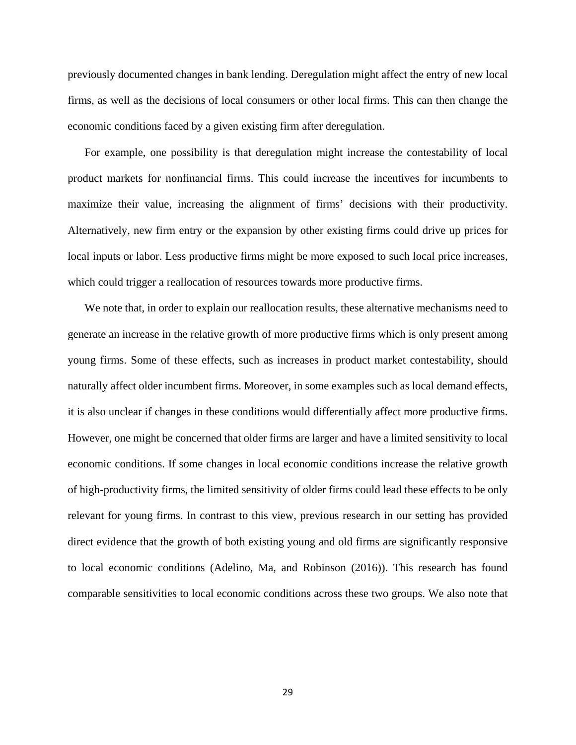previously documented changes in bank lending. Deregulation might affect the entry of new local firms, as well as the decisions of local consumers or other local firms. This can then change the economic conditions faced by a given existing firm after deregulation.

For example, one possibility is that deregulation might increase the contestability of local product markets for nonfinancial firms. This could increase the incentives for incumbents to maximize their value, increasing the alignment of firms' decisions with their productivity. Alternatively, new firm entry or the expansion by other existing firms could drive up prices for local inputs or labor. Less productive firms might be more exposed to such local price increases, which could trigger a reallocation of resources towards more productive firms.

We note that, in order to explain our reallocation results, these alternative mechanisms need to generate an increase in the relative growth of more productive firms which is only present among young firms. Some of these effects, such as increases in product market contestability, should naturally affect older incumbent firms. Moreover, in some examples such as local demand effects, it is also unclear if changes in these conditions would differentially affect more productive firms. However, one might be concerned that older firms are larger and have a limited sensitivity to local economic conditions. If some changes in local economic conditions increase the relative growth of high-productivity firms, the limited sensitivity of older firms could lead these effects to be only relevant for young firms. In contrast to this view, previous research in our setting has provided direct evidence that the growth of both existing young and old firms are significantly responsive to local economic conditions (Adelino, Ma, and Robinson (2016)). This research has found comparable sensitivities to local economic conditions across these two groups. We also note that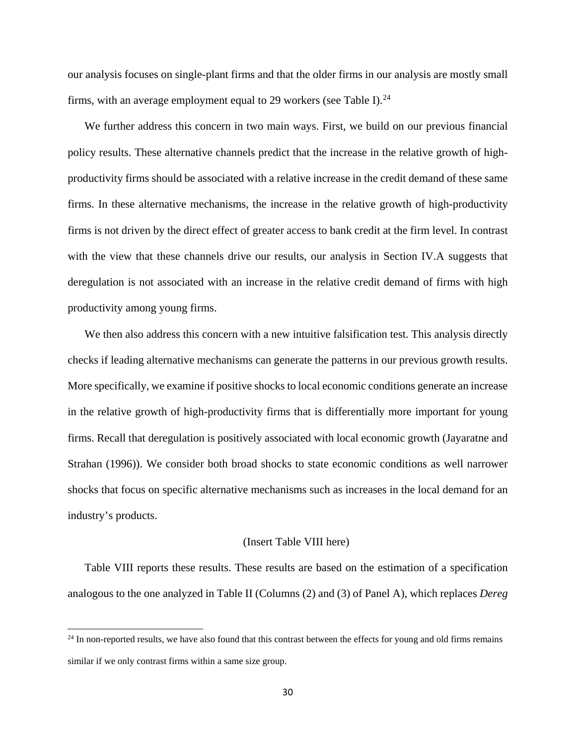our analysis focuses on single-plant firms and that the older firms in our analysis are mostly small firms, with an average employment equal to 29 workers (see Table I).<sup>[24](#page-32-0)</sup>

We further address this concern in two main ways. First, we build on our previous financial policy results. These alternative channels predict that the increase in the relative growth of highproductivity firms should be associated with a relative increase in the credit demand of these same firms. In these alternative mechanisms, the increase in the relative growth of high-productivity firms is not driven by the direct effect of greater access to bank credit at the firm level. In contrast with the view that these channels drive our results, our analysis in Section IV.A suggests that deregulation is not associated with an increase in the relative credit demand of firms with high productivity among young firms.

We then also address this concern with a new intuitive falsification test. This analysis directly checks if leading alternative mechanisms can generate the patterns in our previous growth results. More specifically, we examine if positive shocks to local economic conditions generate an increase in the relative growth of high-productivity firms that is differentially more important for young firms. Recall that deregulation is positively associated with local economic growth (Jayaratne and Strahan (1996)). We consider both broad shocks to state economic conditions as well narrower shocks that focus on specific alternative mechanisms such as increases in the local demand for an industry's products.

#### (Insert Table VIII here)

Table VIII reports these results. These results are based on the estimation of a specification analogous to the one analyzed in Table II (Columns (2) and (3) of Panel A), which replaces *Dereg*

l

<span id="page-32-0"></span> $24$  In non-reported results, we have also found that this contrast between the effects for young and old firms remains similar if we only contrast firms within a same size group.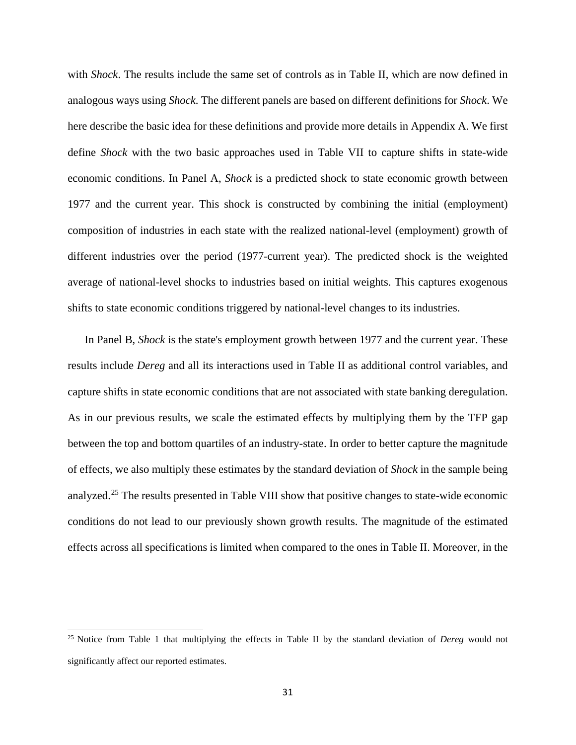with *Shock*. The results include the same set of controls as in Table II, which are now defined in analogous ways using *Shock*. The different panels are based on different definitions for *Shock*. We here describe the basic idea for these definitions and provide more details in Appendix A. We first define *Shock* with the two basic approaches used in Table VII to capture shifts in state-wide economic conditions. In Panel A, *Shock* is a predicted shock to state economic growth between 1977 and the current year. This shock is constructed by combining the initial (employment) composition of industries in each state with the realized national-level (employment) growth of different industries over the period (1977-current year). The predicted shock is the weighted average of national-level shocks to industries based on initial weights. This captures exogenous shifts to state economic conditions triggered by national-level changes to its industries.

In Panel B, *Shock* is the state's employment growth between 1977 and the current year. These results include *Dereg* and all its interactions used in Table II as additional control variables, and capture shifts in state economic conditions that are not associated with state banking deregulation. As in our previous results, we scale the estimated effects by multiplying them by the TFP gap between the top and bottom quartiles of an industry-state. In order to better capture the magnitude of effects, we also multiply these estimates by the standard deviation of *Shock* in the sample being analyzed.[25](#page-33-0) The results presented in Table VIII show that positive changes to state-wide economic conditions do not lead to our previously shown growth results. The magnitude of the estimated effects across all specifications is limited when compared to the ones in Table II. Moreover, in the

l

<span id="page-33-0"></span><sup>25</sup> Notice from Table 1 that multiplying the effects in Table II by the standard deviation of *Dereg* would not significantly affect our reported estimates.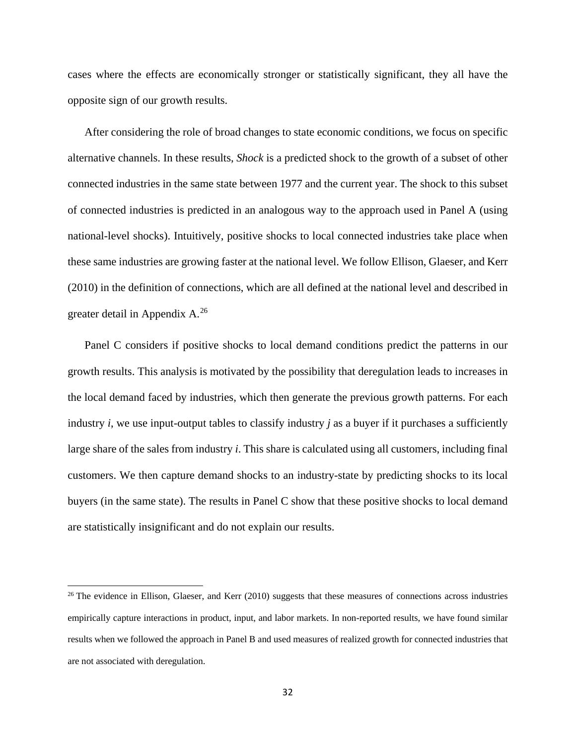cases where the effects are economically stronger or statistically significant, they all have the opposite sign of our growth results.

After considering the role of broad changes to state economic conditions, we focus on specific alternative channels. In these results, *Shock* is a predicted shock to the growth of a subset of other connected industries in the same state between 1977 and the current year. The shock to this subset of connected industries is predicted in an analogous way to the approach used in Panel A (using national-level shocks). Intuitively, positive shocks to local connected industries take place when these same industries are growing faster at the national level. We follow Ellison, Glaeser, and Kerr (2010) in the definition of connections, which are all defined at the national level and described in greater detail in Appendix  $A^{26}$  $A^{26}$  $A^{26}$ 

Panel C considers if positive shocks to local demand conditions predict the patterns in our growth results. This analysis is motivated by the possibility that deregulation leads to increases in the local demand faced by industries, which then generate the previous growth patterns. For each industry *i*, we use input-output tables to classify industry *j* as a buyer if it purchases a sufficiently large share of the sales from industry *i*. This share is calculated using all customers, including final customers. We then capture demand shocks to an industry-state by predicting shocks to its local buyers (in the same state). The results in Panel C show that these positive shocks to local demand are statistically insignificant and do not explain our results.

 $\overline{\phantom{a}}$ 

<span id="page-34-0"></span> $26$  The evidence in Ellison, Glaeser, and Kerr (2010) suggests that these measures of connections across industries empirically capture interactions in product, input, and labor markets. In non-reported results, we have found similar results when we followed the approach in Panel B and used measures of realized growth for connected industries that are not associated with deregulation.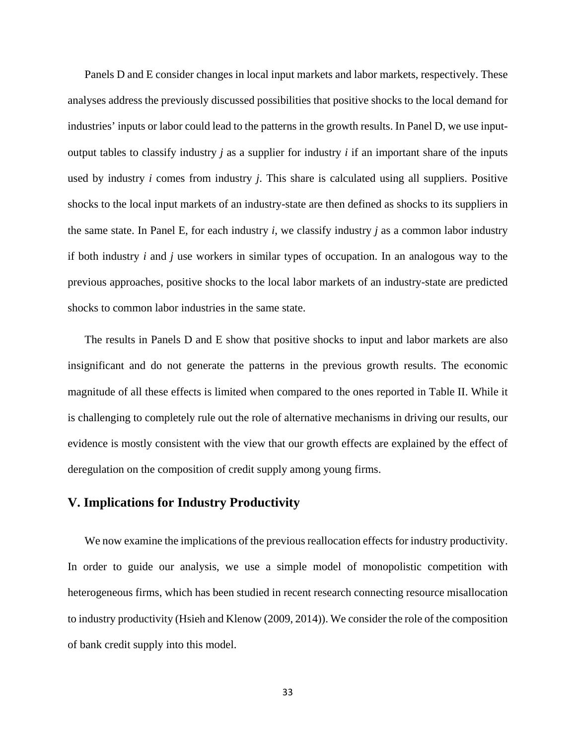Panels D and E consider changes in local input markets and labor markets, respectively. These analyses address the previously discussed possibilities that positive shocks to the local demand for industries' inputs or labor could lead to the patterns in the growth results. In Panel D, we use inputoutput tables to classify industry *j* as a supplier for industry *i* if an important share of the inputs used by industry *i* comes from industry *j*. This share is calculated using all suppliers. Positive shocks to the local input markets of an industry-state are then defined as shocks to its suppliers in the same state. In Panel E, for each industry *i*, we classify industry *j* as a common labor industry if both industry *i* and *j* use workers in similar types of occupation. In an analogous way to the previous approaches, positive shocks to the local labor markets of an industry-state are predicted shocks to common labor industries in the same state.

The results in Panels D and E show that positive shocks to input and labor markets are also insignificant and do not generate the patterns in the previous growth results. The economic magnitude of all these effects is limited when compared to the ones reported in Table II. While it is challenging to completely rule out the role of alternative mechanisms in driving our results, our evidence is mostly consistent with the view that our growth effects are explained by the effect of deregulation on the composition of credit supply among young firms.

## **V. Implications for Industry Productivity**

We now examine the implications of the previous reallocation effects for industry productivity. In order to guide our analysis, we use a simple model of monopolistic competition with heterogeneous firms, which has been studied in recent research connecting resource misallocation to industry productivity (Hsieh and Klenow (2009, 2014)). We consider the role of the composition of bank credit supply into this model.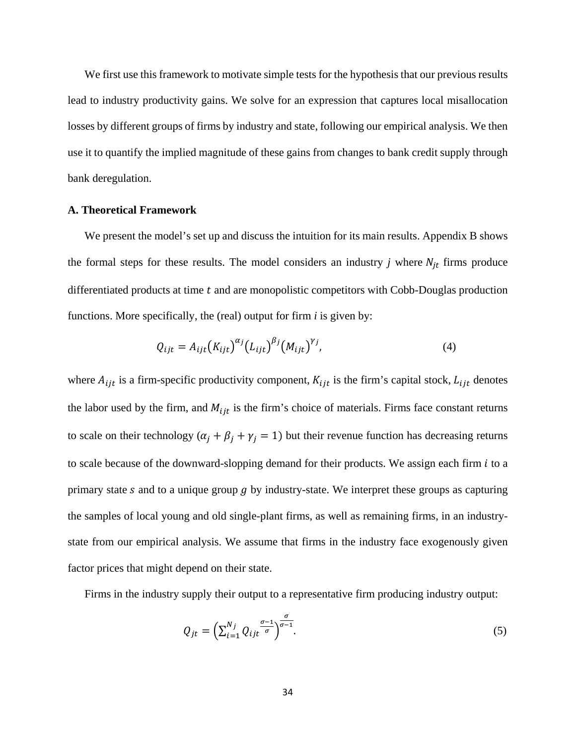We first use this framework to motivate simple tests for the hypothesis that our previous results lead to industry productivity gains. We solve for an expression that captures local misallocation losses by different groups of firms by industry and state, following our empirical analysis. We then use it to quantify the implied magnitude of these gains from changes to bank credit supply through bank deregulation.

### **A. Theoretical Framework**

We present the model's set up and discuss the intuition for its main results. Appendix B shows the formal steps for these results. The model considers an industry  $j$  where  $N_{jt}$  firms produce differentiated products at time  $t$  and are monopolistic competitors with Cobb-Douglas production functions. More specifically, the (real) output for firm *i* is given by:

$$
Q_{ijt} = A_{ijt} (K_{ijt})^{\alpha_j} (L_{ijt})^{\beta_j} (M_{ijt})^{\gamma_j},
$$
\n(4)

where  $A_{ijt}$  is a firm-specific productivity component,  $K_{ijt}$  is the firm's capital stock,  $L_{ijt}$  denotes the labor used by the firm, and  $M_{ijt}$  is the firm's choice of materials. Firms face constant returns to scale on their technology ( $\alpha_j + \beta_j + \gamma_j = 1$ ) but their revenue function has decreasing returns to scale because of the downward-slopping demand for their products. We assign each firm  $i$  to a primary state s and to a unique group  $g$  by industry-state. We interpret these groups as capturing the samples of local young and old single-plant firms, as well as remaining firms, in an industrystate from our empirical analysis. We assume that firms in the industry face exogenously given factor prices that might depend on their state.

Firms in the industry supply their output to a representative firm producing industry output:

$$
Q_{jt} = \left(\sum_{i=1}^{N_j} Q_{ijt} \frac{\sigma_{-1}}{\sigma}\right)^{\frac{\sigma}{\sigma_{-1}}}.
$$
\n
$$
(5)
$$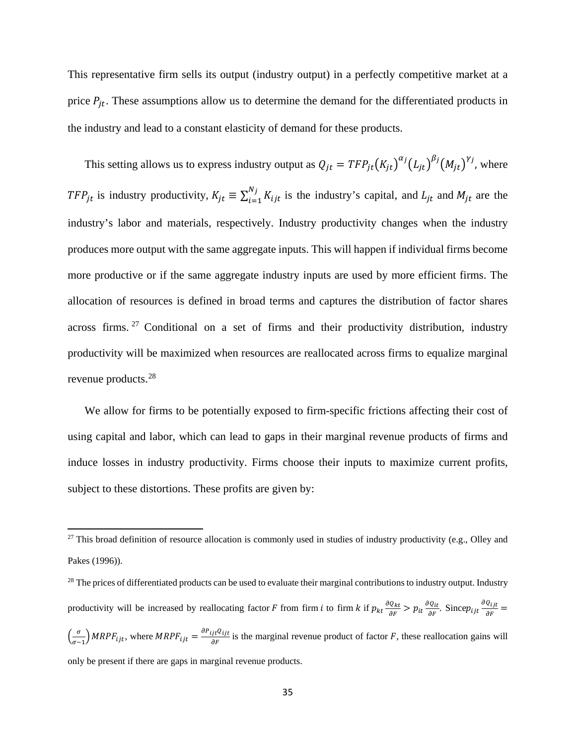This representative firm sells its output (industry output) in a perfectly competitive market at a price  $P_{jt}$ . These assumptions allow us to determine the demand for the differentiated products in the industry and lead to a constant elasticity of demand for these products.

This setting allows us to express industry output as  $Q_{jt} = TFP_{jt}(K_{jt})^{\alpha_j}(L_{jt})^{\beta_j}(M_{jt})^{\gamma_j}$ , where  $TFP_{jt}$  is industry productivity,  $K_{jt} \equiv \sum_{i=1}^{N_j} K_{ijt}$  is the industry's capital, and  $L_{jt}$  and  $M_{jt}$  are the industry's labor and materials, respectively. Industry productivity changes when the industry produces more output with the same aggregate inputs. This will happen if individual firms become more productive or if the same aggregate industry inputs are used by more efficient firms. The allocation of resources is defined in broad terms and captures the distribution of factor shares across firms.  $27$  Conditional on a set of firms and their productivity distribution, industry productivity will be maximized when resources are reallocated across firms to equalize marginal revenue products.[28](#page-37-1)

We allow for firms to be potentially exposed to firm-specific frictions affecting their cost of using capital and labor, which can lead to gaps in their marginal revenue products of firms and induce losses in industry productivity. Firms choose their inputs to maximize current profits, subject to these distortions. These profits are given by:

<span id="page-37-0"></span> $27$  This broad definition of resource allocation is commonly used in studies of industry productivity (e.g., Olley and Pakes (1996)).

<span id="page-37-1"></span><sup>&</sup>lt;sup>28</sup> The prices of differentiated products can be used to evaluate their marginal contributions to industry output. Industry productivity will be increased by reallocating factor F from firm *i* to firm k if  $p_{kt} \frac{\partial Q_{kt}}{\partial F} > p_{it} \frac{\partial Q_{it}}{\partial F}$ . Since  $p_{ijt} \frac{\partial Q_{ijt}}{\partial F} =$  $\left(\frac{\sigma}{\sigma-1}\right) M R P F_{ijt}$ , where  $MR P F_{ijt} = \frac{\partial P_{ijt} Q_{ijt}}{\partial F}$  is the marginal revenue product of factor F, these reallocation gains will only be present if there are gaps in marginal revenue products.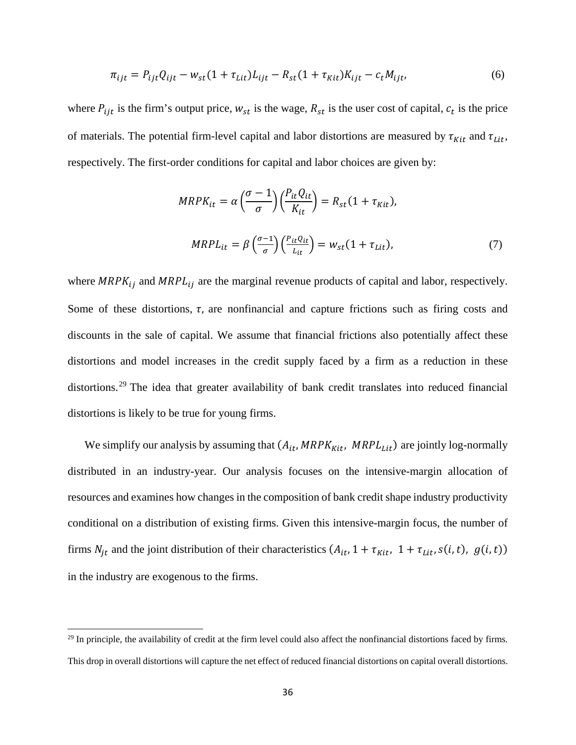$$
\pi_{ijt} = P_{ijt}Q_{ijt} - w_{st}(1 + \tau_{Lit})L_{ijt} - R_{st}(1 + \tau_{Kit})K_{ijt} - c_tM_{ijt},
$$
\n(6)

where  $P_{ijt}$  is the firm's output price,  $w_{st}$  is the wage,  $R_{st}$  is the user cost of capital,  $c_t$  is the price of materials. The potential firm-level capital and labor distortions are measured by  $\tau_{Kit}$  and  $\tau_{Lit}$ , respectively. The first-order conditions for capital and labor choices are given by:

$$
MRPK_{it} = \alpha \left(\frac{\sigma - 1}{\sigma}\right) \left(\frac{P_{it}Q_{it}}{K_{it}}\right) = R_{st}(1 + \tau_{Kit}),
$$
  

$$
MRPL_{it} = \beta \left(\frac{\sigma - 1}{\sigma}\right) \left(\frac{P_{it}Q_{it}}{L_{it}}\right) = w_{st}(1 + \tau_{Lit}),
$$
 (7)

where  $MRPK_{ij}$  and  $MRPL_{ij}$  are the marginal revenue products of capital and labor, respectively. Some of these distortions,  $\tau$ , are nonfinancial and capture frictions such as firing costs and discounts in the sale of capital. We assume that financial frictions also potentially affect these distortions and model increases in the credit supply faced by a firm as a reduction in these distortions.<sup>[29](#page-38-0)</sup> The idea that greater availability of bank credit translates into reduced financial distortions is likely to be true for young firms.

We simplify our analysis by assuming that  $(A_{it}, MRPK_{kit}, MRPL_{Lit})$  are jointly log-normally distributed in an industry-year. Our analysis focuses on the intensive-margin allocation of resources and examines how changes in the composition of bank credit shape industry productivity conditional on a distribution of existing firms. Given this intensive-margin focus, the number of firms  $N_{jt}$  and the joint distribution of their characteristics  $(A_{it}, 1 + \tau_{kit}, 1 + \tau_{lit}, s(i, t), g(i, t))$ in the industry are exogenous to the firms.

l

<span id="page-38-0"></span> $^{29}$  In principle, the availability of credit at the firm level could also affect the nonfinancial distortions faced by firms. This drop in overall distortions will capture the net effect of reduced financial distortions on capital overall distortions.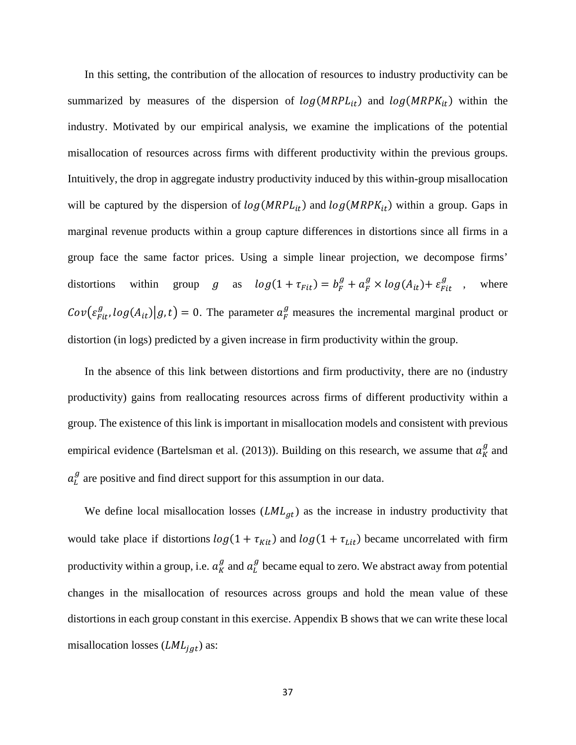In this setting, the contribution of the allocation of resources to industry productivity can be summarized by measures of the dispersion of  $log(MRPL_{it})$  and  $log(MRPK_{it})$  within the industry. Motivated by our empirical analysis, we examine the implications of the potential misallocation of resources across firms with different productivity within the previous groups. Intuitively, the drop in aggregate industry productivity induced by this within-group misallocation will be captured by the dispersion of  $log(MRPL_{it})$  and  $log(MRPK_{it})$  within a group. Gaps in marginal revenue products within a group capture differences in distortions since all firms in a group face the same factor prices. Using a simple linear projection, we decompose firms' distortions within group g as  $log(1 + \tau_{Fit}) = b_F^g + a_F^g \times log(A_{it}) + \varepsilon_{Fit}^g$ , where  $Cov(\varepsilon_{Fit}^g, log(A_{it})|g, t) = 0$ . The parameter  $a_F^g$  measures the incremental marginal product or distortion (in logs) predicted by a given increase in firm productivity within the group.

In the absence of this link between distortions and firm productivity, there are no (industry productivity) gains from reallocating resources across firms of different productivity within a group. The existence of this link is important in misallocation models and consistent with previous empirical evidence (Bartelsman et al. (2013)). Building on this research, we assume that  $a_K^g$  and  $_{L}^{g}$  are positive and find direct support for this assumption in our data.

We define local misallocation losses  $(LML_{gt})$  as the increase in industry productivity that would take place if distortions  $log(1 + \tau_{Kit})$  and  $log(1 + \tau_{Lit})$  became uncorrelated with firm productivity within a group, i.e.  $a_K^g$  and  $a_L^g$  became equal to zero. We abstract away from potential changes in the misallocation of resources across groups and hold the mean value of these distortions in each group constant in this exercise. Appendix B shows that we can write these local misallocation losses  $(LML_{int})$  as: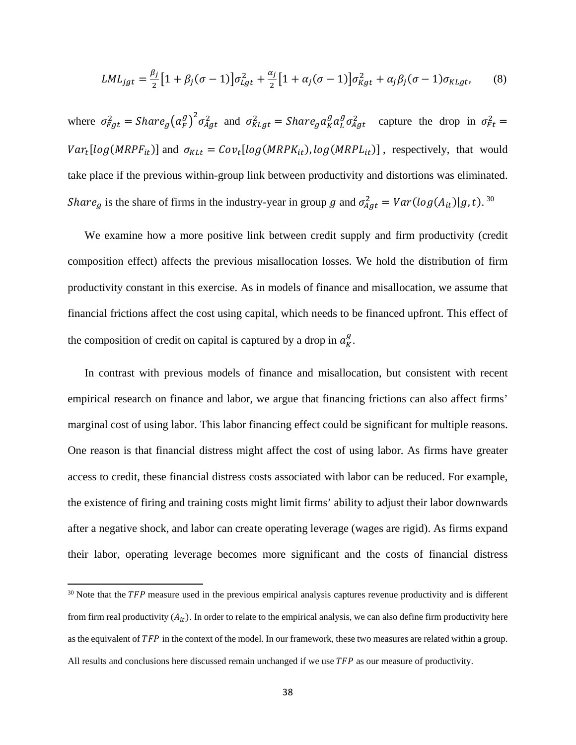$$
LML_{igt} = \frac{\beta_j}{2} \Big[ 1 + \beta_j (\sigma - 1) \Big] \sigma_{Lgt}^2 + \frac{\alpha_j}{2} \Big[ 1 + \alpha_j (\sigma - 1) \Big] \sigma_{Kgt}^2 + \alpha_j \beta_j (\sigma - 1) \sigma_{KLgt}, \tag{8}
$$

where  $\sigma_{Fgt}^2 = Share_g(a_F^g)^2 \sigma_{Agt}^2$  and  $\sigma_{KLgt}^2 = Share_ga_K^g$  $_{L}^{g}\sigma_{Agt}^{2}$  capture the drop in  $\sigma_{Ft}^{2}$  =  $Var_t[log(MRPF_{it})]$  and  $\sigma_{KLt} = Cov_t[log(MRPK_{it}), log(MRPL_{it})]$ , respectively, that would take place if the previous within-group link between productivity and distortions was eliminated. *hare<sub>g</sub>* is the share of firms in the industry-year in group g and  $\sigma_{Agt}^2 = Var(log(A_{it})|g, t)$ . <sup>[30](#page-40-0)</sup>

We examine how a more positive link between credit supply and firm productivity (credit composition effect) affects the previous misallocation losses. We hold the distribution of firm productivity constant in this exercise. As in models of finance and misallocation, we assume that financial frictions affect the cost using capital, which needs to be financed upfront. This effect of the composition of credit on capital is captured by a drop in  $a_K^g$ .

In contrast with previous models of finance and misallocation, but consistent with recent empirical research on finance and labor, we argue that financing frictions can also affect firms' marginal cost of using labor. This labor financing effect could be significant for multiple reasons. One reason is that financial distress might affect the cost of using labor. As firms have greater access to credit, these financial distress costs associated with labor can be reduced. For example, the existence of firing and training costs might limit firms' ability to adjust their labor downwards after a negative shock, and labor can create operating leverage (wages are rigid). As firms expand their labor, operating leverage becomes more significant and the costs of financial distress

 $\overline{a}$ 

<span id="page-40-0"></span> $30$  Note that the TFP measure used in the previous empirical analysis captures revenue productivity and is different from firm real productivity  $(A_{it})$ . In order to relate to the empirical analysis, we can also define firm productivity here as the equivalent of TFP in the context of the model. In our framework, these two measures are related within a group. All results and conclusions here discussed remain unchanged if we use  $TFP$  as our measure of productivity.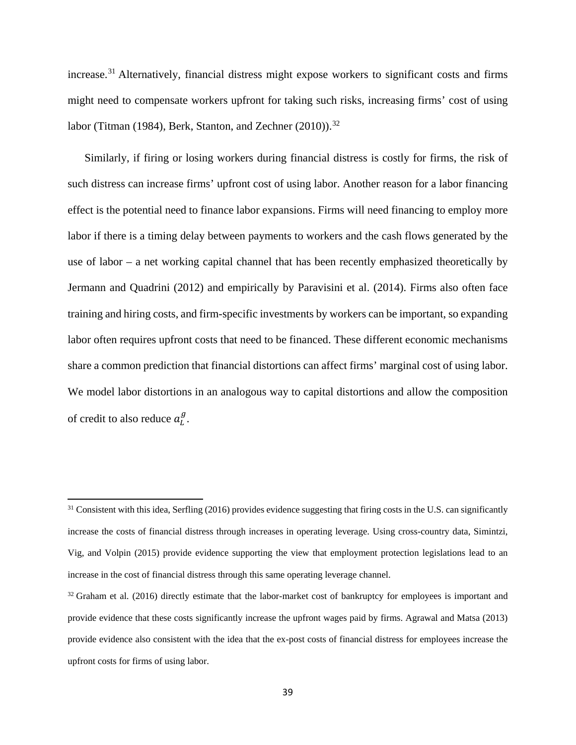increase.[31](#page-41-0) Alternatively, financial distress might expose workers to significant costs and firms might need to compensate workers upfront for taking such risks, increasing firms' cost of using labor (Titman (1984), Berk, Stanton, and Zechner (2010)).<sup>[32](#page-41-1)</sup>

Similarly, if firing or losing workers during financial distress is costly for firms, the risk of such distress can increase firms' upfront cost of using labor. Another reason for a labor financing effect is the potential need to finance labor expansions. Firms will need financing to employ more labor if there is a timing delay between payments to workers and the cash flows generated by the use of labor – a net working capital channel that has been recently emphasized theoretically by Jermann and Quadrini (2012) and empirically by Paravisini et al. (2014). Firms also often face training and hiring costs, and firm-specific investments by workers can be important, so expanding labor often requires upfront costs that need to be financed. These different economic mechanisms share a common prediction that financial distortions can affect firms' marginal cost of using labor. We model labor distortions in an analogous way to capital distortions and allow the composition of credit to also reduce  $a_L^g$ .

 $\overline{\phantom{a}}$ 

<span id="page-41-0"></span> $31$  Consistent with this idea, Serfling (2016) provides evidence suggesting that firing costs in the U.S. can significantly increase the costs of financial distress through increases in operating leverage. Using cross-country data, Simintzi, Vig, and Volpin (2015) provide evidence supporting the view that employment protection legislations lead to an increase in the cost of financial distress through this same operating leverage channel.

<span id="page-41-1"></span><sup>&</sup>lt;sup>32</sup> Graham et al. (2016) directly estimate that the labor-market cost of bankruptcy for employees is important and provide evidence that these costs significantly increase the upfront wages paid by firms. Agrawal and Matsa (2013) provide evidence also consistent with the idea that the ex-post costs of financial distress for employees increase the upfront costs for firms of using labor.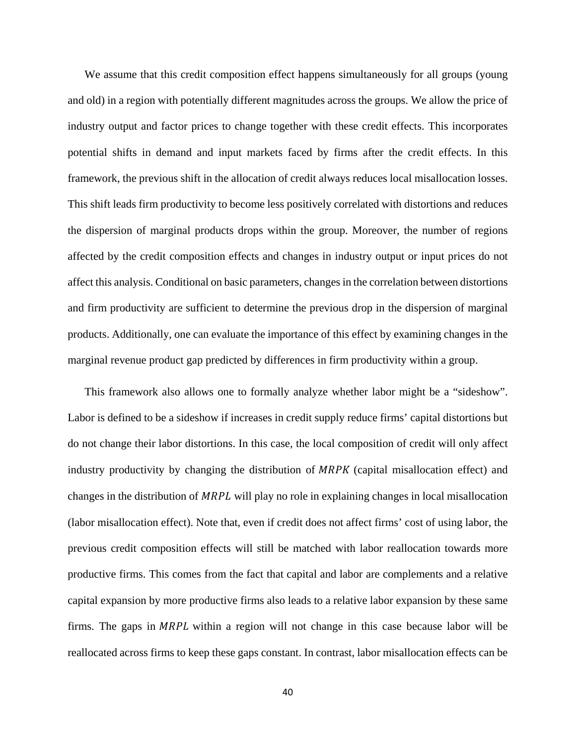We assume that this credit composition effect happens simultaneously for all groups (young and old) in a region with potentially different magnitudes across the groups. We allow the price of industry output and factor prices to change together with these credit effects. This incorporates potential shifts in demand and input markets faced by firms after the credit effects. In this framework, the previous shift in the allocation of credit always reduces local misallocation losses. This shift leads firm productivity to become less positively correlated with distortions and reduces the dispersion of marginal products drops within the group. Moreover, the number of regions affected by the credit composition effects and changes in industry output or input prices do not affect this analysis. Conditional on basic parameters, changes in the correlation between distortions and firm productivity are sufficient to determine the previous drop in the dispersion of marginal products. Additionally, one can evaluate the importance of this effect by examining changes in the marginal revenue product gap predicted by differences in firm productivity within a group.

This framework also allows one to formally analyze whether labor might be a "sideshow". Labor is defined to be a sideshow if increases in credit supply reduce firms' capital distortions but do not change their labor distortions. In this case, the local composition of credit will only affect industry productivity by changing the distribution of  $MRPK$  (capital misallocation effect) and changes in the distribution of MRPL will play no role in explaining changes in local misallocation (labor misallocation effect). Note that, even if credit does not affect firms' cost of using labor, the previous credit composition effects will still be matched with labor reallocation towards more productive firms. This comes from the fact that capital and labor are complements and a relative capital expansion by more productive firms also leads to a relative labor expansion by these same firms. The gaps in MRPL within a region will not change in this case because labor will be reallocated across firms to keep these gaps constant. In contrast, labor misallocation effects can be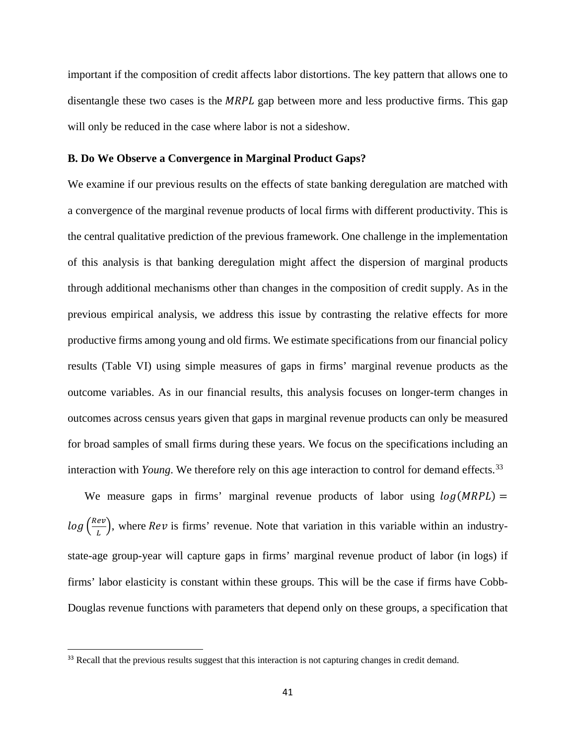important if the composition of credit affects labor distortions. The key pattern that allows one to disentangle these two cases is the MRPL gap between more and less productive firms. This gap will only be reduced in the case where labor is not a sideshow.

#### **B. Do We Observe a Convergence in Marginal Product Gaps?**

We examine if our previous results on the effects of state banking deregulation are matched with a convergence of the marginal revenue products of local firms with different productivity. This is the central qualitative prediction of the previous framework. One challenge in the implementation of this analysis is that banking deregulation might affect the dispersion of marginal products through additional mechanisms other than changes in the composition of credit supply. As in the previous empirical analysis, we address this issue by contrasting the relative effects for more productive firms among young and old firms. We estimate specifications from our financial policy results (Table VI) using simple measures of gaps in firms' marginal revenue products as the outcome variables. As in our financial results, this analysis focuses on longer-term changes in outcomes across census years given that gaps in marginal revenue products can only be measured for broad samples of small firms during these years. We focus on the specifications including an interaction with *Young*. We therefore rely on this age interaction to control for demand effects.<sup>[33](#page-43-0)</sup>

We measure gaps in firms' marginal revenue products of labor using  $log(MRPL)$  =  $log\left(\frac{Rev}{L}\right)$ , where  $Rev$  is firms' revenue. Note that variation in this variable within an industrystate-age group-year will capture gaps in firms' marginal revenue product of labor (in logs) if firms' labor elasticity is constant within these groups. This will be the case if firms have Cobb-Douglas revenue functions with parameters that depend only on these groups, a specification that

<span id="page-43-0"></span><sup>&</sup>lt;sup>33</sup> Recall that the previous results suggest that this interaction is not capturing changes in credit demand.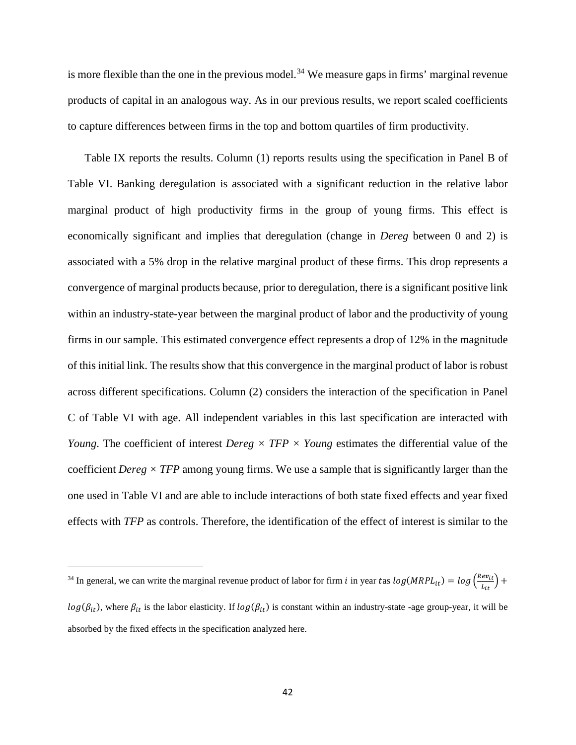is more flexible than the one in the previous model.<sup>[34](#page-44-0)</sup> We measure gaps in firms' marginal revenue products of capital in an analogous way. As in our previous results, we report scaled coefficients to capture differences between firms in the top and bottom quartiles of firm productivity.

Table IX reports the results. Column (1) reports results using the specification in Panel B of Table VI. Banking deregulation is associated with a significant reduction in the relative labor marginal product of high productivity firms in the group of young firms. This effect is economically significant and implies that deregulation (change in *Dereg* between 0 and 2) is associated with a 5% drop in the relative marginal product of these firms. This drop represents a convergence of marginal products because, prior to deregulation, there is a significant positive link within an industry-state-year between the marginal product of labor and the productivity of young firms in our sample. This estimated convergence effect represents a drop of 12% in the magnitude of this initial link. The results show that this convergence in the marginal product of labor is robust across different specifications. Column (2) considers the interaction of the specification in Panel C of Table VI with age. All independent variables in this last specification are interacted with *Young*. The coefficient of interest *Dereg*  $\times$  *TFP*  $\times$  *Young* estimates the differential value of the coefficient *Dereg × TFP* among young firms. We use a sample that is significantly larger than the one used in Table VI and are able to include interactions of both state fixed effects and year fixed effects with *TFP* as controls. Therefore, the identification of the effect of interest is similar to the

<span id="page-44-0"></span><sup>&</sup>lt;sup>34</sup> In general, we can write the marginal revenue product of labor for firm *i* in year tas  $log(MRPL_{it}) = log(\frac{Rev_{it}}{_{lit}})$  $\frac{du}{L_{it}}$ ) +  $log(\beta_{it})$ , where  $\beta_{it}$  is the labor elasticity. If  $log(\beta_{it})$  is constant within an industry-state -age group-year, it will be absorbed by the fixed effects in the specification analyzed here.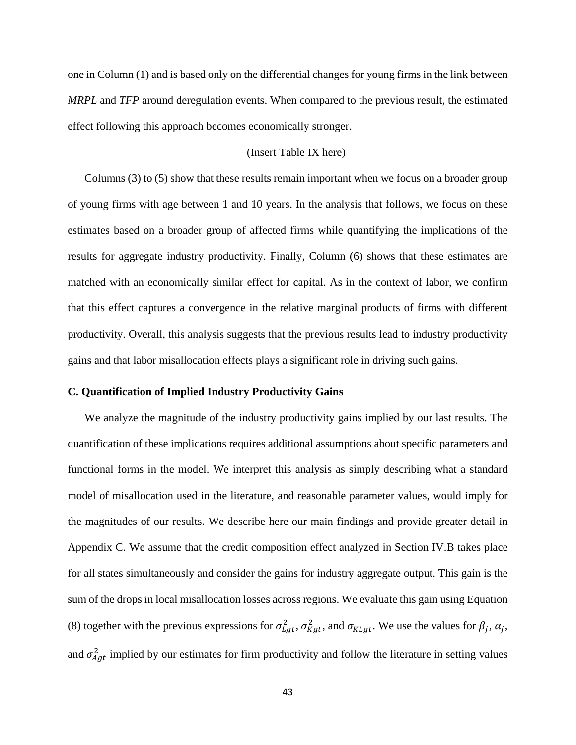one in Column (1) and is based only on the differential changes for young firms in the link between *MRPL* and *TFP* around deregulation events. When compared to the previous result, the estimated effect following this approach becomes economically stronger.

### (Insert Table IX here)

Columns (3) to (5) show that these results remain important when we focus on a broader group of young firms with age between 1 and 10 years. In the analysis that follows, we focus on these estimates based on a broader group of affected firms while quantifying the implications of the results for aggregate industry productivity. Finally, Column (6) shows that these estimates are matched with an economically similar effect for capital. As in the context of labor, we confirm that this effect captures a convergence in the relative marginal products of firms with different productivity. Overall, this analysis suggests that the previous results lead to industry productivity gains and that labor misallocation effects plays a significant role in driving such gains.

### **C. Quantification of Implied Industry Productivity Gains**

We analyze the magnitude of the industry productivity gains implied by our last results. The quantification of these implications requires additional assumptions about specific parameters and functional forms in the model. We interpret this analysis as simply describing what a standard model of misallocation used in the literature, and reasonable parameter values, would imply for the magnitudes of our results. We describe here our main findings and provide greater detail in Appendix C. We assume that the credit composition effect analyzed in Section IV.B takes place for all states simultaneously and consider the gains for industry aggregate output. This gain is the sum of the drops in local misallocation losses across regions. We evaluate this gain using Equation (8) together with the previous expressions for  $\sigma_{Lgt}^2$ ,  $\sigma_{Kgt}^2$ , and  $\sigma_{KLgt}$ . We use the values for  $\beta_j$ ,  $\alpha_j$ , and  $\sigma_{Agt}^2$  implied by our estimates for firm productivity and follow the literature in setting values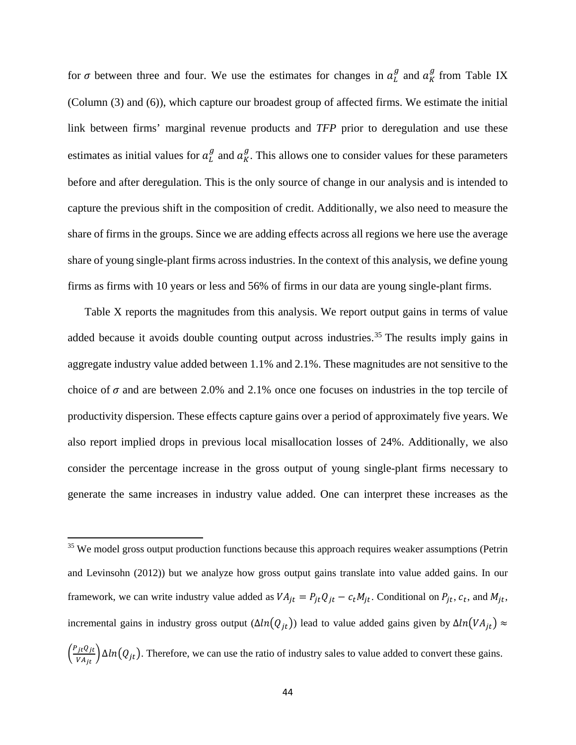for  $\sigma$  between three and four. We use the estimates for changes in  $a_L^g$  and  $a_R^g$  from Table IX (Column (3) and (6)), which capture our broadest group of affected firms. We estimate the initial link between firms' marginal revenue products and *TFP* prior to deregulation and use these estimates as initial values for  $a_L^g$  and  $a_R^g$ . This allows one to consider values for these parameters before and after deregulation. This is the only source of change in our analysis and is intended to capture the previous shift in the composition of credit. Additionally, we also need to measure the share of firms in the groups. Since we are adding effects across all regions we here use the average share of young single-plant firms across industries. In the context of this analysis, we define young firms as firms with 10 years or less and 56% of firms in our data are young single-plant firms.

Table X reports the magnitudes from this analysis. We report output gains in terms of value added because it avoids double counting output across industries.<sup>[35](#page-46-0)</sup> The results imply gains in aggregate industry value added between 1.1% and 2.1%. These magnitudes are not sensitive to the choice of  $\sigma$  and are between 2.0% and 2.1% once one focuses on industries in the top tercile of productivity dispersion. These effects capture gains over a period of approximately five years. We also report implied drops in previous local misallocation losses of 24%. Additionally, we also consider the percentage increase in the gross output of young single-plant firms necessary to generate the same increases in industry value added. One can interpret these increases as the

<span id="page-46-0"></span><sup>&</sup>lt;sup>35</sup> We model gross output production functions because this approach requires weaker assumptions (Petrin and Levinsohn (2012)) but we analyze how gross output gains translate into value added gains. In our framework, we can write industry value added as  $VA_{jt} = P_{jt}Q_{jt} - c_tM_{jt}$ . Conditional on  $P_{jt}$ ,  $c_t$ , and  $M_{jt}$ , incremental gains in industry gross output ( $Δln(Q_{jt})$ ) lead to value added gains given by  $Δln(VA_{jt})$  ≈  $\left(\frac{P_{jt}Q_j}{VA_{it}}\right)$  $\frac{\partial F}{\partial H}$   $\Delta ln(Q_{jt})$ . Therefore, we can use the ratio of industry sales to value added to convert these gains.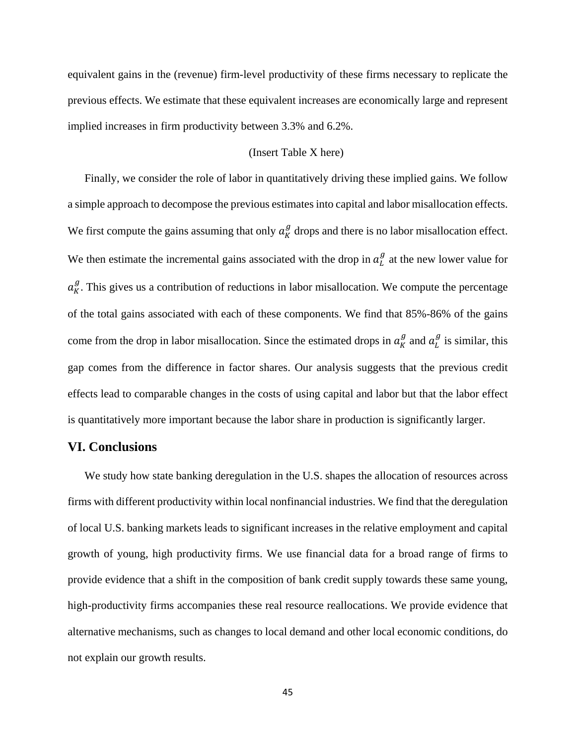equivalent gains in the (revenue) firm-level productivity of these firms necessary to replicate the previous effects. We estimate that these equivalent increases are economically large and represent implied increases in firm productivity between 3.3% and 6.2%.

### (Insert Table X here)

Finally, we consider the role of labor in quantitatively driving these implied gains. We follow a simple approach to decompose the previous estimates into capital and labor misallocation effects. We first compute the gains assuming that only  $a_K^g$  drops and there is no labor misallocation effect. We then estimate the incremental gains associated with the drop in  $a<sub>L</sub><sup>g</sup>$  at the new lower value for  $\frac{g}{K}$ . This gives us a contribution of reductions in labor misallocation. We compute the percentage of the total gains associated with each of these components. We find that 85%-86% of the gains come from the drop in labor misallocation. Since the estimated drops in  $a_K^g$  and  $a_L^g$  is similar, this gap comes from the difference in factor shares. Our analysis suggests that the previous credit effects lead to comparable changes in the costs of using capital and labor but that the labor effect is quantitatively more important because the labor share in production is significantly larger.

# **VI. Conclusions**

We study how state banking deregulation in the U.S. shapes the allocation of resources across firms with different productivity within local nonfinancial industries. We find that the deregulation of local U.S. banking markets leads to significant increases in the relative employment and capital growth of young, high productivity firms. We use financial data for a broad range of firms to provide evidence that a shift in the composition of bank credit supply towards these same young, high-productivity firms accompanies these real resource reallocations. We provide evidence that alternative mechanisms, such as changes to local demand and other local economic conditions, do not explain our growth results.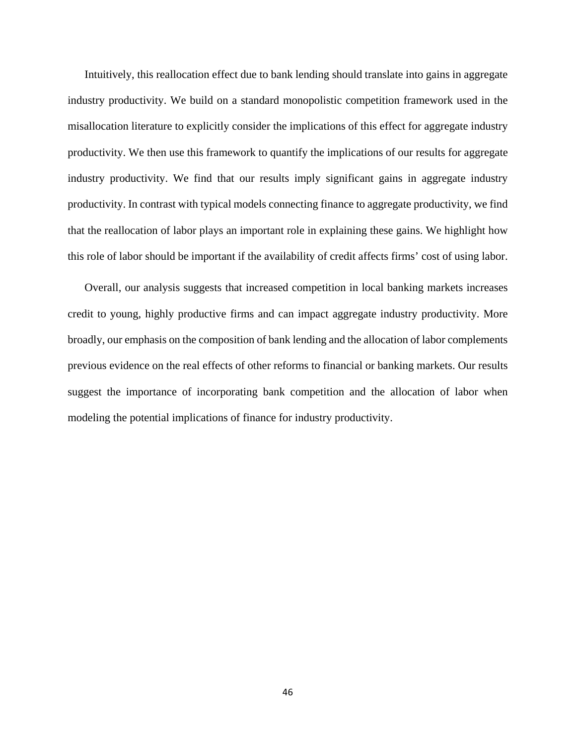Intuitively, this reallocation effect due to bank lending should translate into gains in aggregate industry productivity. We build on a standard monopolistic competition framework used in the misallocation literature to explicitly consider the implications of this effect for aggregate industry productivity. We then use this framework to quantify the implications of our results for aggregate industry productivity. We find that our results imply significant gains in aggregate industry productivity. In contrast with typical models connecting finance to aggregate productivity, we find that the reallocation of labor plays an important role in explaining these gains. We highlight how this role of labor should be important if the availability of credit affects firms' cost of using labor.

Overall, our analysis suggests that increased competition in local banking markets increases credit to young, highly productive firms and can impact aggregate industry productivity. More broadly, our emphasis on the composition of bank lending and the allocation of labor complements previous evidence on the real effects of other reforms to financial or banking markets. Our results suggest the importance of incorporating bank competition and the allocation of labor when modeling the potential implications of finance for industry productivity.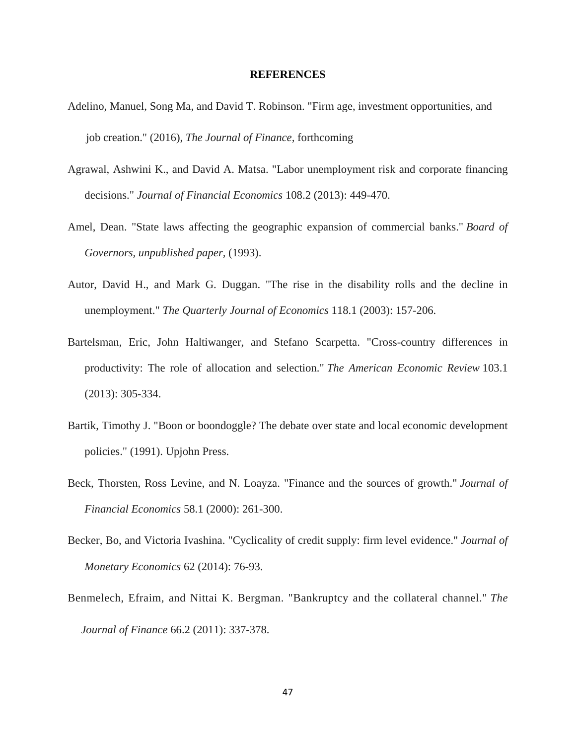#### **REFERENCES**

- Adelino, Manuel, Song Ma, and David T. Robinson. "Firm age, investment opportunities, and job creation." (2016), *The Journal of Finance,* forthcoming
- Agrawal, Ashwini K., and David A. Matsa. "Labor unemployment risk and corporate financing decisions." *Journal of Financial Economics* 108.2 (2013): 449-470.
- Amel, Dean. "State laws affecting the geographic expansion of commercial banks." *Board of Governors, unpublished paper,* (1993).
- Autor, David H., and Mark G. Duggan. "The rise in the disability rolls and the decline in unemployment." *The Quarterly Journal of Economics* 118.1 (2003): 157-206.
- Bartelsman, Eric, John Haltiwanger, and Stefano Scarpetta. "Cross-country differences in productivity: The role of allocation and selection." *The American Economic Review* 103.1 (2013): 305-334.
- Bartik, Timothy J. "Boon or boondoggle? The debate over state and local economic development policies." (1991). Upjohn Press.
- Beck, Thorsten, Ross Levine, and N. Loayza. "Finance and the sources of growth." *Journal of Financial Economics* 58.1 (2000): 261-300.
- Becker, Bo, and Victoria Ivashina. "Cyclicality of credit supply: firm level evidence." *Journal of Monetary Economics* 62 (2014): 76-93.
- Benmelech, Efraim, and Nittai K. Bergman. "Bankruptcy and the collateral channel." *The Journal of Finance* 66.2 (2011): 337-378.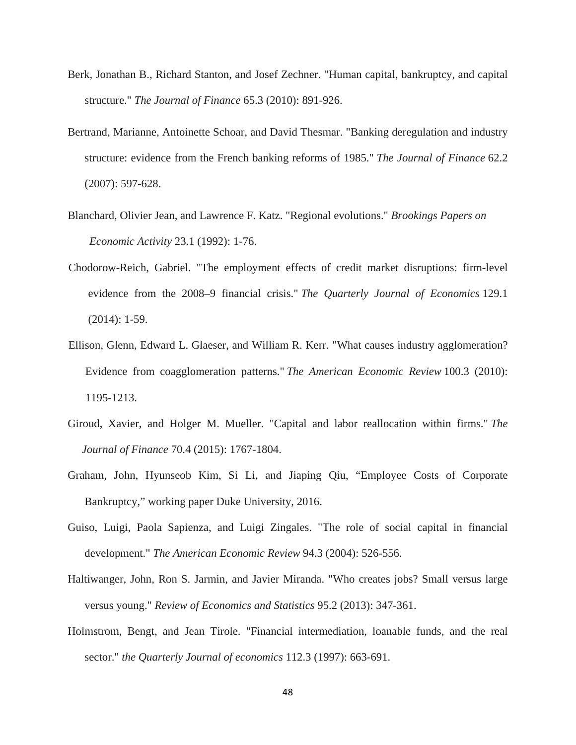- Berk, Jonathan B., Richard Stanton, and Josef Zechner. "Human capital, bankruptcy, and capital structure." *The Journal of Finance* 65.3 (2010): 891-926.
- Bertrand, Marianne, Antoinette Schoar, and David Thesmar. "Banking deregulation and industry structure: evidence from the French banking reforms of 1985." *The Journal of Finance* 62.2 (2007): 597-628.
- Blanchard, Olivier Jean, and Lawrence F. Katz. "Regional evolutions." *Brookings Papers on Economic Activity* 23.1 (1992): 1-76.
- Chodorow-Reich, Gabriel. "The employment effects of credit market disruptions: firm-level evidence from the 2008–9 financial crisis." *The Quarterly Journal of Economics* 129.1 (2014): 1-59.
- Ellison, Glenn, Edward L. Glaeser, and William R. Kerr. "What causes industry agglomeration? Evidence from coagglomeration patterns." *The American Economic Review* 100.3 (2010): 1195-1213.
- Giroud, Xavier, and Holger M. Mueller. "Capital and labor reallocation within firms." *The Journal of Finance* 70.4 (2015): 1767-1804.
- Graham, John, Hyunseob Kim, Si Li, and Jiaping Qiu, "Employee Costs of Corporate Bankruptcy," working paper Duke University, 2016.
- Guiso, Luigi, Paola Sapienza, and Luigi Zingales. "The role of social capital in financial development." *The American Economic Review* 94.3 (2004): 526-556.
- Haltiwanger, John, Ron S. Jarmin, and Javier Miranda. "Who creates jobs? Small versus large versus young." *Review of Economics and Statistics* 95.2 (2013): 347-361.
- Holmstrom, Bengt, and Jean Tirole. "Financial intermediation, loanable funds, and the real sector." *the Quarterly Journal of economics* 112.3 (1997): 663-691.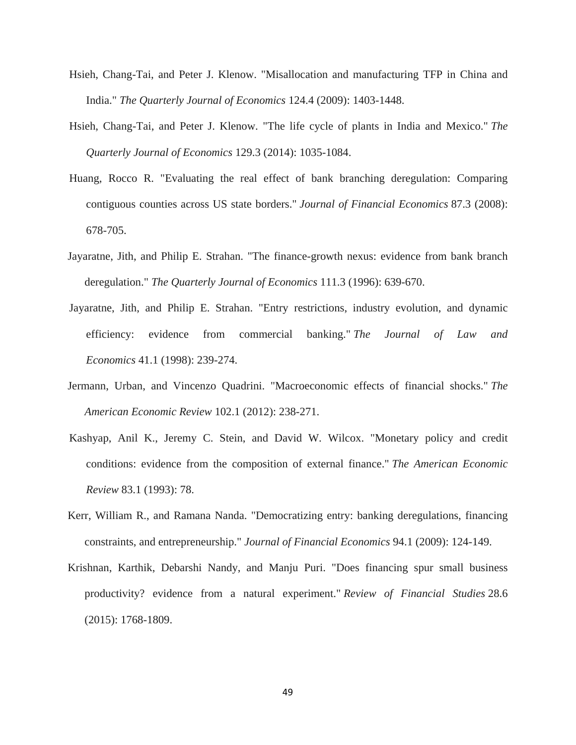- Hsieh, Chang-Tai, and Peter J. Klenow. "Misallocation and manufacturing TFP in China and India." *The Quarterly Journal of Economics* 124.4 (2009): 1403-1448.
- Hsieh, Chang-Tai, and Peter J. Klenow. "The life cycle of plants in India and Mexico." *The Quarterly Journal of Economics* 129.3 (2014): 1035-1084.
- Huang, Rocco R. "Evaluating the real effect of bank branching deregulation: Comparing contiguous counties across US state borders." *Journal of Financial Economics* 87.3 (2008): 678-705.
- Jayaratne, Jith, and Philip E. Strahan. "The finance-growth nexus: evidence from bank branch deregulation." *The Quarterly Journal of Economics* 111.3 (1996): 639-670.
- Jayaratne, Jith, and Philip E. Strahan. "Entry restrictions, industry evolution, and dynamic efficiency: evidence from commercial banking." *The Journal of Law and Economics* 41.1 (1998): 239-274.
- Jermann, Urban, and Vincenzo Quadrini. "Macroeconomic effects of financial shocks." *The American Economic Review* 102.1 (2012): 238-271.
- Kashyap, Anil K., Jeremy C. Stein, and David W. Wilcox. "Monetary policy and credit conditions: evidence from the composition of external finance." *The American Economic Review* 83.1 (1993): 78.
- Kerr, William R., and Ramana Nanda. "Democratizing entry: banking deregulations, financing constraints, and entrepreneurship." *Journal of Financial Economics* 94.1 (2009): 124-149.
- Krishnan, Karthik, Debarshi Nandy, and Manju Puri. "Does financing spur small business productivity? evidence from a natural experiment." *Review of Financial Studies* 28.6 (2015): 1768-1809.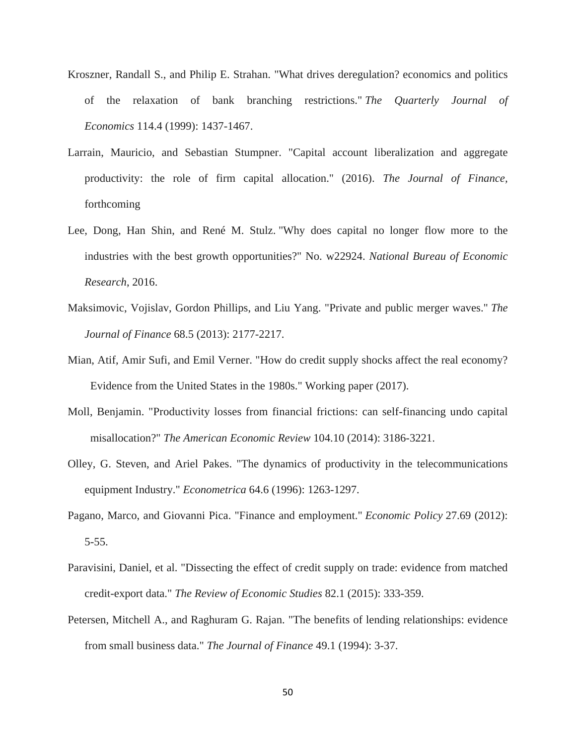- Kroszner, Randall S., and Philip E. Strahan. "What drives deregulation? economics and politics of the relaxation of bank branching restrictions." *The Quarterly Journal of Economics* 114.4 (1999): 1437-1467.
- Larrain, Mauricio, and Sebastian Stumpner. "Capital account liberalization and aggregate productivity: the role of firm capital allocation." (2016). *The Journal of Finance,*  forthcoming
- Lee, Dong, Han Shin, and René M. Stulz. "Why does capital no longer flow more to the industries with the best growth opportunities?" No. w22924. *National Bureau of Economic Research*, 2016.
- Maksimovic, Vojislav, Gordon Phillips, and Liu Yang. "Private and public merger waves." *The Journal of Finance* 68.5 (2013): 2177-2217.
- Mian, Atif, Amir Sufi, and Emil Verner. "How do credit supply shocks affect the real economy? Evidence from the United States in the 1980s." Working paper (2017).
- Moll, Benjamin. "Productivity losses from financial frictions: can self-financing undo capital misallocation?" *The American Economic Review* 104.10 (2014): 3186-3221.
- Olley, G. Steven, and Ariel Pakes. "The dynamics of productivity in the telecommunications equipment Industry." *Econometrica* 64.6 (1996): 1263-1297.
- Pagano, Marco, and Giovanni Pica. "Finance and employment." *Economic Policy* 27.69 (2012): 5-55.
- Paravisini, Daniel, et al. "Dissecting the effect of credit supply on trade: evidence from matched credit-export data." *The Review of Economic Studies* 82.1 (2015): 333-359.
- Petersen, Mitchell A., and Raghuram G. Rajan. "The benefits of lending relationships: evidence from small business data." *The Journal of Finance* 49.1 (1994): 3-37.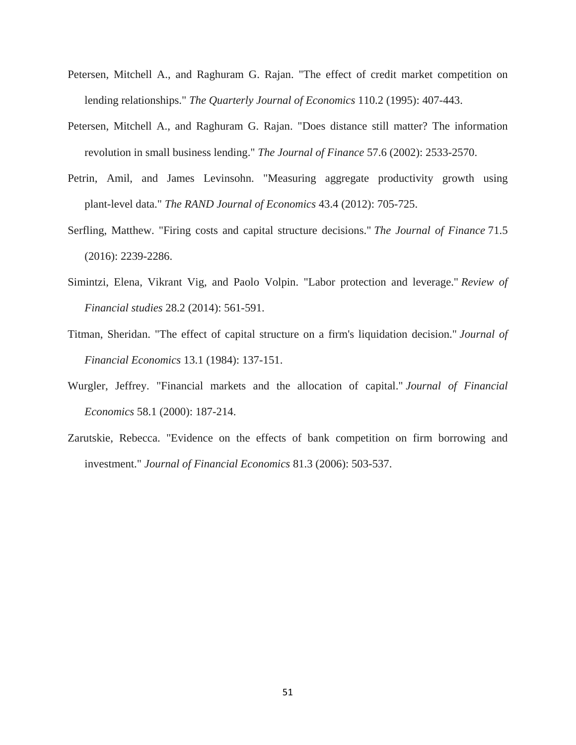- Petersen, Mitchell A., and Raghuram G. Rajan. "The effect of credit market competition on lending relationships." *The Quarterly Journal of Economics* 110.2 (1995): 407-443.
- Petersen, Mitchell A., and Raghuram G. Rajan. "Does distance still matter? The information revolution in small business lending." *The Journal of Finance* 57.6 (2002): 2533-2570.
- Petrin, Amil, and James Levinsohn. "Measuring aggregate productivity growth using plant-level data." *The RAND Journal of Economics* 43.4 (2012): 705-725.
- Serfling, Matthew. "Firing costs and capital structure decisions." *The Journal of Finance* 71.5 (2016): 2239-2286.
- Simintzi, Elena, Vikrant Vig, and Paolo Volpin. "Labor protection and leverage." *Review of Financial studies* 28.2 (2014): 561-591.
- Titman, Sheridan. "The effect of capital structure on a firm's liquidation decision." *Journal of Financial Economics* 13.1 (1984): 137-151.
- Wurgler, Jeffrey. "Financial markets and the allocation of capital." *Journal of Financial Economics* 58.1 (2000): 187-214.
- Zarutskie, Rebecca. "Evidence on the effects of bank competition on firm borrowing and investment." *Journal of Financial Economics* 81.3 (2006): 503-537.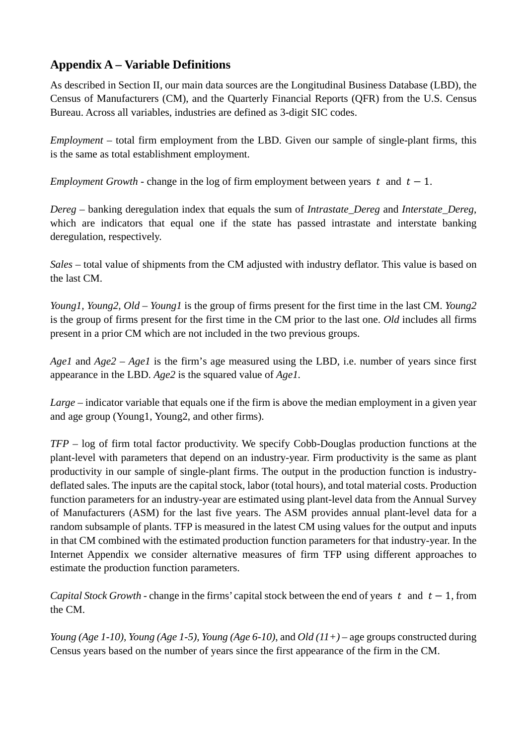# **Appendix A – Variable Definitions**

As described in Section II, our main data sources are the Longitudinal Business Database (LBD), the Census of Manufacturers (CM), and the Quarterly Financial Reports (QFR) from the U.S. Census Bureau. Across all variables, industries are defined as 3-digit SIC codes.

*Employment* – total firm employment from the LBD. Given our sample of single-plant firms, this is the same as total establishment employment.

*Employment Growth - change in the log of firm employment between years t and*  $t - 1$ *.* 

*Dereg* – banking deregulation index that equals the sum of *Intrastate\_Dereg* and *Interstate\_Dereg*, which are indicators that equal one if the state has passed intrastate and interstate banking deregulation, respectively.

*Sales* – total value of shipments from the CM adjusted with industry deflator. This value is based on the last CM.

*Young1, Young2, Old* – *Young1* is the group of firms present for the first time in the last CM. *Young2*  is the group of firms present for the first time in the CM prior to the last one. *Old* includes all firms present in a prior CM which are not included in the two previous groups.

*Age1* and *Age2* – *Age1* is the firm's age measured using the LBD, i.e. number of years since first appearance in the LBD. *Age2* is the squared value of *Age1.* 

*Large* – indicator variable that equals one if the firm is above the median employment in a given year and age group (Young1, Young2, and other firms).

*TFP* – log of firm total factor productivity. We specify Cobb-Douglas production functions at the plant-level with parameters that depend on an industry-year. Firm productivity is the same as plant productivity in our sample of single-plant firms. The output in the production function is industrydeflated sales. The inputs are the capital stock, labor (total hours), and total material costs. Production function parameters for an industry-year are estimated using plant-level data from the Annual Survey of Manufacturers (ASM) for the last five years. The ASM provides annual plant-level data for a random subsample of plants. TFP is measured in the latest CM using values for the output and inputs in that CM combined with the estimated production function parameters for that industry-year. In the Internet Appendix we consider alternative measures of firm TFP using different approaches to estimate the production function parameters.

*Capital Stock Growth - change in the firms' capital stock between the end of years t and*  $t - 1$ *, from* the CM.

*Young (Age 1-10), Young (Age 1-5), Young (Age 6-10)*, and *Old (11+)* – age groups constructed during Census years based on the number of years since the first appearance of the firm in the CM.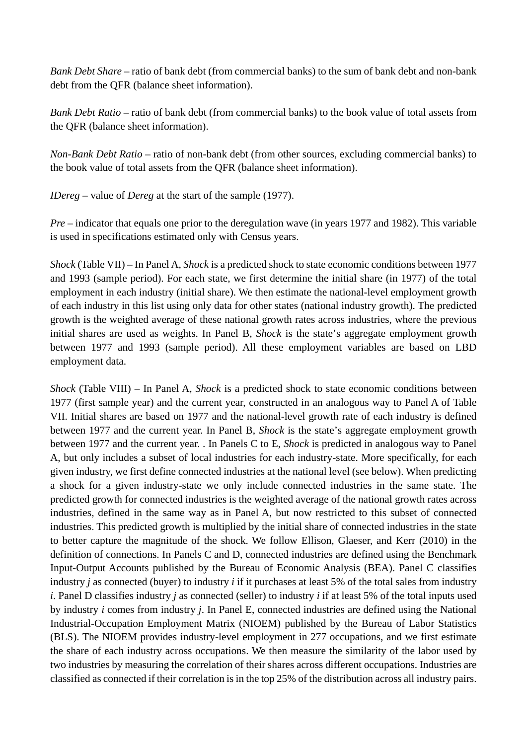*Bank Debt Share* – ratio of bank debt (from commercial banks) to the sum of bank debt and non-bank debt from the QFR (balance sheet information).

*Bank Debt Ratio* – ratio of bank debt (from commercial banks) to the book value of total assets from the QFR (balance sheet information).

*Non-Bank Debt Ratio* – ratio of non-bank debt (from other sources, excluding commercial banks) to the book value of total assets from the QFR (balance sheet information).

*IDereg –* value of *Dereg* at the start of the sample (1977).

*Pre –* indicator that equals one prior to the deregulation wave (in years 1977 and 1982). This variable is used in specifications estimated only with Census years.

*Shock* (Table VII) – In Panel A, *Shock* is a predicted shock to state economic conditions between 1977 and 1993 (sample period). For each state, we first determine the initial share (in 1977) of the total employment in each industry (initial share). We then estimate the national-level employment growth of each industry in this list using only data for other states (national industry growth). The predicted growth is the weighted average of these national growth rates across industries, where the previous initial shares are used as weights. In Panel B, *Shock* is the state's aggregate employment growth between 1977 and 1993 (sample period). All these employment variables are based on LBD employment data.

*Shock* (Table VIII) – In Panel A, *Shock* is a predicted shock to state economic conditions between 1977 (first sample year) and the current year, constructed in an analogous way to Panel A of Table VII. Initial shares are based on 1977 and the national-level growth rate of each industry is defined between 1977 and the current year. In Panel B, *Shock* is the state's aggregate employment growth between 1977 and the current year. . In Panels C to E, *Shock* is predicted in analogous way to Panel A, but only includes a subset of local industries for each industry-state. More specifically, for each given industry, we first define connected industries at the national level (see below). When predicting a shock for a given industry-state we only include connected industries in the same state. The predicted growth for connected industries is the weighted average of the national growth rates across industries, defined in the same way as in Panel A, but now restricted to this subset of connected industries. This predicted growth is multiplied by the initial share of connected industries in the state to better capture the magnitude of the shock. We follow Ellison, Glaeser, and Kerr (2010) in the definition of connections. In Panels C and D, connected industries are defined using the Benchmark Input-Output Accounts published by the Bureau of Economic Analysis (BEA). Panel C classifies industry *j* as connected (buyer) to industry *i* if it purchases at least 5% of the total sales from industry *i*. Panel D classifies industry *j* as connected (seller) to industry *i* if at least 5% of the total inputs used by industry *i* comes from industry *j*. In Panel E, connected industries are defined using the National Industrial-Occupation Employment Matrix (NIOEM) published by the Bureau of Labor Statistics (BLS). The NIOEM provides industry-level employment in 277 occupations, and we first estimate the share of each industry across occupations. We then measure the similarity of the labor used by two industries by measuring the correlation of their shares across different occupations. Industries are classified as connected if their correlation is in the top 25% of the distribution across all industry pairs.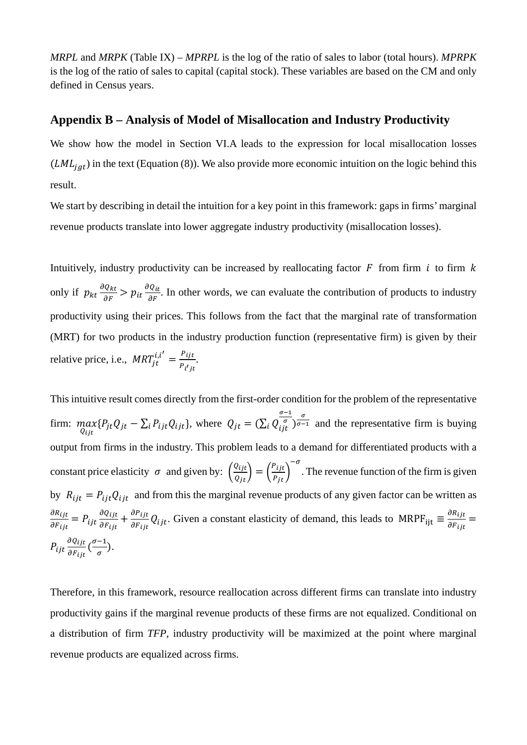*MRPL* and *MRPK* (Table IX) – *MPRPL* is the log of the ratio of sales to labor (total hours). *MPRPK* is the log of the ratio of sales to capital (capital stock). These variables are based on the CM and only defined in Census years.

# **Appendix B – Analysis of Model of Misallocation and Industry Productivity**

We show how the model in Section VI.A leads to the expression for local misallocation losses  $(LML_{igt})$  in the text (Equation (8)). We also provide more economic intuition on the logic behind this result.

We start by describing in detail the intuition for a key point in this framework: gaps in firms' marginal revenue products translate into lower aggregate industry productivity (misallocation losses).

Intuitively, industry productivity can be increased by reallocating factor  $F$  from firm  $i$  to firm  $k$ only if  $p_{kt} \frac{\partial Q_{kt}}{\partial F} > p_{it} \frac{\partial Q_{it}}{\partial F}$ . In other words, we can evaluate the contribution of products to industry productivity using their prices. This follows from the fact that the marginal rate of transformation (MRT) for two products in the industry production function (representative firm) is given by their relative price, i.e.,  $MRT_{jt}^{i,i'} = \frac{P_{ij}}{P_{i'j}}$ .

This intuitive result comes directly from the first-order condition for the problem of the representative firm:  $\max_{Q_{ijt}} \{P_{jt}Q_{jt} - \sum_i P_{ijt}Q_{ijt}\}\$ , where  $Q_{jt} = (\sum_i Q_i)$ <u>σ−1</u>  $i \sqrt{\frac{\sigma}{i}} \overline{\sigma}^{-1}$  and the representative firm is buying output from firms in the industry. This problem leads to a demand for differentiated products with a constant price elasticity  $\sigma$  and given by:  $\left(\frac{Q_{ijt}}{Q_{jt}}\right) = \left(\frac{P_{ijt}}{P_{jt}}\right)$  $-\sigma$ . The revenue function of the firm is given by  $R_{ijt} = P_{ijt} Q_{ijt}$  and from this the marginal revenue products of any given factor can be written as 0 R<sub>ij</sub>  $\frac{\partial R_{ijt}}{\partial F_{ijt}} = P_{ijt} \frac{\partial Q_{ij}}{\partial F_{ij}}$  $\frac{\partial Q_{ijt}}{\partial F_{ijt}} + \frac{\partial P_{ij}}{\partial F_{ij}}$  $\frac{\partial P_{ijt}}{\partial F_{ijt}} Q_{ijt}$ . Given a constant elasticity of demand, this leads to MRPF<sub>ijt</sub>  $\equiv \frac{\partial R_{ij}}{\partial F_{ij}}$  $\frac{\partial f}{\partial F_{ijt}} =$  $P_{ijt} \frac{\partial Q_{ij}}{\partial F_{ij}}$  $\frac{\partial Q_{ijt}}{\partial F_{ijt}} \left( \frac{\sigma - 1}{\sigma} \right).$ 

Therefore, in this framework, resource reallocation across different firms can translate into industry productivity gains if the marginal revenue products of these firms are not equalized. Conditional on a distribution of firm *TFP*, industry productivity will be maximized at the point where marginal revenue products are equalized across firms.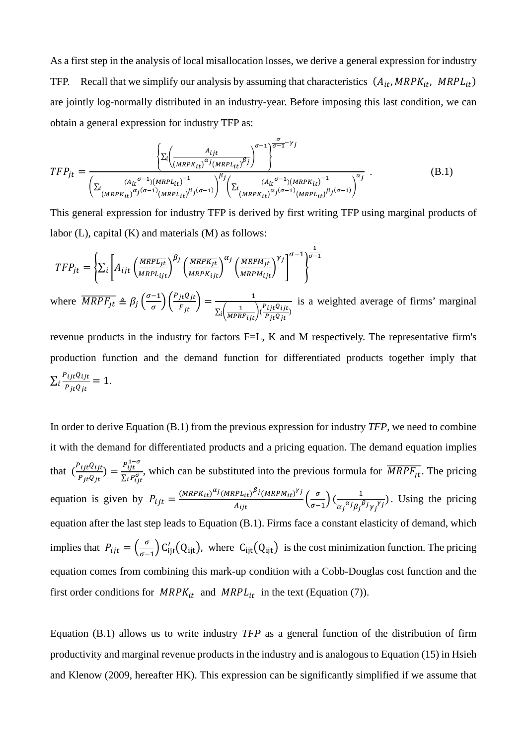As a first step in the analysis of local misallocation losses, we derive a general expression for industry Recall that we simplify our analysis by assuming that characteristics  $(A_{it}, MRPK_{it}, MRPL_{it})$ TFP. are jointly log-normally distributed in an industry-year. Before imposing this last condition, we can obtain a general expression for industry TFP as:

$$
TFP_{jt} = \frac{\left\{\sum_{i}\left(\frac{A_{ijt}}{(MRPK_{it})^{\alpha_{j}}(MRPL_{it})^{\beta_{j}}}\right)^{\sigma-1}\right\}^{\frac{\sigma}{\sigma-1}-\gamma_{j}}}{\left(\sum_{i}\frac{(A_{it}^{\sigma-1})(MRPL_{it})^{-1}}{(MRPK_{it})^{\alpha_{j}(\sigma-1)}(MRPL_{it})^{\beta_{j}(\sigma-1)}}\right)^{\beta_{j}}\left(\sum_{i}\frac{(A_{it}^{\sigma-1})(MRPK_{it})^{-1}}{(MRPK_{it})^{\alpha_{j}(\sigma-1)}(MRPL_{it})^{\beta_{j}(\sigma-1)}}\right)^{\alpha_{j}}}
$$
\n(B.1)

This general expression for industry TFP is derived by first writing TFP using marginal products of labor  $(L)$ , capital  $(K)$  and materials  $(M)$  as follows:

$$
TFP_{jt} = \left\{ \sum_{i} \left[ A_{ijt} \left( \frac{\overline{MRPL_{jt}}}{MRPL_{ijt}} \right)^{\beta_j} \left( \frac{\overline{MRPK_{jt}}}{MRPK_{ijt}} \right)^{\alpha_j} \left( \frac{\overline{MRPM_{jt}}}{MRPM_{ijt}} \right)^{\gamma_j} \right]^{\sigma - 1} \right\}^{\frac{1}{\sigma - 1}}
$$

where  $\overline{MRPF_{jt}} \triangleq \beta_j \left(\frac{\sigma-1}{\sigma}\right) \left(\frac{P_{jt}Q_{jt}}{F_{jt}}\right) = \frac{1}{\sum_i \left(\frac{1}{MPRF_{ijt}}\right) \left(\frac{P_{ijt}Q_{ijt}}{P_{jt}Q_{jt}}\right)}$  is a weighted average of firms' marginal

revenue products in the industry for factors F=L, K and M respectively. The representative firm's production function and the demand function for differentiated products together imply that  $\sum_{i} \frac{P_{ijt} Q_{ijt}}{P_{it} Q_{it}} = 1.$ 

In order to derive Equation  $(B.1)$  from the previous expression for industry TFP, we need to combine it with the demand for differentiated products and a pricing equation. The demand equation implies that  $\left(\frac{P_{ijt}Q_{ijt}}{P_{ii0}}\right) = \frac{P_{ijt}^{1-\sigma}}{\sum_{i}P_{ijt}^{\sigma}}$ , which can be substituted into the previous formula for  $\overline{MRPF_{jt}}$ . The pricing equation is given by  $P_{ijt} = \frac{(MRPK_{it})^{\alpha_j}(MRPL_{it})^{\beta_j}(MRPM_{it})^{\gamma_j}}{A_{iit}} \left(\frac{\sigma}{\sigma-1}\right) \left(\frac{1}{\alpha_i^{\alpha_j} \beta_i^{\beta_j} \gamma_i^{\gamma_j}}\right)$ . Using the pricing equation after the last step leads to Equation (B.1). Firms face a constant elasticity of demand, which implies that  $P_{ijt} = \left(\frac{\sigma}{\sigma-1}\right) C'_{ijt}(Q_{ijt})$ , where  $C_{ijt}(Q_{ijt})$  is the cost minimization function. The pricing equation comes from combining this mark-up condition with a Cobb-Douglas cost function and the first order conditions for  $MRPK_{it}$  and  $MRPL_{it}$  in the text (Equation (7)).

Equation  $(B.1)$  allows us to write industry TFP as a general function of the distribution of firm productivity and marginal revenue products in the industry and is analogous to Equation (15) in Hsieh and Klenow (2009, hereafter HK). This expression can be significantly simplified if we assume that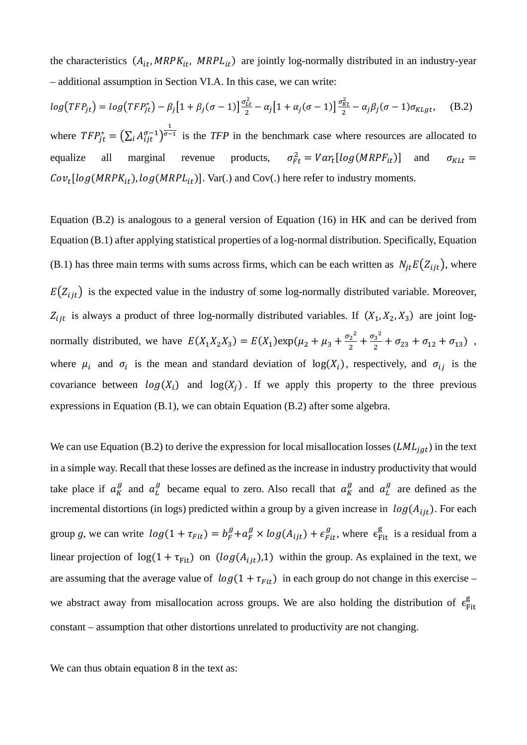the characteristics  $(A_{it}, MRPK_{it}, MRPL_{it})$  are jointly log-normally distributed in an industry-year – additional assumption in Section VI.A. In this case, we can write:

$$
log(TFP_{jt}) = log(TFP_{jt}^*) - \beta_j [1 + \beta_j(\sigma - 1)] \frac{\sigma_{Lt}^2}{2} - \alpha_j [1 + \alpha_j(\sigma - 1)] \frac{\sigma_{kt}^2}{2} - \alpha_j \beta_j(\sigma - 1) \sigma_{KLgt}, \quad (B.2)
$$
  
where  $TFP_{jt}^* = (\sum_i A_{ijt}^{\sigma - 1})^{\frac{1}{\sigma - 1}}$  is the *TFP* in the benchmark case where resources are allocated to  
equalize all marginal revenue products,  $\sigma_{Ft}^2 = Var_t [log(MRPF_{it})]$  and  $\sigma_{KLt} = Cov_t [log(MRPK_{it}), log(MRPL_{it})]$ . Var(.) and Cov(.) here refer to industry moments.

Equation (B.2) is analogous to a general version of Equation (16) in HK and can be derived from Equation (B.1) after applying statistical properties of a log-normal distribution. Specifically, Equation (B.1) has three main terms with sums across firms, which can be each written as  $N_{jt}E(Z_{ijt})$ , where  $E(Z_{ijt})$  is the expected value in the industry of some log-normally distributed variable. Moreover,  $Z_{iit}$  is always a product of three log-normally distributed variables. If  $(X_1, X_2, X_3)$  are joint lognormally distributed, we have  $E(X_1X_2X_3) = E(X_1)exp(\mu_2 + \mu_3 + \frac{\sigma_2^2}{2})$  $\frac{\sigma_2^2}{2} + \frac{\sigma_3^2}{2}$  $\frac{3}{2} + \sigma_{23} + \sigma_{12} + \sigma_{13}$ , where  $\mu_i$  and  $\sigma_i$  is the mean and standard deviation of log( $X_i$ ), respectively, and  $\sigma_{ij}$  is the covariance between  $log(X_i)$  and  $log(X_i)$ . If we apply this property to the three previous expressions in Equation (B.1), we can obtain Equation (B.2) after some algebra.

We can use Equation (B.2) to derive the expression for local misallocation losses ( $LML_{jgt}$ ) in the text in a simple way. Recall that these losses are defined as the increase in industry productivity that would take place if  $a_K^g$  and  $a_L^g$  became equal to zero. Also recall that  $a_K^g$  and  $a_L^g$  are defined as the incremental distortions (in logs) predicted within a group by a given increase in  $log(A_{ijt})$ . For each group *g*, we can write  $log(1 + \tau_{Fit}) = b_F^g + a_F^g \times log(A_{ijt}) + \epsilon_{Fit}^g$ , where  $\epsilon_{Fit}^g$  is a residual from a linear projection of  $\log(1 + \tau_{Fit})$  on  $(log(A_{iit}),1)$  within the group. As explained in the text, we are assuming that the average value of  $log(1 + \tau_{Fit})$  in each group do not change in this exercise – we abstract away from misallocation across groups. We are also holding the distribution of  $\epsilon_{Fit}^{g}$ constant – assumption that other distortions unrelated to productivity are not changing.

We can thus obtain equation 8 in the text as: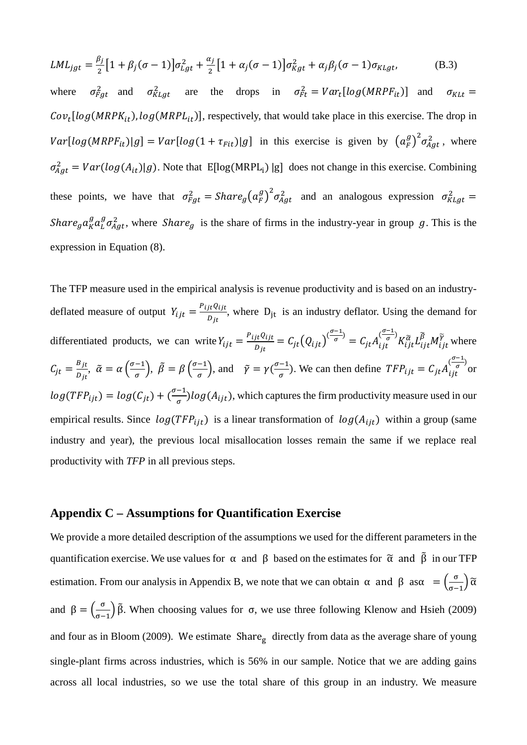$$
LML_{igt} = \frac{\beta_j}{2} \Big[ 1 + \beta_j (\sigma - 1) \Big] \sigma_{Lgt}^2 + \frac{\alpha_j}{2} \Big[ 1 + \alpha_j (\sigma - 1) \Big] \sigma_{Kgt}^2 + \alpha_j \beta_j (\sigma - 1) \sigma_{KLgt}, \tag{B.3}
$$

where  $\sigma_{Fgt}^2$  and  $\sigma_{KLgt}^2$  are the drops in  $\sigma_{Ft}^2 = Var_t[log(MRPF_{it})]$  and  $\sigma_{KLt} =$  $Cov_t[log(MRPK_{it}), log(MRPL_{it})]$ , respectively, that would take place in this exercise. The drop in  $Var[log(MRPF_{it})|g] = Var[log(1 + \tau_{Fit})|g]$  in this exercise is given by  $(a_F^g)^2 \sigma_{Agt}^2$ , where  $\sigma_{Agt}^2 = Var(log(A_{it})|g)$ . Note that E[log(MRPL<sub>i</sub>) |g] does not change in this exercise. Combining these points, we have that  $\sigma_{Fgt}^2 = Share_g(a_F^g)^2 \sigma_{Agt}^2$  and an analogous expression  $\sigma_{KLgt}^2 =$ Share<sub>g</sub>  $a_K^g a_L^g \sigma_{Agt}^2$ , where Share<sub>g</sub> is the share of firms in the industry-year in group g. This is the expression in Equation (8).

The TFP measure used in the empirical analysis is revenue productivity and is based on an industrydeflated measure of output  $Y_{ijt} = \frac{P_{ijt}Q_{ijt}}{D_{jt}}$ , where  $D_{jt}$  is an industry deflator. Using the demand for differentiated products, we can write  $Y_{ijt} = \frac{P_{ijt}Q_{ijt}}{D_{jt}} = C_{jt}(Q_{ijt})^{\frac{(\sigma-1)}{\sigma}} = C_{jt}A_{ijt}^{\frac{(\sigma-1)}{\sigma}}$  $\tilde{a}_{ijt} L^{\beta}_{i j}$  $\overline{v}_{ijt}^{\gamma}$  where  $C_{jt} = \frac{B_{jt}}{D_{jt}}$ ,  $\tilde{\alpha} = \alpha \left(\frac{\sigma - 1}{\sigma}\right)$ ,  $\tilde{\beta} = \beta \left(\frac{\sigma - 1}{\sigma}\right)$ , and  $\tilde{\gamma} = \gamma \left(\frac{\sigma - 1}{\sigma}\right)$ . We can then define  $TFP_{ijt} = C_{jt}A_{ijt}^{\left(\frac{\sigma - 1}{\sigma}\right)}$  or  $log(TFP_{ijt}) = log(C_{jt}) + (\frac{\sigma-1}{\sigma})log(A_{ijt})$ , which captures the firm productivity measure used in our empirical results. Since  $log(TFP_{i}$  is a linear transformation of  $log(A_{i}$ ) within a group (same industry and year), the previous local misallocation losses remain the same if we replace real productivity with *TFP* in all previous steps.

# **Appendix C – Assumptions for Quantification Exercise**

We provide a more detailed description of the assumptions we used for the different parameters in the quantification exercise. We use values for  $\alpha$  and  $\beta$  based on the estimates for  $\tilde{\alpha}$  and  $\tilde{\beta}$  in our TFP estimation. From our analysis in Appendix B, we note that we can obtain  $\alpha$  and  $\beta$  as $\alpha = \left(\frac{\sigma}{\sigma-1}\right)\tilde{\alpha}$ and  $\beta = \left(\frac{\sigma}{\sigma - 1}\right) \tilde{\beta}$ . When choosing values for  $\sigma$ , we use three following Klenow and Hsieh (2009) and four as in Bloom (2009). We estimate  $Share<sub>g</sub>$  directly from data as the average share of young single-plant firms across industries, which is 56% in our sample. Notice that we are adding gains across all local industries, so we use the total share of this group in an industry. We measure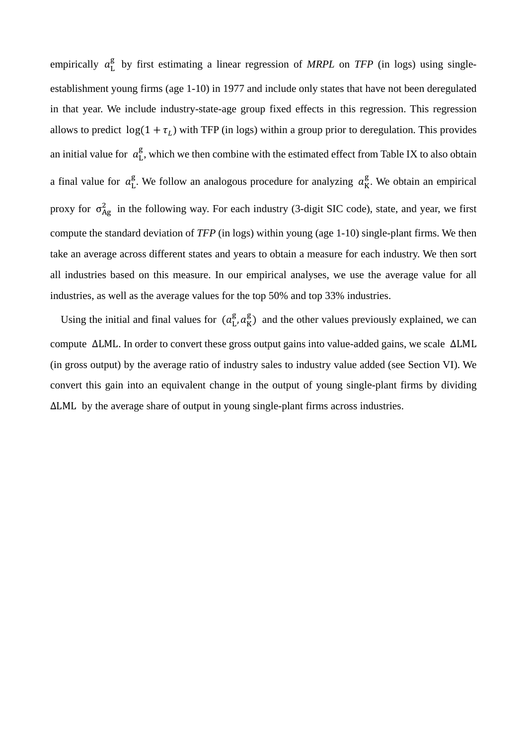empirically  $a_L^g$  by first estimating a linear regression of *MRPL* on *TFP* (in logs) using singleestablishment young firms (age 1-10) in 1977 and include only states that have not been deregulated in that year. We include industry-state-age group fixed effects in this regression. This regression allows to predict  $log(1 + \tau_L)$  with TFP (in logs) within a group prior to deregulation. This provides an initial value for  $a_L^g$ , which we then combine with the estimated effect from Table IX to also obtain a final value for  $a_L^g$ . We follow an analogous procedure for analyzing  $a_K^g$ . We obtain an empirical proxy for  $\sigma_{Ag}^2$  in the following way. For each industry (3-digit SIC code), state, and year, we first compute the standard deviation of *TFP* (in logs) within young (age 1-10) single-plant firms. We then take an average across different states and years to obtain a measure for each industry. We then sort all industries based on this measure. In our empirical analyses, we use the average value for all industries, as well as the average values for the top 50% and top 33% industries.

Using the initial and final values for  $(a_L^g, a_K^g)$  and the other values previously explained, we can compute ∆LML. In order to convert these gross output gains into value-added gains, we scale ∆LML (in gross output) by the average ratio of industry sales to industry value added (see Section VI). We convert this gain into an equivalent change in the output of young single-plant firms by dividing ∆LML by the average share of output in young single-plant firms across industries.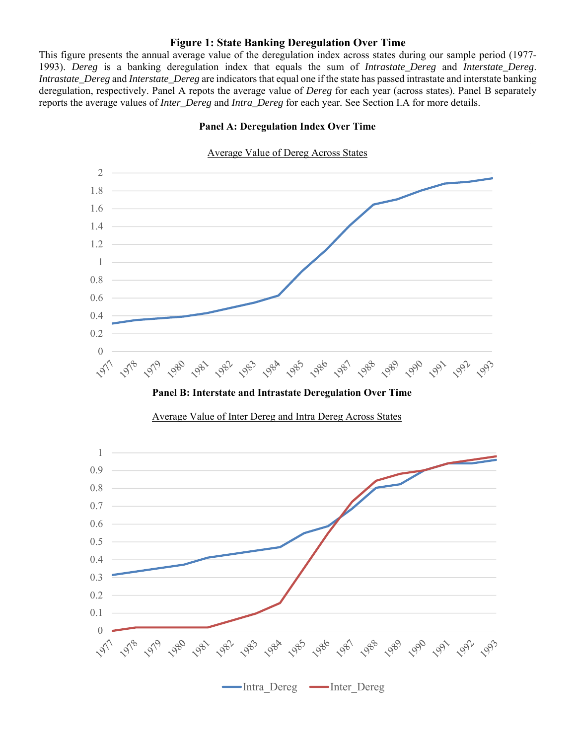### **Figure 1: State Banking Deregulation Over Time**

This figure presents the annual average value of the deregulation index across states during our sample period (1977- 1993). *Dereg* is a banking deregulation index that equals the sum of *Intrastate\_Dereg* and *Interstate\_Dereg*. *Intrastate Dereg* and *Interstate Dereg* are indicators that equal one if the state has passed intrastate and interstate banking deregulation, respectively. Panel A repots the average value of *Dereg* for each year (across states). Panel B separately reports the average values of *Inter\_Dereg* and *Intra\_Dereg* for each year*.* See Section I.A for more details.

#### **Panel A: Deregulation Index Over Time**

#### Average Value of Dereg Across States

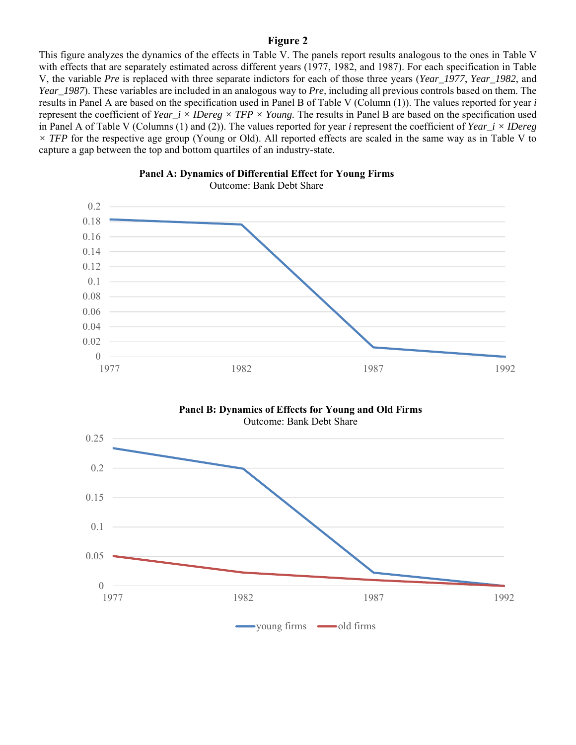# **Figure 2**

This figure analyzes the dynamics of the effects in Table V. The panels report results analogous to the ones in Table V with effects that are separately estimated across different years (1977, 1982, and 1987). For each specification in Table V, the variable *Pre* is replaced with three separate indictors for each of those three years (*Year\_1977*, *Year\_1982*, and *Year\_1987*). These variables are included in an analogous way to *Pre,* including all previous controls based on them. The results in Panel A are based on the specification used in Panel B of Table V (Column (1)). The values reported for year *i* represent the coefficient of *Year*  $i \times IDereg \times TFP \times Young$ . The results in Panel B are based on the specification used in Panel A of Table V (Columns (1) and (2)). The values reported for year *i* represent the coefficient of *Year\_i × IDereg × TFP* for the respective age group (Young or Old). All reported effects are scaled in the same way as in Table V to capture a gap between the top and bottom quartiles of an industry-state.





Outcome: Bank Debt Share



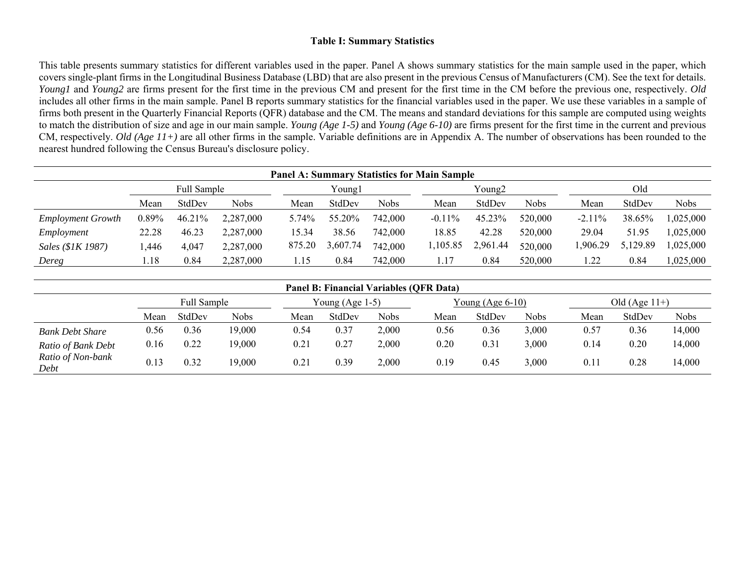# **Table I: Summary Statistics**

This table presents summary statistics for different variables used in the paper. Panel A shows summary statistics for the main sample used in the paper, which covers single-plant firms in the Longitudinal Business Database (LBD) that are also present in the previous Census of Manufacturers (CM). See the text for details. *Young1* and *Young2* are firms present for the first time in the previous CM and present for the first time in the CM before the previous one, respectively. *Old* includes all other firms in the main sample. Panel B reports summary statistics for the financial variables used in the paper. We use these variables in a sample of firms both present in the Quarterly Financial Reports (QFR) database and the CM. The means and standard deviations for this sample are computed using weights to match the distribution of size and age in our main sample. *Young (Age 1-5)* and *Young (Age 6-10)* are firms present for the first time in the current and previous CM, respectively. *Old (Age 11+)* are all other firms in the sample. Variable definitions are in Appendix A. The number of observations has been rounded to the nearest hundred following the Census Bureau's disclosure policy.

| <b>Panel A: Summary Statistics for Main Sample</b> |             |        |             |                  |          |             |           |          |             |          |          |             |
|----------------------------------------------------|-------------|--------|-------------|------------------|----------|-------------|-----------|----------|-------------|----------|----------|-------------|
|                                                    | Full Sample |        |             | Young2<br>Young1 |          |             | Old       |          |             |          |          |             |
|                                                    | Mean        | StdDev | <b>Nobs</b> | Mean             | StdDev   | <b>Nobs</b> | Mean      | StdDev   | <b>Nobs</b> | Mean     | StdDev   | <b>Nobs</b> |
| <b>Employment Growth</b>                           | $0.89\%$    | 46.21% | 2,287,000   | $5.74\%$         | 55.20%   | 742,000     | $-0.11\%$ | 45.23%   | 520,000     | $-2.11%$ | 38.65%   | 1,025,000   |
| Employment                                         | 22.28       | 46.23  | 2,287,000   | 15.34            | 38.56    | 742,000     | 18.85     | 42.28    | 520,000     | 29.04    | 51.95    | 1,025,000   |
| Sales (\$1K 1987)                                  | .446        | 4,047  | 2,287,000   | 875.20           | 3,607.74 | 742,000     | 1,105.85  | 2,961.44 | 520,000     | 1,906.29 | 5,129.89 | 1,025,000   |
| Dereg                                              | l.18        | 0.84   | 2,287,000   | 1.15             | 0.84     | 742,000     | 1.17      | 0.84     | 520,000     | 1.22     | 0.84     | 1,025,000   |

| Panel B: Financial Variables (QFR Data) |             |        |             |                   |        |             |                         |        |       |                  |        |             |
|-----------------------------------------|-------------|--------|-------------|-------------------|--------|-------------|-------------------------|--------|-------|------------------|--------|-------------|
|                                         | Full Sample |        |             | Young $(Age 1-5)$ |        |             | <u>Young (Age 6-10)</u> |        |       | Old (Age $11+$ ) |        |             |
|                                         | Mean        | StdDev | <b>Nobs</b> | Mean              | StdDev | <b>Nobs</b> | Mean                    | StdDev | Nobs  | Mean             | StdDev | <b>Nobs</b> |
| <b>Bank Debt Share</b>                  | 0.56        | 0.36   | 19,000      | 0.54              | 0.37   | 2,000       | 0.56                    | 0.36   | 3,000 | 0.57             | 0.36   | 14,000      |
| Ratio of Bank Debt                      | 0.16        | 0.22   | 19,000      | 0.21              | 0.27   | 2,000       | 0.20                    | 0.31   | 3,000 | 0.14             | 0.20   | 14,000      |
| Ratio of Non-bank<br>Debt               | 0.13        | 0.32   | 19,000      | 0.2               | 0.39   | 2,000       | 0.19                    | 0.45   | 000,  | 0.11             | 0.28   | 14,000      |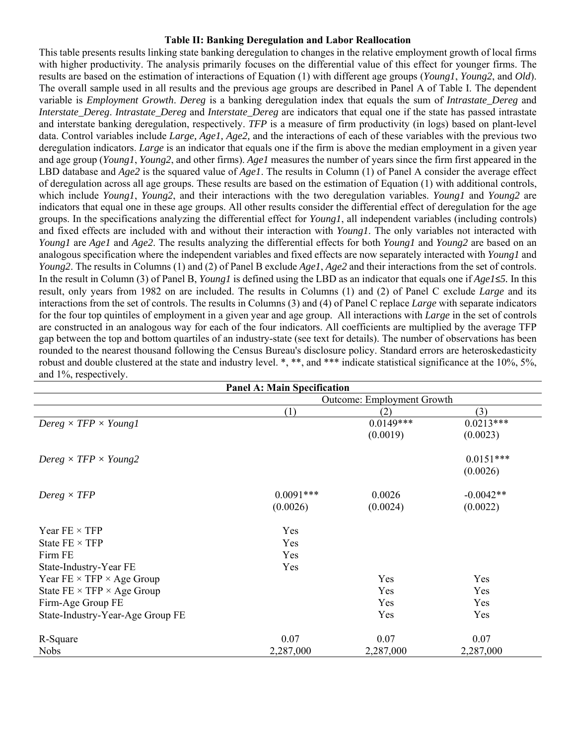#### **Table II: Banking Deregulation and Labor Reallocation**

This table presents results linking state banking deregulation to changes in the relative employment growth of local firms with higher productivity. The analysis primarily focuses on the differential value of this effect for younger firms. The results are based on the estimation of interactions of Equation (1) with different age groups (*Young1*, *Young2*, and *Old*). The overall sample used in all results and the previous age groups are described in Panel A of Table I. The dependent variable is *Employment Growth*. *Dereg* is a banking deregulation index that equals the sum of *Intrastate\_Dereg* and *Interstate\_Dereg*. *Intrastate\_Dereg* and *Interstate\_Dereg* are indicators that equal one if the state has passed intrastate and interstate banking deregulation, respectively. *TFP* is a measure of firm productivity (in logs) based on plant-level data. Control variables include *Large, Age1, Age2,* and the interactions of each of these variables with the previous two deregulation indicators. *Large* is an indicator that equals one if the firm is above the median employment in a given year and age group (*Young1*, *Young2*, and other firms). *Age1* measures the number of years since the firm first appeared in the LBD database and *Age2* is the squared value of *Age1*. The results in Column (1) of Panel A consider the average effect of deregulation across all age groups. These results are based on the estimation of Equation (1) with additional controls, which include *Young1*, *Young2*, and their interactions with the two deregulation variables. *Young1* and *Young2* are indicators that equal one in these age groups. All other results consider the differential effect of deregulation for the age groups. In the specifications analyzing the differential effect for *Young1*, all independent variables (including controls) and fixed effects are included with and without their interaction with *Young1*. The only variables not interacted with *Young1* are *Age1* and *Age2*. The results analyzing the differential effects for both *Young1* and *Young2* are based on an analogous specification where the independent variables and fixed effects are now separately interacted with *Young1* and *Young2*. The results in Columns (1) and (2) of Panel B exclude *Age1*, *Age2* and their interactions from the set of controls. In the result in Column (3) of Panel B, *Young1* is defined using the LBD as an indicator that equals one if *Age1*≤*5.* In this result, only years from 1982 on are included. The results in Columns (1) and (2) of Panel C exclude *Large* and its interactions from the set of controls. The results in Columns (3) and (4) of Panel C replace *Large* with separate indicators for the four top quintiles of employment in a given year and age group. All interactions with *Large* in the set of controls are constructed in an analogous way for each of the four indicators. All coefficients are multiplied by the average TFP gap between the top and bottom quartiles of an industry-state (see text for details). The number of observations has been rounded to the nearest thousand following the Census Bureau's disclosure policy. Standard errors are heteroskedasticity robust and double clustered at the state and industry level. \*, \*\*, and \*\*\* indicate statistical significance at the 10%, 5%, and 1%, respectively.

| <b>Panel A: Main Specification</b>     |             |                                   |             |  |  |  |  |
|----------------------------------------|-------------|-----------------------------------|-------------|--|--|--|--|
|                                        |             | <b>Outcome: Employment Growth</b> |             |  |  |  |  |
|                                        | (1)         | (2)                               | (3)         |  |  |  |  |
| $Dereg \times TFP \times Young1$       |             | $0.0149***$                       | $0.0213***$ |  |  |  |  |
|                                        |             | (0.0019)                          | (0.0023)    |  |  |  |  |
| $Dereg \times TFP \times Young2$       |             |                                   | $0.0151***$ |  |  |  |  |
|                                        |             |                                   | (0.0026)    |  |  |  |  |
| $Dereg \times TFP$                     | $0.0091***$ | 0.0026                            | $-0.0042**$ |  |  |  |  |
|                                        | (0.0026)    | (0.0024)                          | (0.0022)    |  |  |  |  |
| Year $FE \times TFP$                   | Yes         |                                   |             |  |  |  |  |
| State $FE \times TFP$                  | Yes         |                                   |             |  |  |  |  |
| Firm FE                                | Yes         |                                   |             |  |  |  |  |
| State-Industry-Year FE                 | Yes         |                                   |             |  |  |  |  |
| Year $FE \times TFP \times Age$ Group  |             | Yes                               | Yes         |  |  |  |  |
| State $FE \times TFP \times Age$ Group |             | Yes                               | Yes         |  |  |  |  |
| Firm-Age Group FE                      |             | Yes                               | Yes         |  |  |  |  |
| State-Industry-Year-Age Group FE       |             | Yes                               | Yes         |  |  |  |  |
| R-Square                               | 0.07        | 0.07                              | 0.07        |  |  |  |  |
| <b>Nobs</b>                            | 2,287,000   | 2,287,000                         | 2,287,000   |  |  |  |  |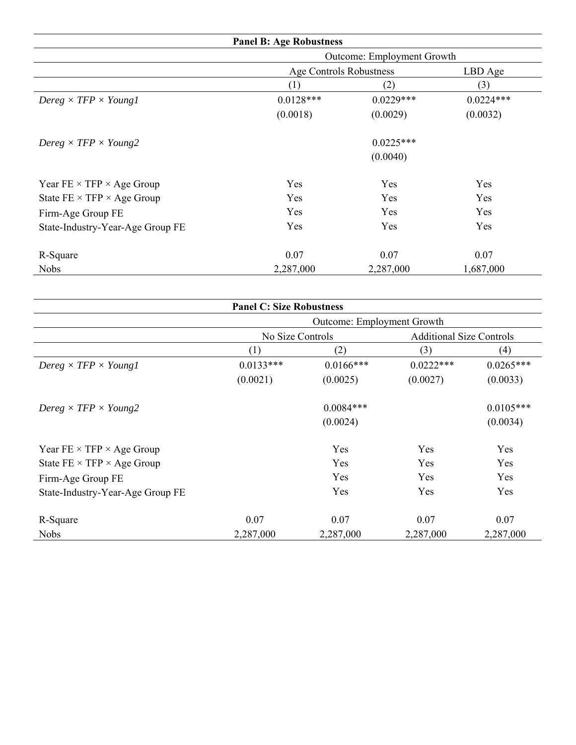| <b>Panel B: Age Robustness</b>         |                                   |             |             |  |  |  |
|----------------------------------------|-----------------------------------|-------------|-------------|--|--|--|
|                                        | <b>Outcome: Employment Growth</b> |             |             |  |  |  |
|                                        | Age Controls Robustness           |             | LBD Age     |  |  |  |
|                                        | $\left( 1\right)$                 | (2)         | (3)         |  |  |  |
| Dereg $\times$ TFP $\times$ Young1     | $0.0128***$                       | $0.0229***$ | $0.0224***$ |  |  |  |
|                                        | (0.0018)                          | (0.0029)    | (0.0032)    |  |  |  |
| $Dereg \times TFP \times Young2$       |                                   | $0.0225***$ |             |  |  |  |
|                                        |                                   | (0.0040)    |             |  |  |  |
| Year $FE \times TFP \times Age$ Group  | Yes                               | Yes         | Yes         |  |  |  |
| State $FE \times TFP \times Age$ Group | Yes                               | Yes         | Yes         |  |  |  |
| Firm-Age Group FE                      | Yes                               | Yes         | Yes         |  |  |  |
| State-Industry-Year-Age Group FE       | Yes                               | Yes         | Yes         |  |  |  |
| R-Square                               | 0.07                              | 0.07        | 0.07        |  |  |  |
| <b>Nobs</b>                            | 2,287,000                         | 2,287,000   | 1,687,000   |  |  |  |

| <b>Panel C: Size Robustness</b>        |                  |             |                                 |             |  |  |
|----------------------------------------|------------------|-------------|---------------------------------|-------------|--|--|
| <b>Outcome: Employment Growth</b>      |                  |             |                                 |             |  |  |
|                                        | No Size Controls |             | <b>Additional Size Controls</b> |             |  |  |
|                                        | (1)              | (2)         | (3)                             | (4)         |  |  |
| $Dereg \times TFP \times Young1$       | $0.0133***$      | $0.0166***$ | $0.0222***$                     | $0.0265***$ |  |  |
|                                        | (0.0021)         | (0.0025)    | (0.0027)                        | (0.0033)    |  |  |
| $Dereg \times TFP \times Young2$       |                  | $0.0084***$ |                                 | $0.0105***$ |  |  |
|                                        |                  | (0.0024)    |                                 | (0.0034)    |  |  |
| Year $FE \times TFP \times Age$ Group  |                  | Yes         | Yes                             | Yes         |  |  |
| State $FE \times TFP \times Age$ Group |                  | Yes         | Yes                             | Yes         |  |  |
| Firm-Age Group FE                      |                  | Yes         | Yes                             | Yes         |  |  |
| State-Industry-Year-Age Group FE       |                  | Yes         | Yes                             | Yes         |  |  |
| R-Square                               | 0.07             | 0.07        | 0.07                            | 0.07        |  |  |
| <b>Nobs</b>                            | 2,287,000        | 2,287,000   | 2,287,000                       | 2,287,000   |  |  |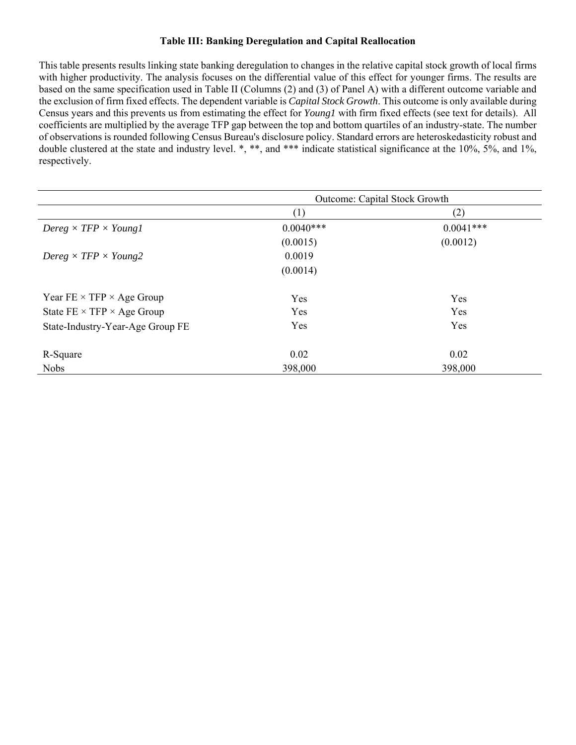### **Table III: Banking Deregulation and Capital Reallocation**

This table presents results linking state banking deregulation to changes in the relative capital stock growth of local firms with higher productivity. The analysis focuses on the differential value of this effect for younger firms. The results are based on the same specification used in Table II (Columns (2) and (3) of Panel A) with a different outcome variable and the exclusion of firm fixed effects. The dependent variable is *Capital Stock Growth*. This outcome is only available during Census years and this prevents us from estimating the effect for *Young1* with firm fixed effects (see text for details). All coefficients are multiplied by the average TFP gap between the top and bottom quartiles of an industry-state. The number of observations is rounded following Census Bureau's disclosure policy. Standard errors are heteroskedasticity robust and double clustered at the state and industry level. \*, \*\*, and \*\*\* indicate statistical significance at the 10%, 5%, and 1%, respectively.

|                                        | <b>Outcome: Capital Stock Growth</b> |             |  |  |  |
|----------------------------------------|--------------------------------------|-------------|--|--|--|
|                                        | (1)                                  | (2)         |  |  |  |
| $Dereg \times TFP \times Young1$       | $0.0040***$                          | $0.0041***$ |  |  |  |
|                                        | (0.0015)                             | (0.0012)    |  |  |  |
| $Dereg \times TFP \times Young2$       | 0.0019                               |             |  |  |  |
|                                        | (0.0014)                             |             |  |  |  |
| Year $FE \times TFP \times Age$ Group  | Yes                                  | Yes         |  |  |  |
| State $FE \times TFP \times Age$ Group | Yes                                  | Yes         |  |  |  |
| State-Industry-Year-Age Group FE       | Yes                                  | Yes         |  |  |  |
| R-Square                               | 0.02                                 | 0.02        |  |  |  |
| <b>Nobs</b>                            | 398,000                              | 398,000     |  |  |  |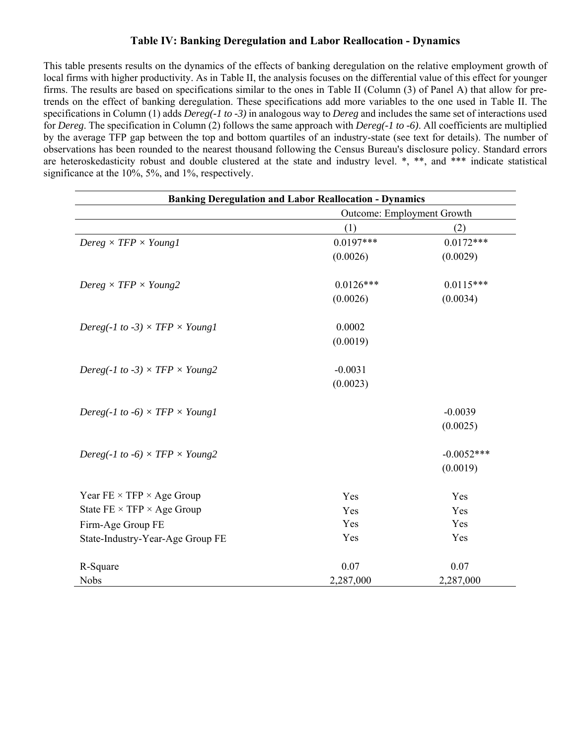# **Table IV: Banking Deregulation and Labor Reallocation - Dynamics**

This table presents results on the dynamics of the effects of banking deregulation on the relative employment growth of local firms with higher productivity. As in Table II, the analysis focuses on the differential value of this effect for younger firms. The results are based on specifications similar to the ones in Table II (Column (3) of Panel A) that allow for pretrends on the effect of banking deregulation. These specifications add more variables to the one used in Table II. The specifications in Column (1) adds *Dereg(-1 to -3)* in analogous way to *Dereg* and includes the same set of interactions used for *Dereg*. The specification in Column (2) follows the same approach with *Dereg(-1 to -6)*. All coefficients are multiplied by the average TFP gap between the top and bottom quartiles of an industry-state (see text for details). The number of observations has been rounded to the nearest thousand following the Census Bureau's disclosure policy. Standard errors are heteroskedasticity robust and double clustered at the state and industry level. \*, \*\*, and \*\*\* indicate statistical significance at the 10%, 5%, and 1%, respectively.

| <b>Banking Deregulation and Labor Reallocation - Dynamics</b> |                            |              |  |  |  |
|---------------------------------------------------------------|----------------------------|--------------|--|--|--|
|                                                               | Outcome: Employment Growth |              |  |  |  |
|                                                               | (1)                        | (2)          |  |  |  |
| $Dereg \times TFP \times Young1$                              | $0.0197***$                | $0.0172***$  |  |  |  |
|                                                               | (0.0026)                   | (0.0029)     |  |  |  |
| $Dereg \times TFP \times Young2$                              | $0.0126***$                | $0.0115***$  |  |  |  |
|                                                               | (0.0026)                   | (0.0034)     |  |  |  |
| Dereg(-1 to -3) $\times$ TFP $\times$ Young1                  | 0.0002                     |              |  |  |  |
|                                                               | (0.0019)                   |              |  |  |  |
| Dereg(-1 to -3) $\times$ TFP $\times$ Young2                  | $-0.0031$                  |              |  |  |  |
|                                                               | (0.0023)                   |              |  |  |  |
| Dereg(-1 to -6) $\times$ TFP $\times$ Young1                  |                            | $-0.0039$    |  |  |  |
|                                                               |                            | (0.0025)     |  |  |  |
| Dereg(-1 to -6) $\times$ TFP $\times$ Young2                  |                            | $-0.0052***$ |  |  |  |
|                                                               |                            | (0.0019)     |  |  |  |
| Year $FE \times TFP \times Age$ Group                         | Yes                        | Yes          |  |  |  |
| State $FE \times TFP \times Age$ Group                        | Yes                        | Yes          |  |  |  |
| Firm-Age Group FE                                             | Yes                        | Yes          |  |  |  |
| State-Industry-Year-Age Group FE                              | Yes                        | Yes          |  |  |  |
| R-Square                                                      | 0.07                       | 0.07         |  |  |  |
| <b>Nobs</b>                                                   | 2,287,000                  | 2,287,000    |  |  |  |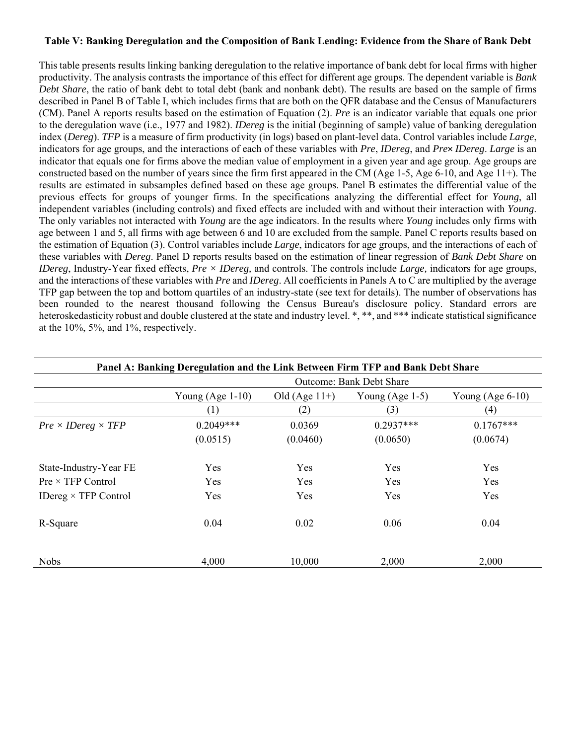### **Table V: Banking Deregulation and the Composition of Bank Lending: Evidence from the Share of Bank Debt**

This table presents results linking banking deregulation to the relative importance of bank debt for local firms with higher productivity. The analysis contrasts the importance of this effect for different age groups. The dependent variable is *Bank Debt Share*, the ratio of bank debt to total debt (bank and nonbank debt). The results are based on the sample of firms described in Panel B of Table I, which includes firms that are both on the QFR database and the Census of Manufacturers (CM). Panel A reports results based on the estimation of Equation (2). *Pre* is an indicator variable that equals one prior to the deregulation wave (i.e., 1977 and 1982). *IDereg* is the initial (beginning of sample) value of banking deregulation index (*Dereg*). *TFP* is a measure of firm productivity (in logs) based on plant-level data. Control variables include *Large*, indicators for age groups, and the interactions of each of these variables with *Pre*, *IDereg*, and *Pre*× *IDereg*. *Large* is an indicator that equals one for firms above the median value of employment in a given year and age group. Age groups are constructed based on the number of years since the firm first appeared in the CM (Age 1-5, Age 6-10, and Age 11+). The results are estimated in subsamples defined based on these age groups. Panel B estimates the differential value of the previous effects for groups of younger firms. In the specifications analyzing the differential effect for *Young*, all independent variables (including controls) and fixed effects are included with and without their interaction with *Young*. The only variables not interacted with *Young* are the age indicators. In the results where *Young* includes only firms with age between 1 and 5, all firms with age between 6 and 10 are excluded from the sample. Panel C reports results based on the estimation of Equation (3). Control variables include *Large*, indicators for age groups, and the interactions of each of these variables with *Dereg*. Panel D reports results based on the estimation of linear regression of *Bank Debt Share* on *IDereg*, Industry-Year fixed effects, *Pre × IDereg,* and controls. The controls include *Large,* indicators for age groups, and the interactions of these variables with *Pre* and *IDereg*. All coefficients in Panels A to C are multiplied by the average TFP gap between the top and bottom quartiles of an industry-state (see text for details). The number of observations has been rounded to the nearest thousand following the Census Bureau's disclosure policy. Standard errors are heteroskedasticity robust and double clustered at the state and industry level. \*, \*\*, and \*\*\* indicate statistical significance at the 10%, 5%, and 1%, respectively.

| Panel A: Banking Deregulation and the Link Between Firm TFP and Bank Debt Share |                                 |                  |                   |                     |  |  |  |
|---------------------------------------------------------------------------------|---------------------------------|------------------|-------------------|---------------------|--|--|--|
|                                                                                 | <b>Outcome: Bank Debt Share</b> |                  |                   |                     |  |  |  |
|                                                                                 | Young $(Age 1-10)$              | Old (Age $11+$ ) | Young $(Age 1-5)$ | Young (Age $6-10$ ) |  |  |  |
|                                                                                 | (1)                             | (2)              | (3)               | (4)                 |  |  |  |
| $Pre \times IDereg \times TFP$                                                  | $0.2049***$                     | 0.0369           | $0.2937***$       | $0.1767***$         |  |  |  |
|                                                                                 | (0.0515)                        | (0.0460)         | (0.0650)          | (0.0674)            |  |  |  |
| State-Industry-Year FE                                                          | Yes                             | Yes              | Yes               | Yes                 |  |  |  |
| $Pre \times TFP$ Control                                                        | Yes                             | <b>Yes</b>       | <b>Yes</b>        | Yes                 |  |  |  |
| IDereg $\times$ TFP Control                                                     | <b>Yes</b>                      | <b>Yes</b>       | <b>Yes</b>        | Yes                 |  |  |  |
| R-Square                                                                        | 0.04                            | 0.02             | 0.06              | 0.04                |  |  |  |
| <b>Nobs</b>                                                                     | 4,000                           | 10,000           | 2,000             | 2,000               |  |  |  |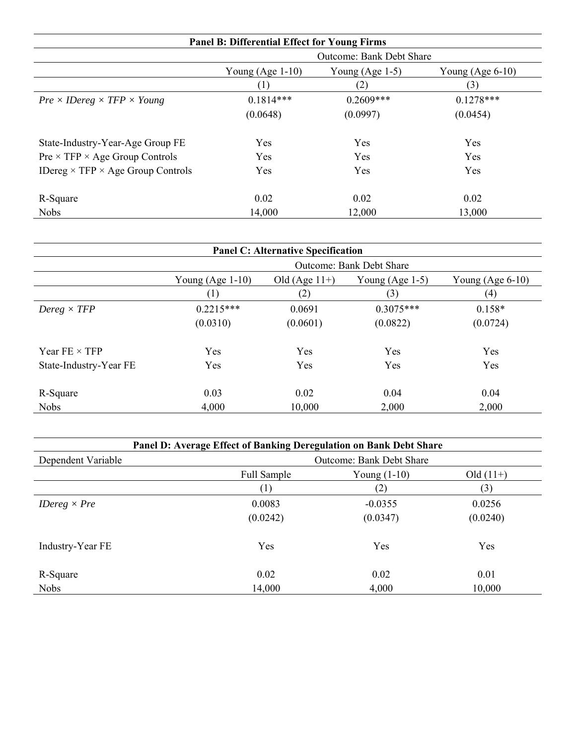| <b>Panel B: Differential Effect for Young Firms</b> |                                                                |             |             |  |  |  |  |
|-----------------------------------------------------|----------------------------------------------------------------|-------------|-------------|--|--|--|--|
|                                                     | <b>Outcome: Bank Debt Share</b>                                |             |             |  |  |  |  |
|                                                     | Young $(Age 1-10)$<br>Young (Age $1-5$ )<br>Young $(Age 6-10)$ |             |             |  |  |  |  |
|                                                     | (1)                                                            | (2)         | (3)         |  |  |  |  |
| $Pre \times IDereg \times TFP \times Young$         | $0.1814***$                                                    | $0.2609***$ | $0.1278***$ |  |  |  |  |
|                                                     | (0.0648)                                                       | (0.0997)    | (0.0454)    |  |  |  |  |
| State-Industry-Year-Age Group FE                    | Yes                                                            | Yes         | Yes         |  |  |  |  |
| $Pre \times TFP \times Age$ Group Controls          | <b>Yes</b>                                                     | <b>Yes</b>  | Yes         |  |  |  |  |
| IDereg $\times$ TFP $\times$ Age Group Controls     | Yes                                                            | Yes         | Yes         |  |  |  |  |
| R-Square                                            | 0.02                                                           | 0.02        | 0.02        |  |  |  |  |
| <b>Nobs</b>                                         | 14,000                                                         | 12,000      | 13,000      |  |  |  |  |

| <b>Panel C: Alternative Specification</b> |                                 |                                                              |             |          |  |  |  |
|-------------------------------------------|---------------------------------|--------------------------------------------------------------|-------------|----------|--|--|--|
|                                           | <b>Outcome: Bank Debt Share</b> |                                                              |             |          |  |  |  |
|                                           | Young $(Age 1-10)$              | Old (Age $11+$ )<br>Young $(Age 1-5)$<br>Young (Age $6-10$ ) |             |          |  |  |  |
|                                           | (1)                             | (2)                                                          | (3)         | (4)      |  |  |  |
| $Dereg \times TFP$                        | $0.2215***$                     | 0.0691                                                       | $0.3075***$ | $0.158*$ |  |  |  |
|                                           | (0.0310)                        | (0.0601)                                                     | (0.0822)    | (0.0724) |  |  |  |
| Year $FE \times TFP$                      | Yes                             | Yes                                                          | Yes         | Yes      |  |  |  |
| State-Industry-Year FE                    | Yes                             | Yes                                                          | Yes         | Yes      |  |  |  |
| R-Square                                  | 0.03                            | 0.02                                                         | 0.04        | 0.04     |  |  |  |
| <b>Nobs</b>                               | 4,000                           | 10,000                                                       | 2,000       | 2,000    |  |  |  |

| Panel D: Average Effect of Banking Deregulation on Bank Debt Share |                                 |                |             |  |  |  |
|--------------------------------------------------------------------|---------------------------------|----------------|-------------|--|--|--|
| Dependent Variable                                                 | <b>Outcome: Bank Debt Share</b> |                |             |  |  |  |
|                                                                    | Full Sample                     | Young $(1-10)$ | $Old (11+)$ |  |  |  |
|                                                                    | $\left(1\right)$                | (2)            | (3)         |  |  |  |
| <i>IDereg</i> $\times$ <i>Pre</i>                                  | 0.0083                          | $-0.0355$      | 0.0256      |  |  |  |
|                                                                    | (0.0242)                        | (0.0347)       | (0.0240)    |  |  |  |
| Industry-Year FE                                                   | Yes                             | Yes            | Yes         |  |  |  |
| R-Square                                                           | 0.02                            | 0.02           | 0.01        |  |  |  |
| <b>Nobs</b>                                                        | 14,000                          | 4,000          | 10,000      |  |  |  |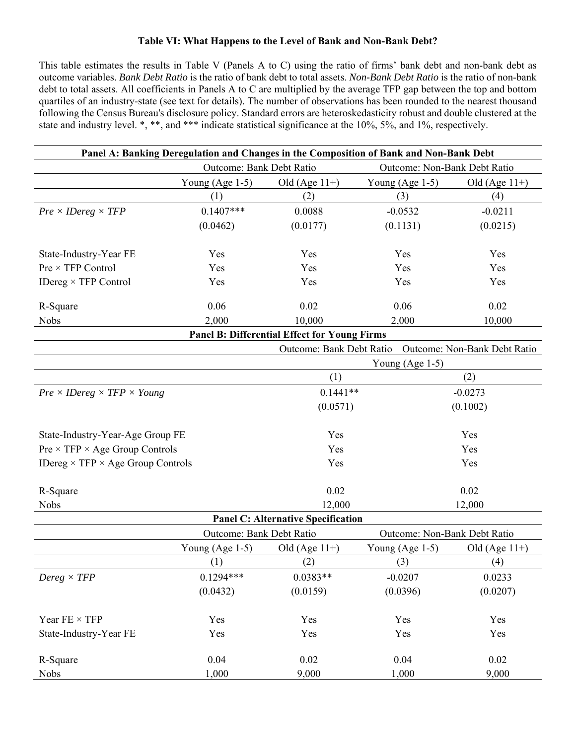# **Table VI: What Happens to the Level of Bank and Non-Bank Debt?**

This table estimates the results in Table V (Panels A to C) using the ratio of firms' bank debt and non-bank debt as outcome variables. *Bank Debt Ratio* is the ratio of bank debt to total assets. *Non-Bank Debt Ratio* is the ratio of non-bank debt to total assets. All coefficients in Panels A to C are multiplied by the average TFP gap between the top and bottom quartiles of an industry-state (see text for details). The number of observations has been rounded to the nearest thousand following the Census Bureau's disclosure policy. Standard errors are heteroskedasticity robust and double clustered at the state and industry level. \*, \*\*, and \*\*\* indicate statistical significance at the 10%, 5%, and 1%, respectively.

| Panel A: Banking Deregulation and Changes in the Composition of Bank and Non-Bank Debt |                                                          |                                                     |                              |                              |  |  |
|----------------------------------------------------------------------------------------|----------------------------------------------------------|-----------------------------------------------------|------------------------------|------------------------------|--|--|
|                                                                                        | Outcome: Bank Debt Ratio<br>Outcome: Non-Bank Debt Ratio |                                                     |                              |                              |  |  |
|                                                                                        | Young (Age $1-5$ )                                       | Old (Age $11+$ )                                    | Young (Age 1-5)              | Old (Age $11+$ )             |  |  |
|                                                                                        | (1)                                                      | (2)                                                 | (3)                          | (4)                          |  |  |
| $Pre \times IDereg \times TFP$                                                         | $0.1407***$                                              | 0.0088                                              | $-0.0532$                    | $-0.0211$                    |  |  |
|                                                                                        | (0.0462)                                                 | (0.0177)                                            | (0.1131)                     | (0.0215)                     |  |  |
|                                                                                        |                                                          |                                                     |                              |                              |  |  |
| State-Industry-Year FE                                                                 | Yes                                                      | Yes                                                 | Yes                          | Yes                          |  |  |
| Pre × TFP Control                                                                      | Yes                                                      | Yes                                                 | Yes                          | Yes                          |  |  |
| IDereg $\times$ TFP Control                                                            | Yes                                                      | Yes                                                 | Yes                          | Yes                          |  |  |
| R-Square                                                                               | 0.06                                                     | 0.02                                                | 0.06                         | 0.02                         |  |  |
| <b>Nobs</b>                                                                            | 2,000                                                    | 10,000                                              | 2,000                        | 10,000                       |  |  |
|                                                                                        |                                                          | <b>Panel B: Differential Effect for Young Firms</b> |                              |                              |  |  |
|                                                                                        |                                                          | <b>Outcome: Bank Debt Ratio</b>                     |                              | Outcome: Non-Bank Debt Ratio |  |  |
|                                                                                        |                                                          |                                                     | Young (Age 1-5)              |                              |  |  |
|                                                                                        |                                                          | (1)                                                 |                              | (2)                          |  |  |
| $Pre \times IDereg \times TFP \times Young$                                            |                                                          | $0.1441**$                                          |                              | $-0.0273$                    |  |  |
|                                                                                        |                                                          | (0.0571)                                            |                              | (0.1002)                     |  |  |
|                                                                                        |                                                          |                                                     |                              |                              |  |  |
| State-Industry-Year-Age Group FE                                                       |                                                          | Yes                                                 |                              | Yes                          |  |  |
| $Pre \times TFP \times Age$ Group Controls                                             |                                                          | Yes                                                 |                              | Yes                          |  |  |
| IDereg $\times$ TFP $\times$ Age Group Controls                                        |                                                          | Yes                                                 |                              | Yes                          |  |  |
|                                                                                        |                                                          |                                                     |                              |                              |  |  |
| R-Square                                                                               |                                                          | 0.02                                                |                              | 0.02                         |  |  |
| <b>Nobs</b>                                                                            |                                                          | 12,000                                              |                              | 12,000                       |  |  |
|                                                                                        |                                                          | <b>Panel C: Alternative Specification</b>           |                              |                              |  |  |
|                                                                                        | Outcome: Bank Debt Ratio                                 |                                                     | Outcome: Non-Bank Debt Ratio |                              |  |  |
|                                                                                        | Young (Age 1-5)                                          | Old (Age $11+$ )                                    | Young (Age $1-5$ )           | Old (Age $11+$ )             |  |  |
|                                                                                        | (1)                                                      | (2)                                                 | (3)                          | (4)                          |  |  |
| $Dereg \times TFP$                                                                     | $0.1294***$                                              | $0.0383**$                                          | $-0.0207$                    | 0.0233                       |  |  |
|                                                                                        | (0.0432)                                                 | (0.0159)                                            | (0.0396)                     | (0.0207)                     |  |  |
|                                                                                        |                                                          |                                                     |                              |                              |  |  |
| Year $FE \times TFP$                                                                   | Yes                                                      | Yes                                                 | Yes                          | Yes                          |  |  |
| State-Industry-Year FE                                                                 | Yes                                                      | Yes                                                 | Yes                          | Yes                          |  |  |
|                                                                                        |                                                          |                                                     |                              |                              |  |  |
| R-Square                                                                               | 0.04                                                     | 0.02                                                | 0.04                         | 0.02                         |  |  |
| <b>Nobs</b>                                                                            | 1,000                                                    | 9,000                                               | 1,000                        | 9,000                        |  |  |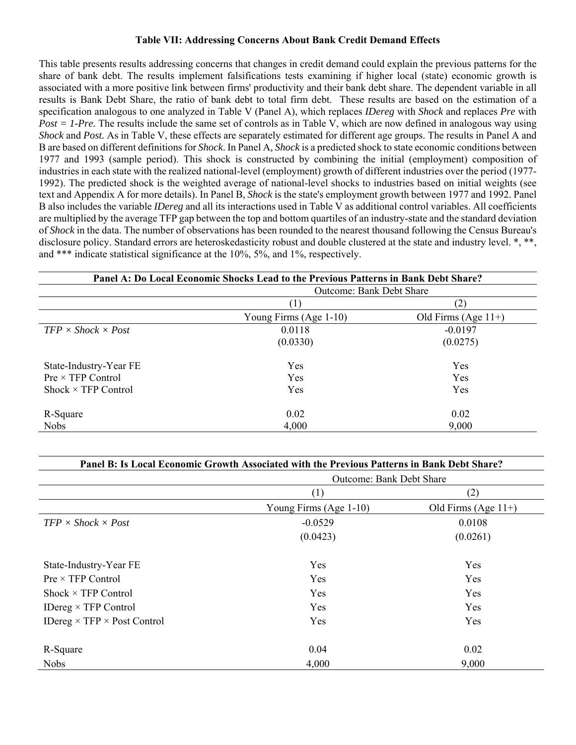### **Table VII: Addressing Concerns About Bank Credit Demand Effects**

This table presents results addressing concerns that changes in credit demand could explain the previous patterns for the share of bank debt. The results implement falsifications tests examining if higher local (state) economic growth is associated with a more positive link between firms' productivity and their bank debt share. The dependent variable in all results is Bank Debt Share, the ratio of bank debt to total firm debt. These results are based on the estimation of a specification analogous to one analyzed in Table V (Panel A), which replaces *IDereg* with *Shock* and replaces *Pre* with *Post = 1-Pre.* The results include the same set of controls as in Table V, which are now defined in analogous way using *Shock* and *Post.* As in Table V, these effects are separately estimated for different age groups. The results in Panel A and B are based on different definitions for *Shock*. In Panel A*, Shock* is a predicted shock to state economic conditions between 1977 and 1993 (sample period). This shock is constructed by combining the initial (employment) composition of industries in each state with the realized national-level (employment) growth of different industries over the period (1977- 1992). The predicted shock is the weighted average of national-level shocks to industries based on initial weights (see text and Appendix A for more details). In Panel B, *Shock* is the state's employment growth between 1977 and 1992. Panel B also includes the variable *IDereg* and all its interactions used in Table V as additional control variables. All coefficients are multiplied by the average TFP gap between the top and bottom quartiles of an industry-state and the standard deviation of *Shock* in the data. The number of observations has been rounded to the nearest thousand following the Census Bureau's disclosure policy. Standard errors are heteroskedasticity robust and double clustered at the state and industry level. \*, \*\*, and \*\*\* indicate statistical significance at the 10%, 5%, and 1%, respectively.

| Panel A: Do Local Economic Shocks Lead to the Previous Patterns in Bank Debt Share? |                                 |                        |  |
|-------------------------------------------------------------------------------------|---------------------------------|------------------------|--|
|                                                                                     | <b>Outcome: Bank Debt Share</b> |                        |  |
|                                                                                     |                                 |                        |  |
|                                                                                     | Young Firms (Age 1-10)          | Old Firms (Age $11+$ ) |  |
| $TFP \times \text{Shock} \times \text{Post}$                                        | 0.0118                          | $-0.0197$              |  |
|                                                                                     | (0.0330)                        | (0.0275)               |  |
| State-Industry-Year FE                                                              | Yes                             | Yes                    |  |
| $Pre \times TFP$ Control                                                            | Yes                             | Yes                    |  |
| $Show \times TFP Control$                                                           | Yes                             | Yes                    |  |
| R-Square                                                                            | 0.02                            | 0.02                   |  |
| <b>Nobs</b>                                                                         | 4,000                           | 9,000                  |  |

| Panel B: Is Local Economic Growth Associated with the Previous Patterns in Bank Debt Share? |                                 |                        |
|---------------------------------------------------------------------------------------------|---------------------------------|------------------------|
|                                                                                             | <b>Outcome: Bank Debt Share</b> |                        |
|                                                                                             | $\left(1\right)$                | (2)                    |
|                                                                                             | Young Firms (Age 1-10)          | Old Firms (Age $11+$ ) |
| $TFP \times \operatorname{Shock} \times \operatorname{Post}$                                | $-0.0529$                       | 0.0108                 |
|                                                                                             | (0.0423)                        | (0.0261)               |
| State-Industry-Year FE                                                                      | <b>Yes</b>                      | Yes                    |
| $Pre \times TFP$ Control                                                                    | <b>Yes</b>                      | <b>Yes</b>             |
| $ensuremath{\mathsf{block}} \times \text{TFP Control}$                                      | <b>Yes</b>                      | Yes                    |
| IDereg $\times$ TFP Control                                                                 | Yes                             | Yes                    |
| IDereg $\times$ TFP $\times$ Post Control                                                   | Yes                             | Yes                    |
| R-Square                                                                                    | 0.04                            | 0.02                   |
| <b>Nobs</b>                                                                                 | 4,000                           | 9,000                  |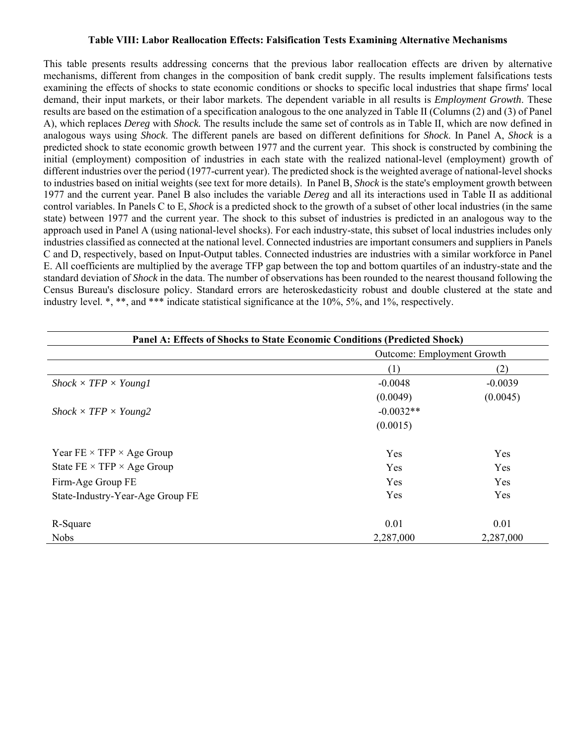## **Table VIII: Labor Reallocation Effects: Falsification Tests Examining Alternative Mechanisms**

This table presents results addressing concerns that the previous labor reallocation effects are driven by alternative mechanisms, different from changes in the composition of bank credit supply. The results implement falsifications tests examining the effects of shocks to state economic conditions or shocks to specific local industries that shape firms' local demand, their input markets, or their labor markets. The dependent variable in all results is *Employment Growth*. These results are based on the estimation of a specification analogous to the one analyzed in Table II (Columns (2) and (3) of Panel A), which replaces *Dereg* with *Shock.* The results include the same set of controls as in Table II, which are now defined in analogous ways using *Shock*. The different panels are based on different definitions for *Shock*. In Panel A, *Shock* is a predicted shock to state economic growth between 1977 and the current year. This shock is constructed by combining the initial (employment) composition of industries in each state with the realized national-level (employment) growth of different industries over the period (1977-current year). The predicted shock is the weighted average of national-level shocks to industries based on initial weights (see text for more details). In Panel B, *Shock* is the state's employment growth between 1977 and the current year. Panel B also includes the variable *Dereg* and all its interactions used in Table II as additional control variables. In Panels C to E, *Shock* is a predicted shock to the growth of a subset of other local industries (in the same state) between 1977 and the current year. The shock to this subset of industries is predicted in an analogous way to the approach used in Panel A (using national-level shocks). For each industry-state, this subset of local industries includes only industries classified as connected at the national level. Connected industries are important consumers and suppliers in Panels C and D, respectively, based on Input-Output tables. Connected industries are industries with a similar workforce in Panel E. All coefficients are multiplied by the average TFP gap between the top and bottom quartiles of an industry-state and the standard deviation of *Shock* in the data. The number of observations has been rounded to the nearest thousand following the Census Bureau's disclosure policy. Standard errors are heteroskedasticity robust and double clustered at the state and industry level. \*, \*\*, and \*\*\* indicate statistical significance at the 10%, 5%, and 1%, respectively.

| Panel A: Effects of Shocks to State Economic Conditions (Predicted Shock) |                                   |           |
|---------------------------------------------------------------------------|-----------------------------------|-----------|
|                                                                           | <b>Outcome: Employment Growth</b> |           |
|                                                                           | (1)                               | (2)       |
| $Show \times TFP \times Young1$                                           | $-0.0048$                         | $-0.0039$ |
|                                                                           | (0.0049)                          | (0.0045)  |
| $Show \times TFP \times Young2$                                           | $-0.0032**$                       |           |
|                                                                           | (0.0015)                          |           |
| Year $FE \times TFP \times Age$ Group                                     | Yes                               | Yes       |
| State $FE \times TFP \times Age$ Group                                    | Yes                               | Yes       |
| Firm-Age Group FE                                                         | Yes                               | Yes       |
| State-Industry-Year-Age Group FE                                          | Yes                               | Yes       |
| R-Square                                                                  | 0.01                              | 0.01      |
| <b>Nobs</b>                                                               | 2,287,000                         | 2,287,000 |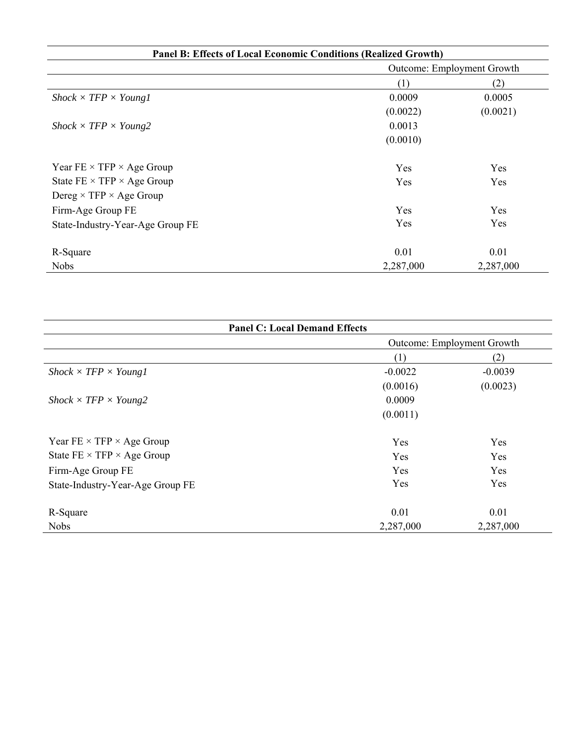| <b>Panel B: Effects of Local Economic Conditions (Realized Growth)</b> |           |                                   |
|------------------------------------------------------------------------|-----------|-----------------------------------|
|                                                                        |           | <b>Outcome: Employment Growth</b> |
|                                                                        | (1)       | (2)                               |
| $Show \times TFP \times Young1$                                        | 0.0009    | 0.0005                            |
|                                                                        | (0.0022)  | (0.0021)                          |
| $Show \times TFP \times Young2$                                        | 0.0013    |                                   |
|                                                                        | (0.0010)  |                                   |
| Year $FE \times TFP \times Age$ Group                                  | Yes       | Yes                               |
| State $FE \times TFP \times Age$ Group                                 | Yes       | Yes                               |
| Dereg $\times$ TFP $\times$ Age Group                                  |           |                                   |
| Firm-Age Group FE                                                      | Yes       | Yes                               |
| State-Industry-Year-Age Group FE                                       | Yes       | Yes                               |
| R-Square                                                               | 0.01      | 0.01                              |
| <b>Nobs</b>                                                            | 2,287,000 | 2,287,000                         |

| <b>Panel C: Local Demand Effects</b>   |           |                            |  |
|----------------------------------------|-----------|----------------------------|--|
|                                        |           | Outcome: Employment Growth |  |
|                                        | Τ         | (2)                        |  |
| $Show \times TFP \times Young1$        | $-0.0022$ | $-0.0039$                  |  |
|                                        | (0.0016)  | (0.0023)                   |  |
| $Show \times TFP \times Young2$        | 0.0009    |                            |  |
|                                        | (0.0011)  |                            |  |
| Year $FE \times TFP \times Age$ Group  | Yes       | Yes                        |  |
| State $FE \times TFP \times Age$ Group | Yes       | Yes                        |  |
| Firm-Age Group FE                      | Yes       | Yes                        |  |
| State-Industry-Year-Age Group FE       | Yes       | Yes                        |  |
| R-Square                               | 0.01      | 0.01                       |  |
| <b>Nobs</b>                            | 2,287,000 | 2,287,000                  |  |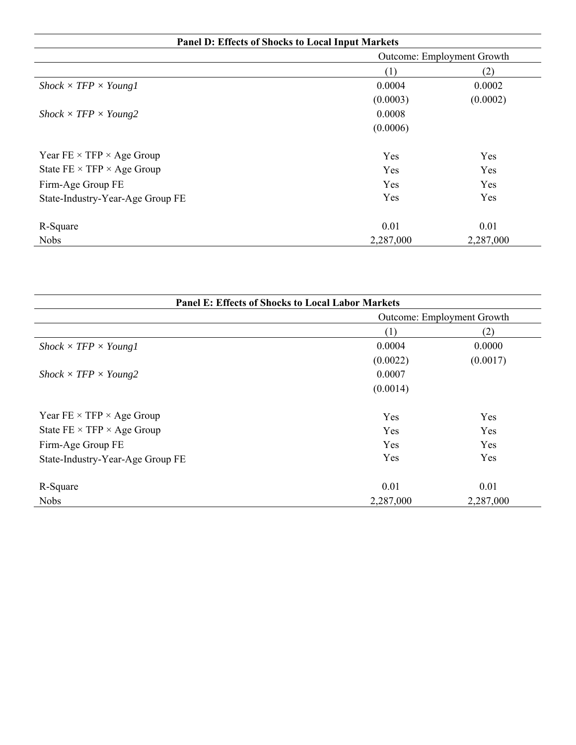| <b>Panel D: Effects of Shocks to Local Input Markets</b> |                            |           |
|----------------------------------------------------------|----------------------------|-----------|
|                                                          | Outcome: Employment Growth |           |
|                                                          | (1)                        | (2)       |
| $Show \times TFP \times Young1$                          | 0.0004                     | 0.0002    |
|                                                          | (0.0003)                   | (0.0002)  |
| $Show \times TFP \times Young2$                          | 0.0008                     |           |
|                                                          | (0.0006)                   |           |
| Year $FE \times TFP \times Age$ Group                    | Yes                        | Yes       |
| State $FE \times TFP \times Age$ Group                   | Yes                        | Yes       |
| Firm-Age Group FE                                        | Yes                        | Yes       |
| State-Industry-Year-Age Group FE                         | Yes                        | Yes       |
| R-Square                                                 | 0.01                       | 0.01      |
| <b>Nobs</b>                                              | 2,287,000                  | 2,287,000 |

| <b>Panel E: Effects of Shocks to Local Labor Markets</b> |                                   |           |
|----------------------------------------------------------|-----------------------------------|-----------|
|                                                          | <b>Outcome: Employment Growth</b> |           |
|                                                          | (1)                               | (2)       |
| $Show \times TFP \times Young1$                          | 0.0004                            | 0.0000    |
|                                                          | (0.0022)                          | (0.0017)  |
| $Show \times TFP \times Young2$                          | 0.0007                            |           |
|                                                          | (0.0014)                          |           |
| Year $FE \times TFP \times Age$ Group                    | Yes                               | Yes       |
| State $FE \times TFP \times Age$ Group                   | Yes                               | Yes       |
| Firm-Age Group FE                                        | Yes                               | Yes       |
| State-Industry-Year-Age Group FE                         | Yes                               | Yes       |
| R-Square                                                 | 0.01                              | 0.01      |
| <b>Nobs</b>                                              | 2,287,000                         | 2,287,000 |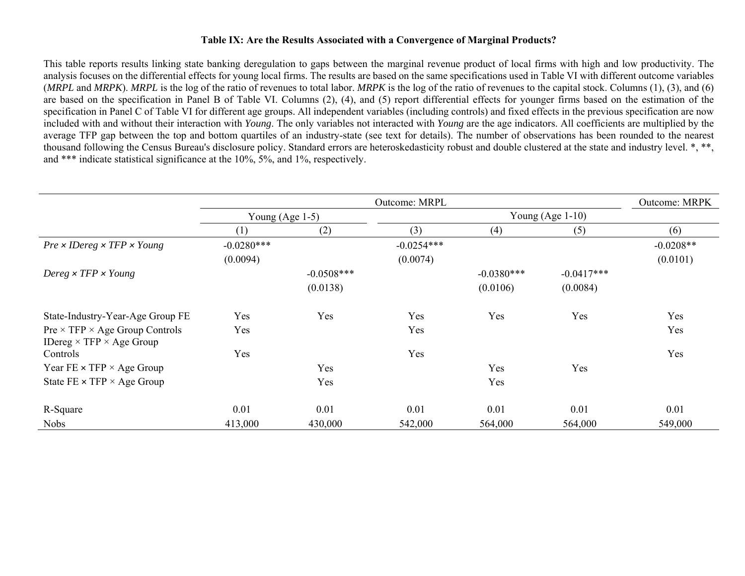## **Table IX: Are the Results Associated with a Convergence of Marginal Products?**

This table reports results linking state banking deregulation to gaps between the marginal revenue product of local firms with high and low productivity. The analysis focuses on the differential effects for young local firms. The results are based on the same specifications used in Table VI with different outcome variables (*MRPL* and *MRPK*). *MRPL* is the log of the ratio of revenues to total labor. *MRPK* is the log of the ratio of revenues to the capital stock. Columns (1), (3), and (6) are based on the specification in Panel B of Table VI. Columns (2), (4), and (5) report differential effects for younger firms based on the estimation of the specification in Panel C of Table VI for different age groups. All independent variables (including controls) and fixed effects in the previous specification are now included with and without their interaction with *Young*. The only variables not interacted with *Young* are the age indicators. All coefficients are multiplied by the average TFP gap between the top and bottom quartiles of an industry-state (see text for details). The number of observations has been rounded to the nearest thousand following the Census Bureau's disclosure policy. Standard errors are heteroskedasticity robust and double clustered at the state and industry level. \*, \*\*, and \*\*\* indicate statistical significance at the 10%, 5%, and 1%, respectively.

|                                                                                      |                   |              | Outcome: MRPL      |              |              | <b>Outcome: MRPK</b> |
|--------------------------------------------------------------------------------------|-------------------|--------------|--------------------|--------------|--------------|----------------------|
|                                                                                      | Young $(Age 1-5)$ |              | Young $(Age 1-10)$ |              |              |                      |
|                                                                                      | $\left(1\right)$  | (2)          | (3)                | (4)          | (5)          | (6)                  |
| $Pre \times IDereg \times TFP \times Young$                                          | $-0.0280***$      |              | $-0.0254***$       |              |              | $-0.0208**$          |
|                                                                                      | (0.0094)          |              | (0.0074)           |              |              | (0.0101)             |
| $Dereg \times TFP \times Young$                                                      |                   | $-0.0508***$ |                    | $-0.0380***$ | $-0.0417***$ |                      |
|                                                                                      |                   | (0.0138)     |                    | (0.0106)     | (0.0084)     |                      |
| State-Industry-Year-Age Group FE                                                     | Yes               | Yes          | Yes                | Yes          | Yes          | Yes                  |
| $Pre \times TFP \times Age$ Group Controls<br>IDereg $\times$ TFP $\times$ Age Group | Yes               |              | Yes                |              |              | Yes                  |
| Controls                                                                             | Yes               |              | Yes                |              |              | Yes                  |
| Year $FE \times TFP \times Age$ Group                                                |                   | Yes          |                    | Yes          | Yes          |                      |
| State $FE \times TFP \times Age$ Group                                               |                   | Yes          |                    | Yes          |              |                      |
| R-Square                                                                             | 0.01              | 0.01         | 0.01               | 0.01         | 0.01         | 0.01                 |
| <b>Nobs</b>                                                                          | 413,000           | 430,000      | 542,000            | 564,000      | 564,000      | 549,000              |